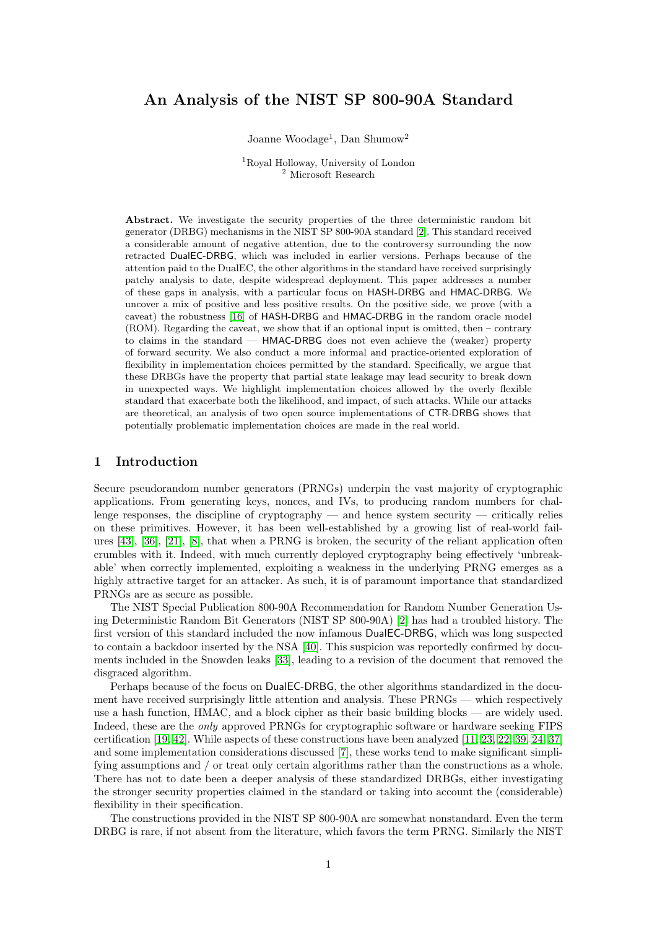# <span id="page-0-0"></span>An Analysis of the NIST SP 800-90A Standard

Joanne Woodage<sup>1</sup>, Dan Shumow<sup>2</sup>

<sup>1</sup>Royal Holloway, University of London <sup>2</sup> Microsoft Research

Abstract. We investigate the security properties of the three deterministic random bit generator (DRBG) mechanisms in the NIST SP 800-90A standard [\[2\]](#page-22-0). This standard received a considerable amount of negative attention, due to the controversy surrounding the now retracted DualEC-DRBG, which was included in earlier versions. Perhaps because of the attention paid to the DualEC, the other algorithms in the standard have received surprisingly patchy analysis to date, despite widespread deployment. This paper addresses a number of these gaps in analysis, with a particular focus on HASH-DRBG and HMAC-DRBG. We uncover a mix of positive and less positive results. On the positive side, we prove (with a caveat) the robustness [\[16\]](#page-23-0) of HASH-DRBG and HMAC-DRBG in the random oracle model (ROM). Regarding the caveat, we show that if an optional input is omitted, then – contrary to claims in the standard — HMAC-DRBG does not even achieve the (weaker) property of forward security. We also conduct a more informal and practice-oriented exploration of flexibility in implementation choices permitted by the standard. Specifically, we argue that these DRBGs have the property that partial state leakage may lead security to break down in unexpected ways. We highlight implementation choices allowed by the overly flexible standard that exacerbate both the likelihood, and impact, of such attacks. While our attacks are theoretical, an analysis of two open source implementations of CTR-DRBG shows that potentially problematic implementation choices are made in the real world.

## <span id="page-0-1"></span>1 Introduction

Secure pseudorandom number generators (PRNGs) underpin the vast majority of cryptographic applications. From generating keys, nonces, and IVs, to producing random numbers for challenge responses, the discipline of cryptography — and hence system security — critically relies on these primitives. However, it has been well-established by a growing list of real-world failures [\[43\]](#page-24-0), [\[36\]](#page-24-1), [\[21\]](#page-23-1), [\[8\]](#page-23-2), that when a PRNG is broken, the security of the reliant application often crumbles with it. Indeed, with much currently deployed cryptography being effectively 'unbreakable' when correctly implemented, exploiting a weakness in the underlying PRNG emerges as a highly attractive target for an attacker. As such, it is of paramount importance that standardized PRNGs are as secure as possible.

The NIST Special Publication 800-90A Recommendation for Random Number Generation Using Deterministic Random Bit Generators (NIST SP 800-90A) [\[2\]](#page-22-0) has had a troubled history. The first version of this standard included the now infamous DualEC-DRBG, which was long suspected to contain a backdoor inserted by the NSA [\[40\]](#page-24-2). This suspicion was reportedly confirmed by documents included in the Snowden leaks [\[33\]](#page-24-3), leading to a revision of the document that removed the disgraced algorithm.

Perhaps because of the focus on DualEC-DRBG, the other algorithms standardized in the document have received surprisingly little attention and analysis. These PRNGs — which respectively use a hash function, HMAC, and a block cipher as their basic building blocks — are widely used. Indeed, these are the only approved PRNGs for cryptographic software or hardware seeking FIPS certification [\[19,](#page-23-3) [42\]](#page-24-4). While aspects of these constructions have been analyzed [\[11,](#page-23-4) [23,](#page-23-5) [22,](#page-23-6) [39,](#page-24-5) [24,](#page-23-7) [37\]](#page-24-6) and some implementation considerations discussed [\[7\]](#page-23-8), these works tend to make significant simplifying assumptions and / or treat only certain algorithms rather than the constructions as a whole. There has not to date been a deeper analysis of these standardized DRBGs, either investigating the stronger security properties claimed in the standard or taking into account the (considerable) flexibility in their specification.

The constructions provided in the NIST SP 800-90A are somewhat nonstandard. Even the term DRBG is rare, if not absent from the literature, which favors the term PRNG. Similarly the NIST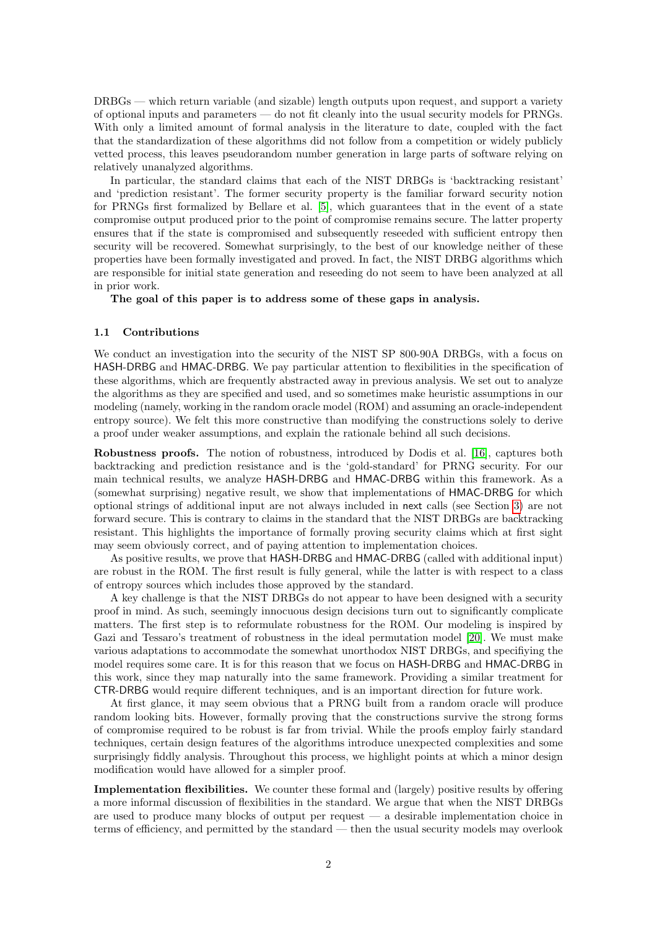DRBGs — which return variable (and sizable) length outputs upon request, and support a variety of optional inputs and parameters — do not fit cleanly into the usual security models for PRNGs. With only a limited amount of formal analysis in the literature to date, coupled with the fact that the standardization of these algorithms did not follow from a competition or widely publicly vetted process, this leaves pseudorandom number generation in large parts of software relying on relatively unanalyzed algorithms.

In particular, the standard claims that each of the NIST DRBGs is 'backtracking resistant' and 'prediction resistant'. The former security property is the familiar forward security notion for PRNGs first formalized by Bellare et al. [\[5\]](#page-23-9), which guarantees that in the event of a state compromise output produced prior to the point of compromise remains secure. The latter property ensures that if the state is compromised and subsequently reseeded with sufficient entropy then security will be recovered. Somewhat surprisingly, to the best of our knowledge neither of these properties have been formally investigated and proved. In fact, the NIST DRBG algorithms which are responsible for initial state generation and reseeding do not seem to have been analyzed at all in prior work.

The goal of this paper is to address some of these gaps in analysis.

### 1.1 Contributions

We conduct an investigation into the security of the NIST SP 800-90A DRBGs, with a focus on HASH-DRBG and HMAC-DRBG. We pay particular attention to flexibilities in the specification of these algorithms, which are frequently abstracted away in previous analysis. We set out to analyze the algorithms as they are specified and used, and so sometimes make heuristic assumptions in our modeling (namely, working in the random oracle model (ROM) and assuming an oracle-independent entropy source). We felt this more constructive than modifying the constructions solely to derive a proof under weaker assumptions, and explain the rationale behind all such decisions.

Robustness proofs. The notion of robustness, introduced by Dodis et al. [\[16\]](#page-23-0), captures both backtracking and prediction resistance and is the 'gold-standard' for PRNG security. For our main technical results, we analyze HASH-DRBG and HMAC-DRBG within this framework. As a (somewhat surprising) negative result, we show that implementations of HMAC-DRBG for which optional strings of additional input are not always included in next calls (see Section [3\)](#page-3-0) are not forward secure. This is contrary to claims in the standard that the NIST DRBGs are backtracking resistant. This highlights the importance of formally proving security claims which at first sight may seem obviously correct, and of paying attention to implementation choices.

As positive results, we prove that HASH-DRBG and HMAC-DRBG (called with additional input) are robust in the ROM. The first result is fully general, while the latter is with respect to a class of entropy sources which includes those approved by the standard.

A key challenge is that the NIST DRBGs do not appear to have been designed with a security proof in mind. As such, seemingly innocuous design decisions turn out to significantly complicate matters. The first step is to reformulate robustness for the ROM. Our modeling is inspired by Gazi and Tessaro's treatment of robustness in the ideal permutation model [\[20\]](#page-23-10). We must make various adaptations to accommodate the somewhat unorthodox NIST DRBGs, and specifiying the model requires some care. It is for this reason that we focus on HASH-DRBG and HMAC-DRBG in this work, since they map naturally into the same framework. Providing a similar treatment for CTR-DRBG would require different techniques, and is an important direction for future work.

At first glance, it may seem obvious that a PRNG built from a random oracle will produce random looking bits. However, formally proving that the constructions survive the strong forms of compromise required to be robust is far from trivial. While the proofs employ fairly standard techniques, certain design features of the algorithms introduce unexpected complexities and some surprisingly fiddly analysis. Throughout this process, we highlight points at which a minor design modification would have allowed for a simpler proof.

Implementation flexibilities. We counter these formal and (largely) positive results by offering a more informal discussion of flexibilities in the standard. We argue that when the NIST DRBGs are used to produce many blocks of output per request — a desirable implementation choice in terms of efficiency, and permitted by the standard — then the usual security models may overlook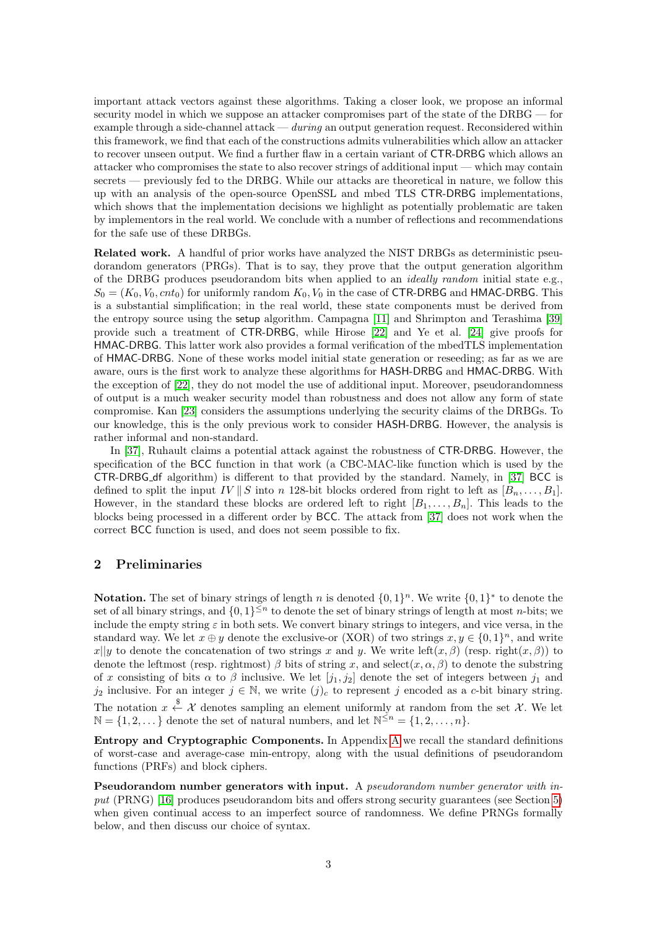important attack vectors against these algorithms. Taking a closer look, we propose an informal security model in which we suppose an attacker compromises part of the state of the DRBG — for example through a side-channel attack —  $during$  an output generation request. Reconsidered within this framework, we find that each of the constructions admits vulnerabilities which allow an attacker to recover unseen output. We find a further flaw in a certain variant of CTR-DRBG which allows an attacker who compromises the state to also recover strings of additional input — which may contain secrets — previously fed to the DRBG. While our attacks are theoretical in nature, we follow this up with an analysis of the open-source OpenSSL and mbed TLS CTR-DRBG implementations, which shows that the implementation decisions we highlight as potentially problematic are taken by implementors in the real world. We conclude with a number of reflections and recommendations for the safe use of these DRBGs.

Related work. A handful of prior works have analyzed the NIST DRBGs as deterministic pseudorandom generators (PRGs). That is to say, they prove that the output generation algorithm of the DRBG produces pseudorandom bits when applied to an *ideally random* initial state e.g.,  $S_0 = (K_0, V_0, \text{cnt}_0)$  for uniformly random  $K_0, V_0$  in the case of CTR-DRBG and HMAC-DRBG. This is a substantial simplification; in the real world, these state components must be derived from the entropy source using the setup algorithm. Campagna [\[11\]](#page-23-4) and Shrimpton and Terashima [\[39\]](#page-24-5) provide such a treatment of CTR-DRBG, while Hirose [\[22\]](#page-23-6) and Ye et al. [\[24\]](#page-23-7) give proofs for HMAC-DRBG. This latter work also provides a formal verification of the mbedTLS implementation of HMAC-DRBG. None of these works model initial state generation or reseeding; as far as we are aware, ours is the first work to analyze these algorithms for HASH-DRBG and HMAC-DRBG. With the exception of [\[22\]](#page-23-6), they do not model the use of additional input. Moreover, pseudorandomness of output is a much weaker security model than robustness and does not allow any form of state compromise. Kan [\[23\]](#page-23-5) considers the assumptions underlying the security claims of the DRBGs. To our knowledge, this is the only previous work to consider HASH-DRBG. However, the analysis is rather informal and non-standard.

In [\[37\]](#page-24-6), Ruhault claims a potential attack against the robustness of CTR-DRBG. However, the specification of the BCC function in that work (a CBC-MAC-like function which is used by the CTR-DRBG df algorithm) is different to that provided by the standard. Namely, in [\[37\]](#page-24-6) BCC is defined to split the input  $IV \parallel S$  into n 128-bit blocks ordered from right to left as  $[B_n, \ldots, B_1]$ . However, in the standard these blocks are ordered left to right  $[B_1, \ldots, B_n]$ . This leads to the blocks being processed in a different order by BCC. The attack from [\[37\]](#page-24-6) does not work when the correct BCC function is used, and does not seem possible to fix.

## <span id="page-2-1"></span>2 Preliminaries

**Notation.** The set of binary strings of length n is denoted  $\{0,1\}^n$ . We write  $\{0,1\}^*$  to denote the set of all binary strings, and  $\{0,1\}^{\leq n}$  to denote the set of binary strings of length at most *n*-bits; we include the empty string  $\varepsilon$  in both sets. We convert binary strings to integers, and vice versa, in the standard way. We let  $x \oplus y$  denote the exclusive-or (XOR) of two strings  $x, y \in \{0, 1\}^n$ , and write  $x||y$  to denote the concatenation of two strings x and y. We write left $(x, \beta)$  (resp. right $(x, \beta)$ ) to denote the leftmost (resp. rightmost)  $\beta$  bits of string x, and select $(x, \alpha, \beta)$  to denote the substring of x consisting of bits  $\alpha$  to  $\beta$  inclusive. We let  $[j_1, j_2]$  denote the set of integers between  $j_1$  and  $j_2$  inclusive. For an integer  $j \in \mathbb{N}$ , we write  $(j)_c$  to represent j encoded as a c-bit binary string. The notation  $x \stackrel{\$}{\leftarrow} \mathcal{X}$  denotes sampling an element uniformly at random from the set X. We let  $\mathbb{N} = \{1, 2, \dots\}$  denote the set of natural numbers, and let  $\mathbb{N}^{\leq n} = \{1, 2, \dots, n\}.$ 

Entropy and Cryptographic Components. In Appendix [A](#page-25-0) we recall the standard definitions of worst-case and average-case min-entropy, along with the usual definitions of pseudorandom functions (PRFs) and block ciphers.

<span id="page-2-0"></span>Pseudorandom number generators with input. A pseudorandom number generator with input (PRNG) [\[16\]](#page-23-0) produces pseudorandom bits and offers strong security guarantees (see Section [5\)](#page-7-0) when given continual access to an imperfect source of randomness. We define PRNGs formally below, and then discuss our choice of syntax.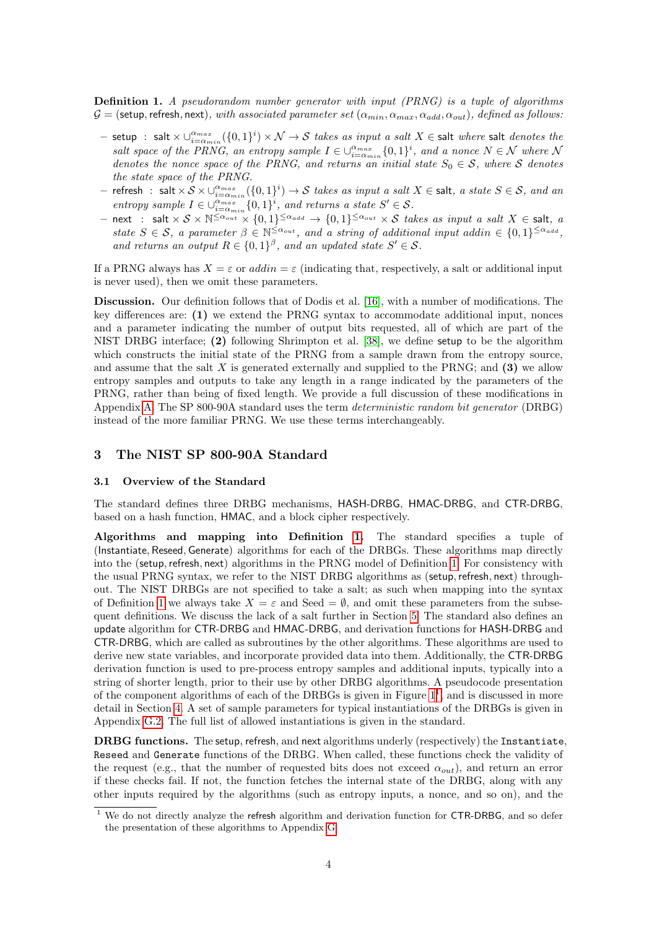**Definition 1.** A pseudorandom number generator with input (PRNG) is a tuple of algorithms  $G = ($ setup, refresh, next), with associated parameter set  $(\alpha_{min}, \alpha_{max}, \alpha_{add}, \alpha_{out})$ , defined as follows:

- $-$  setup  $\; : \;$  salt  $\times \cup_{i=\alpha_{min}}^{\alpha_{max}}(\{0,1\}^i)\times \mathcal{N} \to \mathcal{S}$  takes as input a salt  $X\in$  salt where salt denotes the salt space of the PRNG, an entropy sample  $I \in \bigcup_{i=\alpha_{min}}^{\alpha_{max}} \{0,1\}^i$ , and a nonce  $N \in \mathcal{N}$  where  $\mathcal{N}$ denotes the nonce space of the PRNG, and returns an initial state  $S_0 \in \mathcal{S}$ , where S denotes the state space of the PRNG.
- $-$  refresh : salt  $\times S \times \cup_{i=\alpha_{min}}^{\alpha_{max}}(\{0,1\}^i) \to S$  takes as input a salt  $X \in$  salt, a state  $S \in S$ , and an entropy sample  $I \in \bigcup_{i=\alpha_{min}}^{\alpha_{max}} \{0,1\}^i$ , and returns a state  $S' \in \mathcal{S}$ .
- $-$  next : salt  $\times$   $\mathcal{S}$   $\times$   $\mathbb{N}^{\leq \alpha_{out}}$   $\times$   $\{0,1\}^{\leq \alpha_{out}}$   $\rightarrow$   $\{0,1\}^{\leq \alpha_{out}}$   $\times$   $\mathcal{S}$  *takes as input a salt X*  $\in$  salt, a state  $S \in \mathcal{S}$ , a parameter  $\beta \in \mathbb{N}^{\leq \alpha_{out}}$ , and a string of additional input addin  $\in \{0,1\}^{\leq \alpha_{add}}$ , and returns an output  $R \in \{0,1\}^{\beta}$ , and an updated state  $S' \in \mathcal{S}$ .

If a PRNG always has  $X = \varepsilon$  or  $addin = \varepsilon$  (indicating that, respectively, a salt or additional input is never used), then we omit these parameters.

Discussion. Our definition follows that of Dodis et al. [\[16\]](#page-23-0), with a number of modifications. The key differences are: (1) we extend the PRNG syntax to accommodate additional input, nonces and a parameter indicating the number of output bits requested, all of which are part of the NIST DRBG interface; (2) following Shrimpton et al. [\[38\]](#page-24-7), we define setup to be the algorithm which constructs the initial state of the PRNG from a sample drawn from the entropy source, and assume that the salt X is generated externally and supplied to the PRNG; and  $(3)$  we allow entropy samples and outputs to take any length in a range indicated by the parameters of the PRNG, rather than being of fixed length. We provide a full discussion of these modifications in Appendix [A.](#page-25-0) The SP 800-90A standard uses the term *deterministic random bit generator* (DRBG) instead of the more familiar PRNG. We use these terms interchangeably.

## <span id="page-3-0"></span>3 The NIST SP 800-90A Standard

#### 3.1 Overview of the Standard

The standard defines three DRBG mechanisms, HASH-DRBG, HMAC-DRBG, and CTR-DRBG, based on a hash function, HMAC, and a block cipher respectively.

Algorithms and mapping into Definition [1.](#page-2-0) The standard specifies a tuple of (Instantiate, Reseed, Generate) algorithms for each of the DRBGs. These algorithms map directly into the (setup,refresh, next) algorithms in the PRNG model of Definition [1.](#page-2-0) For consistency with the usual PRNG syntax, we refer to the NIST DRBG algorithms as (setup,refresh, next) throughout. The NIST DRBGs are not specified to take a salt; as such when mapping into the syntax of Definition [1](#page-2-0) we always take  $X = \varepsilon$  and Seed  $= \emptyset$ , and omit these parameters from the subsequent definitions. We discuss the lack of a salt further in Section [5.](#page-7-0) The standard also defines an update algorithm for CTR-DRBG and HMAC-DRBG, and derivation functions for HASH-DRBG and CTR-DRBG, which are called as subroutines by the other algorithms. These algorithms are used to derive new state variables, and incorporate provided data into them. Additionally, the CTR-DRBG derivation function is used to pre-process entropy samples and additional inputs, typically into a string of shorter length, prior to their use by other DRBG algorithms. A pseudocode presentation of the component algorithms of each of the DRBGs is given in Figure  $1<sup>1</sup>$  $1<sup>1</sup>$ , and is discussed in more detail in Section [4.](#page-5-0) A set of sample parameters for typical instantiations of the DRBGs is given in Appendix [G.2.](#page-53-0) The full list of allowed instantiations is given in the standard.

DRBG functions. The setup, refresh, and next algorithms underly (respectively) the Instantiate, Reseed and Generate functions of the DRBG. When called, these functions check the validity of the request (e.g., that the number of requested bits does not exceed  $\alpha_{out}$ ), and return an error if these checks fail. If not, the function fetches the internal state of the DRBG, along with any other inputs required by the algorithms (such as entropy inputs, a nonce, and so on), and the

<sup>&</sup>lt;sup>1</sup> We do not directly analyze the refresh algorithm and derivation function for CTR-DRBG, and so defer the presentation of these algorithms to Appendix [G.](#page-52-0)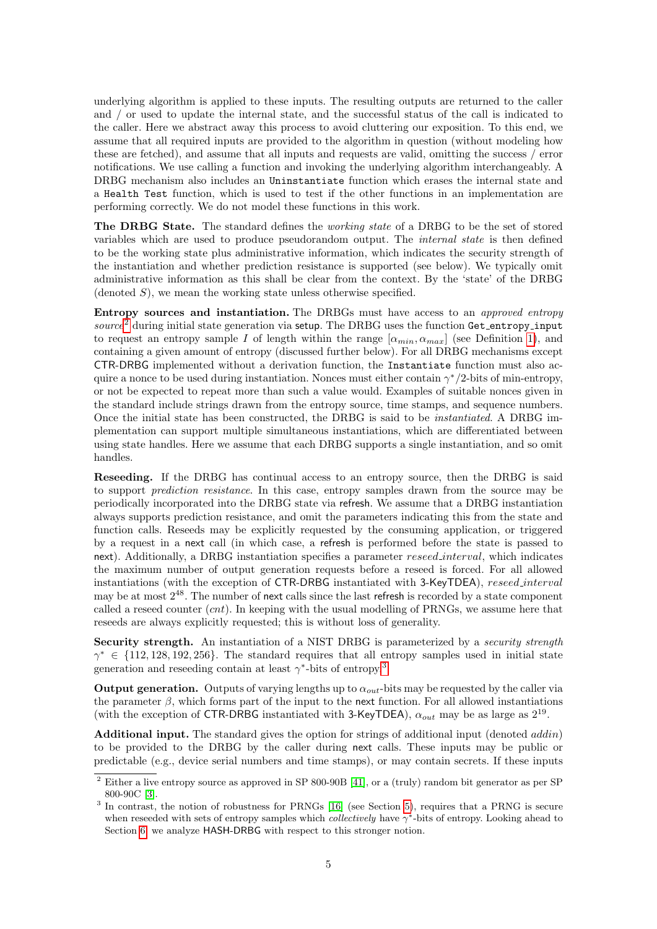underlying algorithm is applied to these inputs. The resulting outputs are returned to the caller and / or used to update the internal state, and the successful status of the call is indicated to the caller. Here we abstract away this process to avoid cluttering our exposition. To this end, we assume that all required inputs are provided to the algorithm in question (without modeling how these are fetched), and assume that all inputs and requests are valid, omitting the success / error notifications. We use calling a function and invoking the underlying algorithm interchangeably. A DRBG mechanism also includes an Uninstantiate function which erases the internal state and a Health Test function, which is used to test if the other functions in an implementation are performing correctly. We do not model these functions in this work.

The DRBG State. The standard defines the *working state* of a DRBG to be the set of stored variables which are used to produce pseudorandom output. The internal state is then defined to be the working state plus administrative information, which indicates the security strength of the instantiation and whether prediction resistance is supported (see below). We typically omit administrative information as this shall be clear from the context. By the 'state' of the DRBG  $(denoted S)$ , we mean the working state unless otherwise specified.

Entropy sources and instantiation. The DRBGs must have access to an approved entropy source<sup>[2](#page-0-0)</sup> during initial state generation via setup. The DRBG uses the function Get entropy input to request an entropy sample I of length within the range  $[\alpha_{min}, \alpha_{max}]$  (see Definition [1\)](#page-2-0), and containing a given amount of entropy (discussed further below). For all DRBG mechanisms except CTR-DRBG implemented without a derivation function, the Instantiate function must also acquire a nonce to be used during instantiation. Nonces must either contain  $\gamma^*/2$ -bits of min-entropy, or not be expected to repeat more than such a value would. Examples of suitable nonces given in the standard include strings drawn from the entropy source, time stamps, and sequence numbers. Once the initial state has been constructed, the DRBG is said to be instantiated. A DRBG implementation can support multiple simultaneous instantiations, which are differentiated between using state handles. Here we assume that each DRBG supports a single instantiation, and so omit handles.

Reseeding. If the DRBG has continual access to an entropy source, then the DRBG is said to support *prediction resistance*. In this case, entropy samples drawn from the source may be periodically incorporated into the DRBG state via refresh. We assume that a DRBG instantiation always supports prediction resistance, and omit the parameters indicating this from the state and function calls. Reseeds may be explicitly requested by the consuming application, or triggered by a request in a next call (in which case, a refresh is performed before the state is passed to next). Additionally, a DRBG instantiation specifies a parameter reseed interval, which indicates the maximum number of output generation requests before a reseed is forced. For all allowed instantiations (with the exception of CTR-DRBG instantiated with 3-KeyTDEA), reseed interval may be at most  $2^{48}$ . The number of next calls since the last refresh is recorded by a state component called a reseed counter  $(cnt)$ . In keeping with the usual modelling of PRNGs, we assume here that reseeds are always explicitly requested; this is without loss of generality.

Security strength. An instantiation of a NIST DRBG is parameterized by a security strength  $\gamma^* \in \{112, 128, 192, 256\}$ . The standard requires that all entropy samples used in initial state generation and reseeding contain at least  $\gamma^*$ -bits of entropy.<sup>[3](#page-0-0)</sup>

**Output generation.** Outputs of varying lengths up to  $\alpha_{out}$ -bits may be requested by the caller via the parameter  $\beta$ , which forms part of the input to the next function. For all allowed instantiations (with the exception of CTR-DRBG instantiated with 3-KeyTDEA),  $\alpha_{out}$  may be as large as  $2^{19}$ .

Additional input. The standard gives the option for strings of additional input (denoted *addin*) to be provided to the DRBG by the caller during next calls. These inputs may be public or predictable (e.g., device serial numbers and time stamps), or may contain secrets. If these inputs

<sup>&</sup>lt;sup>2</sup> Either a live entropy source as approved in SP 800-90B [\[41\]](#page-24-8), or a (truly) random bit generator as per SP 800-90C [\[3\]](#page-23-11).

<sup>&</sup>lt;sup>3</sup> In contrast, the notion of robustness for PRNGs [\[16\]](#page-23-0) (see Section [5\)](#page-7-0), requires that a PRNG is secure when reseeded with sets of entropy samples which *collectively* have  $\gamma^*$ -bits of entropy. Looking ahead to Section [6,](#page-10-0) we analyze HASH-DRBG with respect to this stronger notion.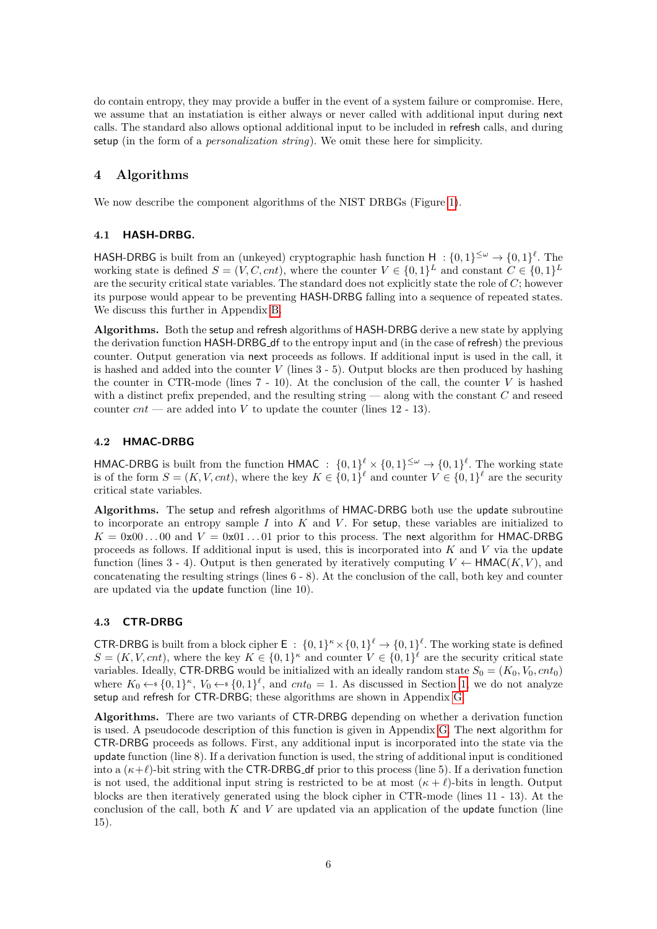do contain entropy, they may provide a buffer in the event of a system failure or compromise. Here, we assume that an instatiation is either always or never called with additional input during next calls. The standard also allows optional additional input to be included in refresh calls, and during setup (in the form of a personalization string). We omit these here for simplicity.

## <span id="page-5-0"></span>4 Algorithms

We now describe the component algorithms of the NIST DRBGs (Figure [1\)](#page-6-0).

## 4.1 HASH-DRBG.

**HASH-DRBG** is built from an (unkeyed) cryptographic hash function  $H : \{0,1\}^{\leq \omega} \to \{0,1\}^{\ell}$ . The working state is defined  $S = (V, C, ent)$ , where the counter  $V \in \{0,1\}^L$  and constant  $C \in \{0,1\}^L$ are the security critical state variables. The standard does not explicitly state the role of  $C$ ; however its purpose would appear to be preventing HASH-DRBG falling into a sequence of repeated states. We discuss this further in Appendix [B.](#page-26-0)

Algorithms. Both the setup and refresh algorithms of HASH-DRBG derive a new state by applying the derivation function HASH-DRBG df to the entropy input and (in the case of refresh) the previous counter. Output generation via next proceeds as follows. If additional input is used in the call, it is hashed and added into the counter  $V$  (lines  $3 - 5$ ). Output blocks are then produced by hashing the counter in CTR-mode (lines  $7 - 10$ ). At the conclusion of the call, the counter V is hashed with a distinct prefix prepended, and the resulting string — along with the constant  $C$  and reseed counter  $cnt$  — are added into V to update the counter (lines 12 - 13).

## 4.2 HMAC-DRBG

HMAC-DRBG is built from the function HMAC :  $\{0,1\}^{\ell} \times \{0,1\}^{\leq \omega} \to \{0,1\}^{\ell}$ . The working state is of the form  $S = (K, V, \text{cnt})$ , where the key  $K \in \{0,1\}^{\ell}$  and counter  $V \in \{0,1\}^{\ell}$  are the security critical state variables.

Algorithms. The setup and refresh algorithms of HMAC-DRBG both use the update subroutine to incorporate an entropy sample I into K and V. For setup, these variables are initialized to  $K = 0x00...00$  and  $V = 0x01...01$  prior to this process. The next algorithm for HMAC-DRBG proceeds as follows. If additional input is used, this is incorporated into  $K$  and  $V$  via the update function (lines 3 - 4). Output is then generated by iteratively computing  $V \leftarrow \text{HMAC}(K, V)$ , and concatenating the resulting strings (lines  $6 - 8$ ). At the conclusion of the call, both key and counter are updated via the update function (line 10).

## 4.3 CTR-DRBG

**CTR-DRBG** is built from a block cipher  $\mathsf{E}$  :  $\{0,1\}^k \times \{0,1\}^{\ell} \to \{0,1\}^{\ell}$ . The working state is defined  $S = (K, V, \text{cnt})$ , where the key  $K \in \{0, 1\}^{\kappa}$  and counter  $V \in \{0, 1\}^{\ell}$  are the security critical state variables. Ideally, CTR-DRBG would be initialized with an ideally random state  $S_0 = (K_0, V_0, crit_0)$ where  $K_0 \leftarrow \{0,1\}^{\kappa}$ ,  $V_0 \leftarrow \{0,1\}^{\ell}$ , and  $cnt_0 = 1$ . As discussed in Section [1,](#page-0-1) we do not analyze setup and refresh for CTR-DRBG; these algorithms are shown in Appendix [G.](#page-52-0)

Algorithms. There are two variants of CTR-DRBG depending on whether a derivation function is used. A pseudocode description of this function is given in Appendix [G.](#page-52-0) The next algorithm for CTR-DRBG proceeds as follows. First, any additional input is incorporated into the state via the update function (line 8). If a derivation function is used, the string of additional input is conditioned into a  $(\kappa+\ell)$ -bit string with the CTR-DRBG df prior to this process (line 5). If a derivation function is not used, the additional input string is restricted to be at most  $(\kappa + \ell)$ -bits in length. Output blocks are then iteratively generated using the block cipher in CTR-mode (lines 11 - 13). At the conclusion of the call, both  $K$  and  $V$  are updated via an application of the update function (line 15).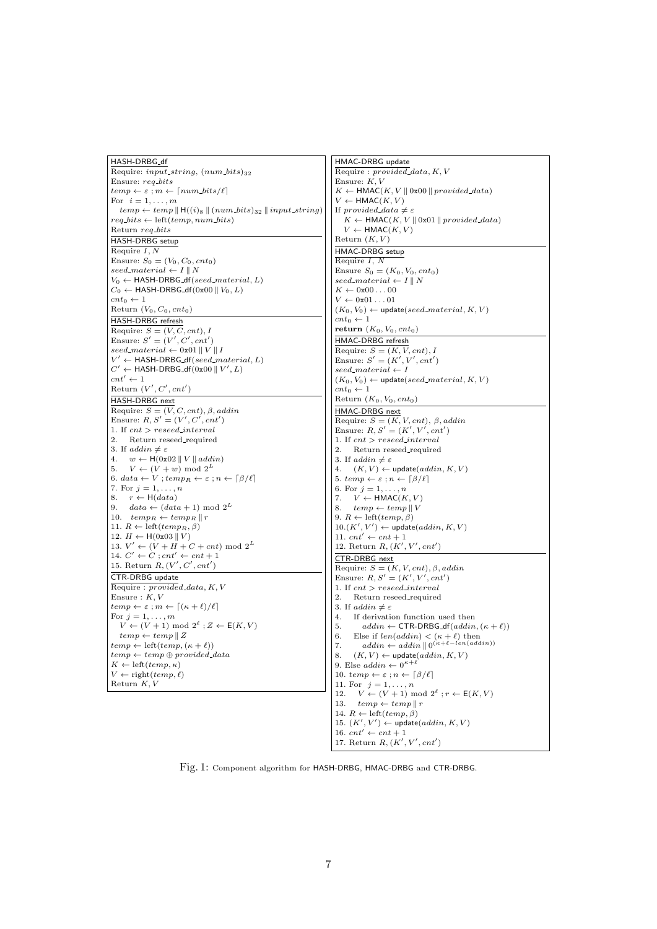<span id="page-6-0"></span>

| HASH-DRBG_df                                                                                   | HMAC-DRBG update                                                                                          |
|------------------------------------------------------------------------------------------------|-----------------------------------------------------------------------------------------------------------|
| Require: $input\_string$ , $(num\_bits)_{32}$                                                  | Require: $provided\_data, K, V$                                                                           |
| Ensure: req_bits                                                                               | Ensure: $K, V$                                                                                            |
| $temp \leftarrow \varepsilon$ ; $m \leftarrow \lceil num\_bits/\ell \rceil$                    | $K \leftarrow \text{HMAC}(K, V \parallel 0x00 \parallel provided\_data)$                                  |
| For $i=1,\ldots,m$                                                                             | $V \leftarrow \text{HMAC}(K, V)$                                                                          |
| $temp \leftarrow temp \parallel H((i)_{8} \parallel (num\_bits)_{32} \parallel input\_string)$ | If provided data $\neq \varepsilon$                                                                       |
| $req\_bits \leftarrow left, num\_bits)$                                                        | $K \leftarrow \text{HMAC}(K, V \parallel 0x01 \parallel provided\_data)$                                  |
| Return req_bits                                                                                | $V \leftarrow \text{HMAC}(K, V)$                                                                          |
| HASH-DRBG setup                                                                                | Return $(K, V)$                                                                                           |
| Require $I, N$                                                                                 | HMAC-DRBG setup                                                                                           |
| Ensure: $S_0 = (V_0, C_0, ent_0)$                                                              | Require $I, N$                                                                                            |
| $seed\_material \leftarrow I \parallel N$                                                      | Ensure $S_0 = (K_0, V_0, ent_0)$                                                                          |
| $V_0 \leftarrow$ HASH-DRBG_df(seed_material, L)                                                | seed_material $\leftarrow$ I    N                                                                         |
| $C_0 \leftarrow$ HASH-DRBG_df(0x00    $V_0, L$ )                                               | $K \leftarrow 0x0000$                                                                                     |
| $cnt_0 \leftarrow 1$                                                                           | $V \leftarrow 0x01 \dots 01$                                                                              |
| Return $(V_0, C_0, cnt_0)$                                                                     | $(K_0, V_0) \leftarrow$ update(seed_material, K, V)                                                       |
| HASH-DRBG refresh                                                                              | $cnt_0 \leftarrow 1$                                                                                      |
| Require: $S = (V, C, ent), I$                                                                  | return $(K_0, V_0, ent_0)$                                                                                |
| Ensure: $S' = (V', C', ent')$                                                                  | HMAC-DRBG refresh                                                                                         |
| seed_material $\leftarrow 0x01 \parallel V \parallel I$                                        | Require: $S = (K, V, ent), I$                                                                             |
| $V' \leftarrow$ HASH-DRBG_df(seed_material, L)                                                 | Ensure: $S' = (K', V', ent')$                                                                             |
| $C' \leftarrow$ HASH-DRBG_df(0x00    $V', L$ )                                                 | seed_material $\leftarrow$ I                                                                              |
| $cnt' \leftarrow 1$                                                                            | $(K_0, V_0) \leftarrow \text{update}(seed\_material, K, V)$                                               |
| Return $(V', C', ent')$                                                                        | $cnt_0 \leftarrow 1$                                                                                      |
| HASH-DRBG next                                                                                 | Return $(K_0, V_0, ent_0)$                                                                                |
| Require: $S = (V, C, ent), \beta, addin$                                                       | HMAC-DRBG next                                                                                            |
| Ensure: $R, S' = (V', C', ent')$                                                               | Require: $S = (K, V, ent), \beta, addin$                                                                  |
| 1. If $cnt > reseed\_interval$                                                                 | Ensure: $R, S' = (K', V', ent')$                                                                          |
| 2.<br>Return reseed_required                                                                   | 1. If $cnt > reseed\_interval$                                                                            |
| 3. If $\alpha \, \mathrm{d} \, \mathrm{d} \, \mathrm{d} \, \neq \varepsilon$                   | 2.<br>Return reseed_required                                                                              |
| 4. $w \leftarrow \mathsf{H}(0x02 \parallel V \parallel addin)$                                 | 3. If $\alpha \, \mathrm{d} \, \mathrm{d} \, \mathrm{d} \, \neq \, \varepsilon$                           |
| $V \leftarrow (V + w) \mod 2^L$<br>5.                                                          | 4.<br>$(K, V) \leftarrow$ update $(\text{addin}, K, V)$                                                   |
| 6. $data \leftarrow V$ ; $temp_R \leftarrow \varepsilon$ ; $n \leftarrow [\beta/\ell]$         | 5. temp $\leftarrow \varepsilon$ ; $n \leftarrow [\beta/\ell]$                                            |
| 7. For $j = 1, , n$                                                                            | 6. For $j = 1, , n$                                                                                       |
| $r \leftarrow H(data)$<br>8.                                                                   | 7.<br>$V \leftarrow \text{HMAC}(K, V)$                                                                    |
| $data \leftarrow (data + 1) \text{ mod } 2^L$<br>9.                                            | 8.<br>$temp \leftarrow temp \parallel V$                                                                  |
| 10. $temp_R \leftarrow temp_R    r$                                                            | 9. $R \leftarrow \text{left}(\text{temp}, \beta)$                                                         |
| 11. $R \leftarrow \text{left}(temp_R, \beta)$                                                  | $10.(K',V') \leftarrow \textsf{update}(addin, K, V)$                                                      |
| 12. $H \leftarrow H(0x03 \parallel V)$                                                         | 11. $cnt' \leftarrow cnt + 1$                                                                             |
| 13. $V' \leftarrow (V + H + C + ent) \text{ mod } 2^L$                                         | 12. Return $R, (K', V', ent')$                                                                            |
| 14. $C' \leftarrow C$ ; $cnt' \leftarrow cnt + 1$                                              |                                                                                                           |
| 15. Return $R, (V', C', ent')$                                                                 | CTR-DRBG next<br>Require: $S = (K, V, ent), \beta, addin$                                                 |
| CTR-DRBG update                                                                                | Ensure: $R, S' = (K', V', cnt')$                                                                          |
| Require: $provided\_data, K, V$                                                                | 1. If $cnt > reseed\_interval$                                                                            |
| Ensure : $K, V$                                                                                | 2.                                                                                                        |
| $temp \leftarrow \varepsilon$ ; $m \leftarrow \lceil (\kappa + \ell)/\ell \rceil$              | Return reseed_required<br>3. If $\alpha \, \mathrm{d} \, \mathrm{d} \, \mathrm{d} \, \neq \, \varepsilon$ |
| For $j = 1, \ldots, m$                                                                         | 4.<br>If derivation function used then                                                                    |
| $V \leftarrow (V + 1) \mod 2^{\ell}$ ; $Z \leftarrow E(K, V)$                                  | 5.<br>$addin \leftarrow \text{CTR-DRBG\_df}(addin, (\kappa + \ell))$                                      |
| $temp \leftarrow temp \parallel Z$                                                             | Else if $len(addin) < (\kappa + \ell)$ then<br>6.                                                         |
| $temp \leftarrow lefttemp, (\kappa + \ell))$                                                   | $addin \leftarrow addin \;  \; 0^{(\kappa + \ell - \acute{l} \epsilon n (addin))}$<br>7.                  |
| $temp \leftarrow temp \oplus provided\_data$                                                   | $(K, V) \leftarrow$ update $(\text{addin}, K, V)$<br>8.                                                   |
| $K \leftarrow \text{left}(\text{temp}, \kappa)$                                                | 9. Else $\alpha \, \mathrm{d} \, \mathrm{d} \, \mathrm{d} \, \leftarrow 0^{\kappa + \ell}$                |
| $V \leftarrow \text{right}(\text{temp}, \ell)$                                                 | 10. $temp \leftarrow \varepsilon ~; n \leftarrow \lceil \beta / \ell \rceil$                              |
| Return $K, V$                                                                                  | 11. For $j = 1, , n$                                                                                      |
|                                                                                                | $V \leftarrow (V+1) \text{ mod } 2^{\ell} \text{ ; } r \leftarrow \mathsf{E}(K,V)$<br>12.                 |
|                                                                                                | 13.<br>$temp \leftarrow temp \parallel r$                                                                 |
|                                                                                                | 14. $R \leftarrow \text{left}(\text{temp}, \beta)$                                                        |
|                                                                                                | 15. $(K', V') \leftarrow$ update $(\text{addin}, K, V)$                                                   |
|                                                                                                | 16. $cnt' \leftarrow cnt + 1$                                                                             |
|                                                                                                |                                                                                                           |

Fig. 1: Component algorithm for HASH-DRBG, HMAC-DRBG and CTR-DRBG.

17. Return  $R, (K', V', cnt')$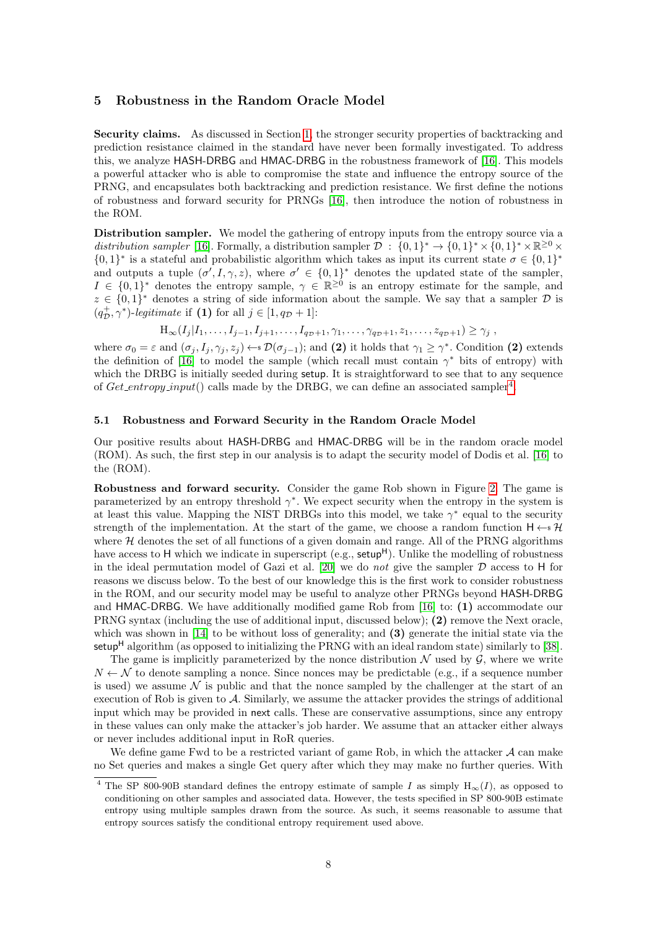## <span id="page-7-0"></span>5 Robustness in the Random Oracle Model

Security claims. As discussed in Section [1,](#page-0-1) the stronger security properties of backtracking and prediction resistance claimed in the standard have never been formally investigated. To address this, we analyze HASH-DRBG and HMAC-DRBG in the robustness framework of [\[16\]](#page-23-0). This models a powerful attacker who is able to compromise the state and influence the entropy source of the PRNG, and encapsulates both backtracking and prediction resistance. We first define the notions of robustness and forward security for PRNGs [\[16\]](#page-23-0), then introduce the notion of robustness in the ROM.

Distribution sampler. We model the gathering of entropy inputs from the entropy source via a distribution sampler [\[16\]](#page-23-0). Formally, a distribution sampler  $\mathcal{D}$  :  $\{0,1\}^* \to \{0,1\}^* \times \{0,1\}^* \times \mathbb{R}^{\geq 0} \times$  $\{0,1\}^*$  is a stateful and probabilistic algorithm which takes as input its current state  $\sigma \in \{0,1\}^*$ and outputs a tuple  $(\sigma', I, \gamma, z)$ , where  $\sigma' \in \{0,1\}^*$  denotes the updated state of the sampler,  $I \in \{0,1\}^*$  denotes the entropy sample,  $\gamma \in \mathbb{R}^{\geq 0}$  is an entropy estimate for the sample, and  $z \in \{0,1\}^*$  denotes a string of side information about the sample. We say that a sampler  $\mathcal{D}$  is  $(q_{\mathcal{D}}^+, \gamma^*)$ -legitimate if (1) for all  $j \in [1, q_{\mathcal{D}} + 1]$ :

$$
H_{\infty}(I_j|I_1,\ldots,I_{j-1},I_{j+1},\ldots,I_{q_{\mathcal{D}}+1},\gamma_1,\ldots,\gamma_{q_{\mathcal{D}}+1},z_1,\ldots,z_{q_{\mathcal{D}}+1})\geq \gamma_j,
$$

where  $\sigma_0 = \varepsilon$  and  $(\sigma_j, I_j, \gamma_j, z_j) \leftarrow \mathcal{D}(\sigma_{j-1})$ ; and (2) it holds that  $\gamma_1 \geq \gamma^*$ . Condition (2) extends the definition of [\[16\]](#page-23-0) to model the sample (which recall must contain  $\gamma^*$  bits of entropy) with which the DRBG is initially seeded during setup. It is straightforward to see that to any sequence of  $Get\_entropy\_input()$  calls made by the DRBG, we can define an associated sampler<sup>[4](#page-0-0)</sup>.

#### 5.1 Robustness and Forward Security in the Random Oracle Model

Our positive results about HASH-DRBG and HMAC-DRBG will be in the random oracle model (ROM). As such, the first step in our analysis is to adapt the security model of Dodis et al. [\[16\]](#page-23-0) to the (ROM).

Robustness and forward security. Consider the game Rob shown in Figure [2.](#page-9-0) The game is parameterized by an entropy threshold  $\gamma^*$ . We expect security when the entropy in the system is at least this value. Mapping the NIST DRBGs into this model, we take  $\gamma^*$  equal to the security strength of the implementation. At the start of the game, we choose a random function  $H \leftarrow^* \mathcal{H}$ where  $H$  denotes the set of all functions of a given domain and range. All of the PRNG algorithms have access to H which we indicate in superscript (e.g.,  $\mathsf{setup}^{\mathsf{H}}$ ). Unlike the modelling of robustness in the ideal permutation model of Gazi et al. [\[20\]](#page-23-10) we do not give the sampler  $D$  access to H for reasons we discuss below. To the best of our knowledge this is the first work to consider robustness in the ROM, and our security model may be useful to analyze other PRNGs beyond HASH-DRBG and HMAC-DRBG. We have additionally modified game Rob from [\[16\]](#page-23-0) to: (1) accommodate our PRNG syntax (including the use of additional input, discussed below); (2) remove the Next oracle, which was shown in  $[14]$  to be without loss of generality; and (3) generate the initial state via the setup<sup>H</sup> algorithm (as opposed to initializing the PRNG with an ideal random state) similarly to [\[38\]](#page-24-7).

The game is implicitly parameterized by the nonce distribution  $\mathcal N$  used by  $\mathcal G$ , where we write  $N \leftarrow \mathcal{N}$  to denote sampling a nonce. Since nonces may be predictable (e.g., if a sequence number is used) we assume  $\mathcal N$  is public and that the nonce sampled by the challenger at the start of an execution of Rob is given to A. Similarly, we assume the attacker provides the strings of additional input which may be provided in next calls. These are conservative assumptions, since any entropy in these values can only make the attacker's job harder. We assume that an attacker either always or never includes additional input in RoR queries.

We define game Fwd to be a restricted variant of game Rob, in which the attacker  $A$  can make no Set queries and makes a single Get query after which they may make no further queries. With

<sup>&</sup>lt;sup>4</sup> The SP 800-90B standard defines the entropy estimate of sample I as simply  $H_{\infty}(I)$ , as opposed to conditioning on other samples and associated data. However, the tests specified in SP 800-90B estimate entropy using multiple samples drawn from the source. As such, it seems reasonable to assume that entropy sources satisfy the conditional entropy requirement used above.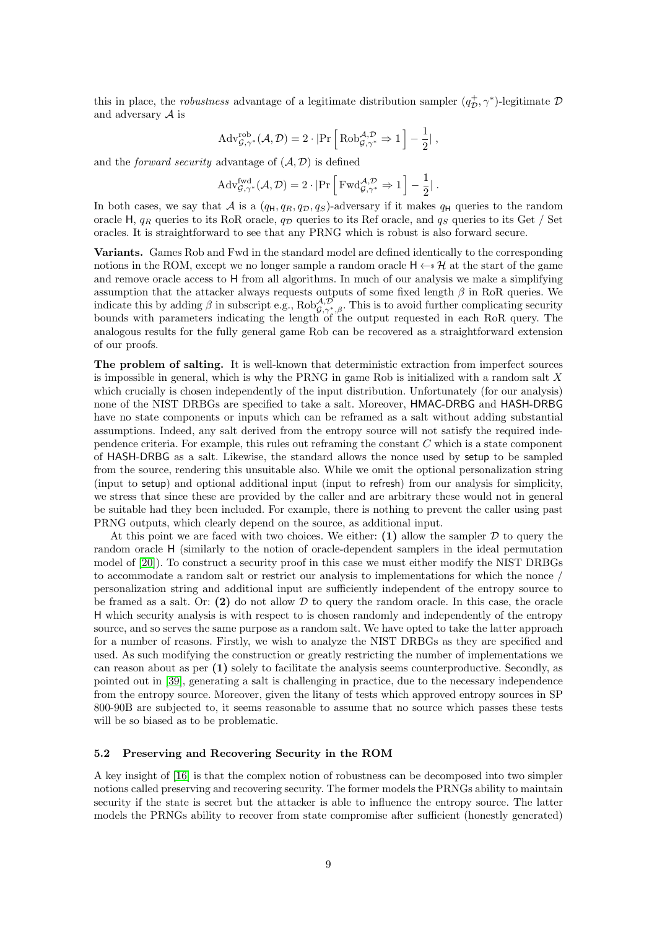this in place, the *robustness* advantage of a legitimate distribution sampler  $(q^+_{\mathcal{D}}, \gamma^*)$ -legitimate  $\mathcal{D}$ and adversary  $A$  is

$$
\mathrm{Adv}_{\mathcal{G},\gamma^*}^{\mathrm{rob}}(\mathcal{A},\mathcal{D}) = 2 \cdot |\mathrm{Pr}\left[\, \mathrm{Rob}_{\mathcal{G},\gamma^*}^{\mathcal{A},\mathcal{D}} \Rightarrow 1 \,\right] - \frac{1}{2}|\;,
$$

and the *forward security* advantage of  $(A, D)$  is defined

$$
\mathrm{Adv}_{\mathcal{G},\gamma^*}^{\mathrm{fwd}}(\mathcal{A},\mathcal{D})=2\cdot\left|\Pr\left[\left.\mathrm{Fwd}_{\mathcal{G},\gamma^*}^{\mathcal{A},\mathcal{D}}\Rightarrow 1\right.\right]-\frac{1}{2}\right|\,.
$$

In both cases, we say that A is a  $(q_H, q_H, q_D, q_S)$ -adversary if it makes  $q_H$  queries to the random oracle H,  $q_R$  queries to its RoR oracle,  $q_D$  queries to its Ref oracle, and  $q_S$  queries to its Get / Set oracles. It is straightforward to see that any PRNG which is robust is also forward secure.

Variants. Games Rob and Fwd in the standard model are defined identically to the corresponding notions in the ROM, except we no longer sample a random oracle  $H \leftarrow \mathcal{H}$  at the start of the game and remove oracle access to H from all algorithms. In much of our analysis we make a simplifying assumption that the attacker always requests outputs of some fixed length  $\beta$  in RoR queries. We indicate this by adding  $\beta$  in subscript e.g.,  $\text{Rob}_{\mathcal{G},\gamma^*,\beta}^{\mathcal{A},\mathcal{D}}$ . This is to avoid further complicating security bounds with parameters indicating the length of the output requested in each RoR query. The analogous results for the fully general game Rob can be recovered as a straightforward extension of our proofs.

The problem of salting. It is well-known that deterministic extraction from imperfect sources is impossible in general, which is why the PRNG in game Rob is initialized with a random salt X which crucially is chosen independently of the input distribution. Unfortunately (for our analysis) none of the NIST DRBGs are specified to take a salt. Moreover, HMAC-DRBG and HASH-DRBG have no state components or inputs which can be reframed as a salt without adding substantial assumptions. Indeed, any salt derived from the entropy source will not satisfy the required independence criteria. For example, this rules out reframing the constant C which is a state component of HASH-DRBG as a salt. Likewise, the standard allows the nonce used by setup to be sampled from the source, rendering this unsuitable also. While we omit the optional personalization string (input to setup) and optional additional input (input to refresh) from our analysis for simplicity, we stress that since these are provided by the caller and are arbitrary these would not in general be suitable had they been included. For example, there is nothing to prevent the caller using past PRNG outputs, which clearly depend on the source, as additional input.

At this point we are faced with two choices. We either: (1) allow the sampler  $D$  to query the random oracle H (similarly to the notion of oracle-dependent samplers in the ideal permutation model of [\[20\]](#page-23-10)). To construct a security proof in this case we must either modify the NIST DRBGs to accommodate a random salt or restrict our analysis to implementations for which the nonce / personalization string and additional input are sufficiently independent of the entropy source to be framed as a salt. Or: (2) do not allow  $\mathcal D$  to query the random oracle. In this case, the oracle H which security analysis is with respect to is chosen randomly and independently of the entropy source, and so serves the same purpose as a random salt. We have opted to take the latter approach for a number of reasons. Firstly, we wish to analyze the NIST DRBGs as they are specified and used. As such modifying the construction or greatly restricting the number of implementations we can reason about as per (1) solely to facilitate the analysis seems counterproductive. Secondly, as pointed out in [\[39\]](#page-24-5), generating a salt is challenging in practice, due to the necessary independence from the entropy source. Moreover, given the litany of tests which approved entropy sources in SP 800-90B are subjected to, it seems reasonable to assume that no source which passes these tests will be so biased as to be problematic.

#### 5.2 Preserving and Recovering Security in the ROM

A key insight of [\[16\]](#page-23-0) is that the complex notion of robustness can be decomposed into two simpler notions called preserving and recovering security. The former models the PRNGs ability to maintain security if the state is secret but the attacker is able to influence the entropy source. The latter models the PRNGs ability to recover from state compromise after sufficient (honestly generated)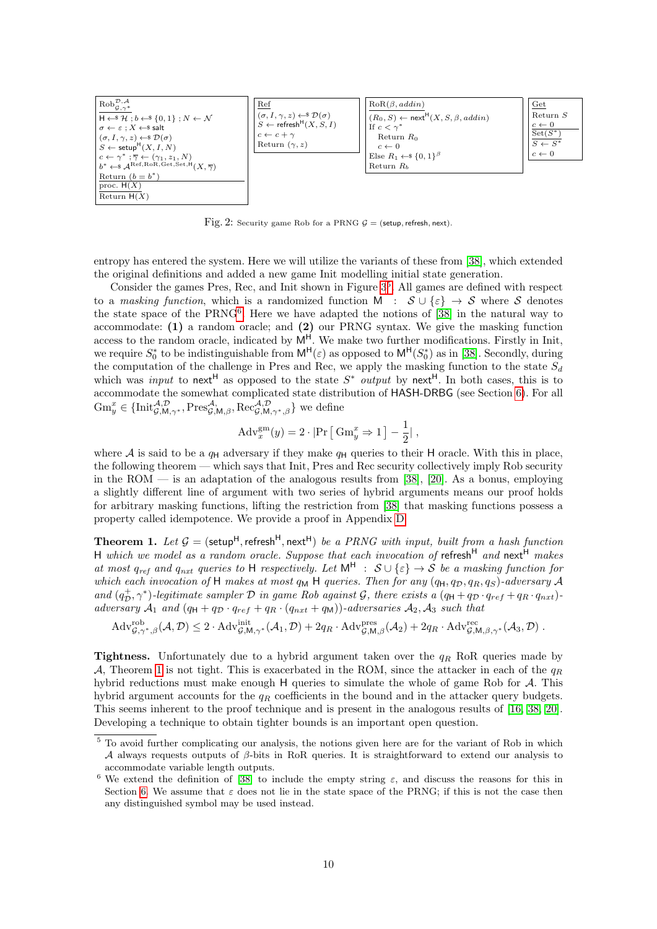<span id="page-9-0"></span>

Fig. 2: Security game Rob for a PRNG  $G =$  (setup, refresh, next).

entropy has entered the system. Here we will utilize the variants of these from [\[38\]](#page-24-7), which extended the original definitions and added a new game Init modelling initial state generation.

Consider the games Pres, Rec, and Init shown in Figure  $3<sup>5</sup>$  $3<sup>5</sup>$  $3<sup>5</sup>$ . All games are defined with respect to a masking function, which is a randomized function M :  $S \cup \{\varepsilon\} \to S$  where S denotes the state space of the PRNG<sup>[6](#page-0-0)</sup>. Here we have adapted the notions of [\[38\]](#page-24-7) in the natural way to accommodate:  $(1)$  a random oracle; and  $(2)$  our PRNG syntax. We give the masking function access to the random oracle, indicated by  $M<sup>H</sup>$ . We make two further modifications. Firstly in Init, we require  $S_0^*$  to be indistinguishable from  $\mathsf{M}^{\mathsf{H}}(\varepsilon)$  as opposed to  $\mathsf{M}^{\mathsf{H}}(S_0^*)$  as in [\[38\]](#page-24-7). Secondly, during the computation of the challenge in Pres and Rec, we apply the masking function to the state  $S_d$ which was *input* to next<sup>H</sup> as opposed to the state  $S^*$  *output* by next<sup>H</sup>. In both cases, this is to accommodate the somewhat complicated state distribution of HASH-DRBG (see Section [6\)](#page-10-0). For all  $\text{Gm}_{y}^{x} \in \{\text{Init}_{\mathcal{G},\mathsf{M},\gamma^{*}}^{\mathcal{A},\mathcal{D}},\text{Pres}_{\mathcal{G},\mathsf{M},\beta}^{\mathcal{A},\mathcal{D}},\text{Rec}_{\mathcal{G},\mathsf{M},\gamma^{*},\beta}^{\mathcal{A},\mathcal{D}}\}$  we define

$$
Adv_x^{gm}(y) = 2 \cdot |Pr [Gm_y^x \Rightarrow 1] - \frac{1}{2}|,
$$

where A is said to be a  $q_H$  adversary if they make  $q_H$  queries to their H oracle. With this in place, the following theorem — which says that Init, Pres and Rec security collectively imply Rob security in the ROM — is an adaptation of the analogous results from [\[38\]](#page-24-7), [\[20\]](#page-23-10). As a bonus, employing a slightly different line of argument with two series of hybrid arguments means our proof holds for arbitrary masking functions, lifting the restriction from [\[38\]](#page-24-7) that masking functions possess a property called idempotence. We provide a proof in Appendix [D.](#page-27-0)

<span id="page-9-1"></span>**Theorem 1.** Let  $G = ($ setup<sup>H</sup>, refresh<sup>H</sup>, next<sup>H</sup>) be a PRNG with input, built from a hash function H which we model as a random oracle. Suppose that each invocation of refresh<sup>H</sup> and next<sup>H</sup> makes at most  $q_{ref}$  and  $q_{nxt}$  queries to H respectively. Let  $\mathsf{M}^{\mathsf{H}}$  :  $\mathcal{S} \cup \{\varepsilon\} \to \mathcal{S}$  be a masking function for which each invocation of H makes at most  $q_M$  H queries. Then for any  $(q_H, q_D, q_R, q_S)$ -adversary A and  $(q_D^+, \gamma^*)$ -legitimate sampler  $\mathcal D$  in game Rob against  $\mathcal G$ , there exists a  $(q_H + q_D \cdot q_{ref} + q_R \cdot q_{nxt})$ adversary  $A_1$  and  $(q_H + q_D \cdot q_{ref} + q_R \cdot (q_{nxt} + q_M))$ -adversaries  $A_2, A_3$  such that

$$
\mathrm{Adv}_{\mathcal{G},\gamma^*,\beta}^{\mathrm{rob}}(\mathcal{A},\mathcal{D}) \leq 2\cdot \mathrm{Adv}_{\mathcal{G},\mathsf{M},\gamma^*}^{\mathrm{init}}(\mathcal{A}_1,\mathcal{D}) + 2q_R\cdot \mathrm{Adv}_{\mathcal{G},\mathsf{M},\beta}^{\mathrm{pres}}(\mathcal{A}_2) + 2q_R\cdot \mathrm{Adv}_{\mathcal{G},\mathsf{M},\beta,\gamma^*}^{\mathrm{rec}}(\mathcal{A}_3,\mathcal{D}) .
$$

**Tightness.** Unfortunately due to a hybrid argument taken over the  $q_R$  RoR queries made by A, Theorem [1](#page-9-1) is not tight. This is exacerbated in the ROM, since the attacker in each of the  $q_R$ hybrid reductions must make enough H queries to simulate the whole of game Rob for A. This hybrid argument accounts for the  $q_R$  coefficients in the bound and in the attacker query budgets. This seems inherent to the proof technique and is present in the analogous results of [\[16,](#page-23-0) [38,](#page-24-7) [20\]](#page-23-10). Developing a technique to obtain tighter bounds is an important open question.

 $\frac{5}{5}$  To avoid further complicating our analysis, the notions given here are for the variant of Rob in which A always requests outputs of  $\beta$ -bits in RoR queries. It is straightforward to extend our analysis to accommodate variable length outputs.

<sup>&</sup>lt;sup>6</sup> We extend the definition of [\[38\]](#page-24-7) to include the empty string  $\varepsilon$ , and discuss the reasons for this in Section [6.](#page-10-0) We assume that  $\varepsilon$  does not lie in the state space of the PRNG; if this is not the case then any distinguished symbol may be used instead.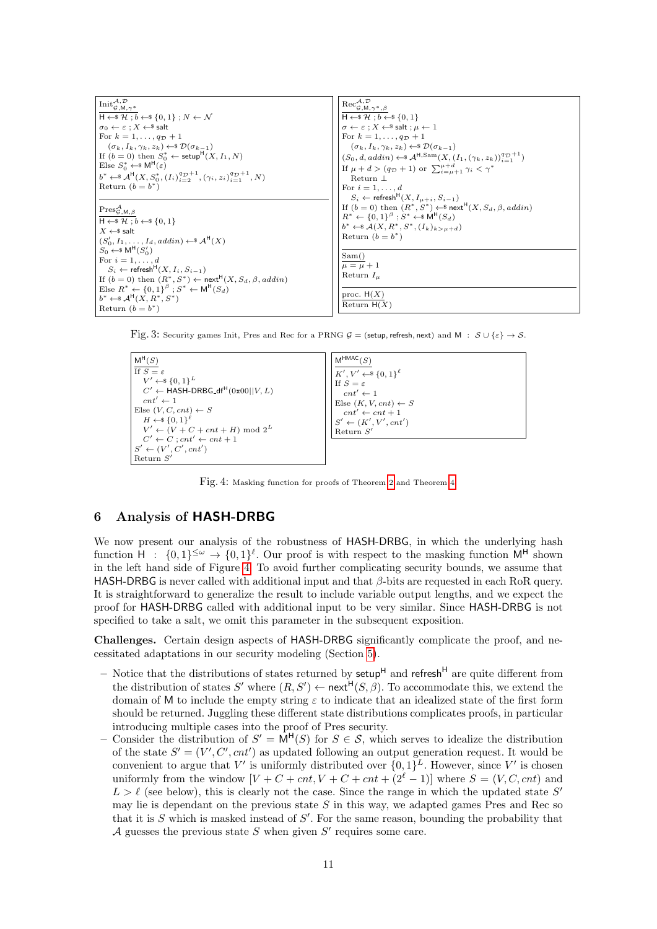<span id="page-10-1"></span>

| $\text{Init}_{\mathcal{G}, \mathsf{M}, \gamma^*}^{\mathcal{A}, \mathcal{D}}$                                              | $\begin{cases} \frac{\operatorname{Rec}^{\mathcal{A}}_{\mathcal{G},M,\gamma^*,\beta}}{\operatorname{H}\leftarrow\mathbb{S}^{\mathcal{A}}\{l,\,b\rightleftharpoons\{0,1\}} \\ \sigma\leftarrow\varepsilon\;;X\leftarrow\mathbb{s}\;\text{sat}\;;\,\mu\leftarrow 1 \\ \text{For}\;k=1,\ldots,q\,\!p+1 \\ (\sigma_k,I_k,\gamma_k,z_k)\leftarrow\mathbb{s}\;\mathcal{D}(\sigma_{k-1}) \\ (S_0,d,addin)\leftarrow\mathbb{s}\;\mathcal{A}^{\mathsf{H},\mathrm{Sam}}(X,\left(I_1,(\gamma_k,z_k)\right)_{i=1}^{q$ |
|---------------------------------------------------------------------------------------------------------------------------|-----------------------------------------------------------------------------------------------------------------------------------------------------------------------------------------------------------------------------------------------------------------------------------------------------------------------------------------------------------------------------------------------------------------------------------------------------------------------------------------------------------|
| $H \leftarrow \$\mathcal{H}: b \leftarrow \$\{0,1\}: N \leftarrow \mathcal{N}$                                            |                                                                                                                                                                                                                                                                                                                                                                                                                                                                                                           |
| $\sigma_0 \leftarrow \varepsilon$ ; $X \leftarrow$ salt                                                                   |                                                                                                                                                                                                                                                                                                                                                                                                                                                                                                           |
| For $k = 1, \ldots, q_{\mathcal{D}} + 1$                                                                                  |                                                                                                                                                                                                                                                                                                                                                                                                                                                                                                           |
| $(\sigma_k, I_k, \gamma_k, z_k) \leftarrow \mathcal{D}(\sigma_{k-1})$                                                     |                                                                                                                                                                                                                                                                                                                                                                                                                                                                                                           |
| If $(b = 0)$ then $S_0^* \leftarrow \mathsf{setup}^H(X, I_1, N)$                                                          |                                                                                                                                                                                                                                                                                                                                                                                                                                                                                                           |
| Else $S_0^* \leftarrow^* M^H(\varepsilon)$                                                                                |                                                                                                                                                                                                                                                                                                                                                                                                                                                                                                           |
| $b^* \leftarrow \mathcal{A}^H(X, S_0^*, (I_i)_{i=2}^{q} \mathcal{D}^{+1}, (\gamma_i, z_i)_{i=1}^{q} \mathcal{D}^{+1}, N)$ | Return 1                                                                                                                                                                                                                                                                                                                                                                                                                                                                                                  |
| Return $(b = b^*)$                                                                                                        | For $i=1,\ldots,d$                                                                                                                                                                                                                                                                                                                                                                                                                                                                                        |
|                                                                                                                           | $S_i \leftarrow$ refresh <sup>H</sup> $(X, I_{\mu+i}, S_{i-1})$                                                                                                                                                                                                                                                                                                                                                                                                                                           |
| $\mathrm{Pres}_{\mathcal{G},\mathsf{M},\beta}^{\mathcal{A}}$                                                              | $R^* \leftarrow \{0, 1\}^\beta; S^* \leftarrow \text{M}^*(X, S_d, \beta, \text{addin})$<br>$R^* \leftarrow \{0, 1\}^\beta; S^* \leftarrow \text{M}^*(S_d)$<br>$b^* \leftarrow \text{A}(X, R^*, S^*, (I_k)_{k > \mu + d})$<br>Return $(b = b^*)$                                                                                                                                                                                                                                                           |
| $H \leftarrow \$ \mathcal{H} : b \leftarrow \$ \{0, 1\}$                                                                  |                                                                                                                                                                                                                                                                                                                                                                                                                                                                                                           |
| $X \leftarrow$ \$ salt                                                                                                    |                                                                                                                                                                                                                                                                                                                                                                                                                                                                                                           |
| $(S'_0, I_1, \ldots, I_d, addin) \leftarrow \mathcal{A}^{\mathsf{H}}(X)$                                                  |                                                                                                                                                                                                                                                                                                                                                                                                                                                                                                           |
| $S_0 \leftarrow$ M <sup>H</sup> $(S'_0)$                                                                                  |                                                                                                                                                                                                                                                                                                                                                                                                                                                                                                           |
| For $i=1,\ldots,d$                                                                                                        | Sam()                                                                                                                                                                                                                                                                                                                                                                                                                                                                                                     |
| $S_i \leftarrow$ refresh <sup>H</sup> $(X, I_i, S_{i-1})$                                                                 | $\mu = \mu + 1$                                                                                                                                                                                                                                                                                                                                                                                                                                                                                           |
| If $(b = 0)$ then $(R^*, S^*) \leftarrow \text{next}^H(X, S_d, \beta, \text{add} \text{in})$                              | Return $I_{\mu}$                                                                                                                                                                                                                                                                                                                                                                                                                                                                                          |
| Else $R^* \leftarrow \{0,1\}^{\beta}$ ; $S^* \leftarrow \mathsf{M}^{\mathsf{H}}(S_d)$                                     |                                                                                                                                                                                                                                                                                                                                                                                                                                                                                                           |
| $b^* \leftarrow \mathcal{A}^{\mathsf{H}}(X, R^*, S^*)$                                                                    | proc. $H(X)$                                                                                                                                                                                                                                                                                                                                                                                                                                                                                              |
| Return $(b = b^*)$                                                                                                        | Return $H(X)$                                                                                                                                                                                                                                                                                                                                                                                                                                                                                             |

Fig. 3: Security games Init, Pres and Rec for a PRNG  $\mathcal{G} =$  (setup, refresh, next) and M :  $\mathcal{S} \cup \{\varepsilon\} \to \mathcal{S}$ .

<span id="page-10-2"></span>

Fig. 4: Masking function for proofs of Theorem [2](#page-11-0) and Theorem [4.](#page-14-0)

## <span id="page-10-0"></span>6 Analysis of HASH-DRBG

We now present our analysis of the robustness of HASH-DRBG, in which the underlying hash function  $H : \{0,1\}^{\leq \omega} \to \{0,1\}^{\ell}$ . Our proof is with respect to the masking function  $M^H$  shown in the left hand side of Figure [4.](#page-10-2) To avoid further complicating security bounds, we assume that HASH-DRBG is never called with additional input and that  $\beta$ -bits are requested in each RoR query. It is straightforward to generalize the result to include variable output lengths, and we expect the proof for HASH-DRBG called with additional input to be very similar. Since HASH-DRBG is not specified to take a salt, we omit this parameter in the subsequent exposition.

Challenges. Certain design aspects of HASH-DRBG significantly complicate the proof, and necessitated adaptations in our security modeling (Section [5\)](#page-7-0).

- Notice that the distributions of states returned by setup<sup>H</sup> and refresh<sup>H</sup> are quite different from the distribution of states S' where  $(R, S') \leftarrow \text{next}^{\text{H}}(S, \beta)$ . To accommodate this, we extend the domain of M to include the empty string  $\varepsilon$  to indicate that an idealized state of the first form should be returned. Juggling these different state distributions complicates proofs, in particular introducing multiple cases into the proof of Pres security.
- Consider the distribution of  $S' = \mathsf{M}^{\mathsf{H}}(S)$  for  $S \in \mathcal{S}$ , which serves to idealize the distribution of the state  $S' = (V', C', ent')$  as updated following an output generation request. It would be convenient to argue that V' is uniformly distributed over  $\{0,1\}^L$ . However, since V' is chosen uniformly from the window  $[V + C + cnt, V + C + cnt + (2<sup>\ell</sup> - 1)]$  where  $S = (V, C, cnt)$  and  $L > \ell$  (see below), this is clearly not the case. Since the range in which the updated state S' may lie is dependant on the previous state  $S$  in this way, we adapted games Pres and Rec so that it is  $S$  which is masked instead of  $S'$ . For the same reason, bounding the probability that  $A$  guesses the previous state S when given  $S'$  requires some care.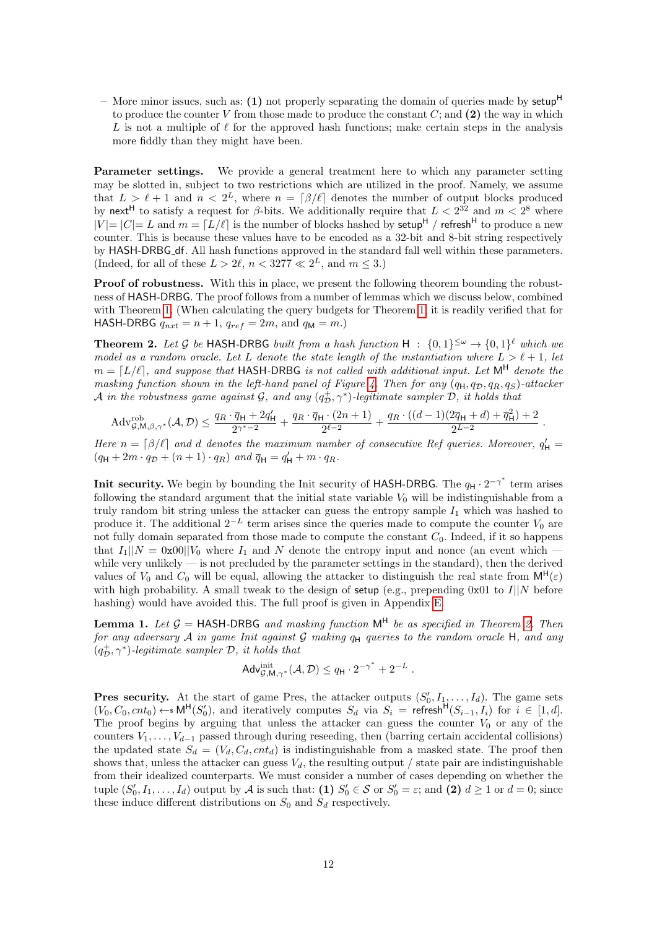– More minor issues, such as: (1) not properly separating the domain of queries made by setup<sup>H</sup> to produce the counter  $V$  from those made to produce the constant  $C$ ; and  $(2)$  the way in which L is not a multiple of  $\ell$  for the approved hash functions; make certain steps in the analysis more fiddly than they might have been.

Parameter settings. We provide a general treatment here to which any parameter setting may be slotted in, subject to two restrictions which are utilized in the proof. Namely, we assume that  $L > \ell + 1$  and  $n < 2^L$ , where  $n = \lfloor \beta/\ell \rfloor$  denotes the number of output blocks produced by next<sup>H</sup> to satisfy a request for  $\beta$ -bits. We additionally require that  $L < 2^{32}$  and  $m < 2^8$  where  $|V| = |C| = L$  and  $m = \lceil L/\ell \rceil$  is the number of blocks hashed by setup<sup>H</sup> / refresh<sup>H</sup> to produce a new counter. This is because these values have to be encoded as a 32-bit and 8-bit string respectively by HASH-DRBG df. All hash functions approved in the standard fall well within these parameters. (Indeed, for all of these  $L > 2\ell$ ,  $n < 3277 \ll 2^L$ , and  $m \leq 3$ .)

Proof of robustness. With this in place, we present the following theorem bounding the robustness of HASH-DRBG. The proof follows from a number of lemmas which we discuss below, combined with Theorem [1.](#page-9-1) (When calculating the query budgets for Theorem [1,](#page-9-1) it is readily verified that for HASH-DRBG  $q_{nxt} = n + 1$ ,  $q_{ref} = 2m$ , and  $q_M = m$ .)

**Theorem 2.** Let G be HASH-DRBG built from a hash function  $H : \{0,1\}^{\leq \omega} \to \{0,1\}^{\ell}$  which we model as a random oracle. Let L denote the state length of the instantiation where  $L > \ell + 1$ , let  $m = [L/\ell]$ , and suppose that HASH-DRBG is not called with additional input. Let  $M^H$  denote the masking function shown in the left-hand panel of Figure [4.](#page-10-2) Then for any  $(q_H, q_D, q_B, q_S)$ -attacker A in the robustness game against G, and any  $(q_\mathcal{D}^+, \gamma^*)$ -legitimate sampler  $\mathcal{D},$  it holds that

<span id="page-11-0"></span>
$$
\mathrm{Adv}_{\mathcal{G}, \mathsf{M}, \beta, \gamma^*}^{\mathrm{rob}}(\mathcal{A}, \mathcal{D}) \le \frac{q_R \cdot \overline{q}_{\mathsf{H}} + 2q_{\mathsf{H}}'}{2^{\gamma^*-2}} + \frac{q_R \cdot \overline{q}_{\mathsf{H}} \cdot (2n+1)}{2^{\ell-2}} + \frac{q_R \cdot ((d-1)(2\overline{q}_{\mathsf{H}} + d) + \overline{q}_{\mathsf{H}}^2) + 2}{2^{L-2}}.
$$

Here  $n = \lfloor \beta/\ell \rfloor$  and d denotes the maximum number of consecutive Ref queries. Moreover,  $q'_{\mathsf{H}} =$  $(q_H + 2m \cdot q_D + (n+1) \cdot q_R)$  and  $\overline{q}_H = q'_H + m \cdot q_R$ .

**Init security.** We begin by bounding the Init security of HASH-DRBG. The  $q_H \cdot 2^{-\gamma^*}$  term arises following the standard argument that the initial state variable  $V_0$  will be indistinguishable from a truly random bit string unless the attacker can guess the entropy sample  $I_1$  which was hashed to produce it. The additional  $2^{-L}$  term arises since the queries made to compute the counter  $V_0$  are not fully domain separated from those made to compute the constant  $C_0$ . Indeed, if it so happens that  $I_1||N = 0x00||V_0$  where  $I_1$  and N denote the entropy input and nonce (an event which – while very unlikely — is not precluded by the parameter settings in the standard), then the derived values of  $V_0$  and  $C_0$  will be equal, allowing the attacker to distinguish the real state from  $\mathsf{M}^{\mathsf{H}}(\varepsilon)$ with high probability. A small tweak to the design of setup (e.g., prepending  $0x01$  to  $I||N$  before hashing) would have avoided this. The full proof is given in Appendix [E.](#page-29-0)

**Lemma 1.** Let  $\mathcal{G} = \text{HASH-DRBG}$  and masking function  $\mathsf{M}^{\text{H}}$  be as specified in Theorem [2.](#page-11-0) Then for any adversary A in game Init against G making  $q_H$  queries to the random oracle H, and any  $(q_{\mathcal{D}}^{+}, \gamma^*)$ -legitimate sampler  $\mathcal{D}$ , it holds that

<span id="page-11-1"></span>
$$
\mathsf{Adv}_{\mathcal{G}, \mathsf{M}, \gamma^*}^{\text{init}}(\mathcal{A}, \mathcal{D}) \le q_{\mathsf{H}} \cdot 2^{-\gamma^*} + 2^{-L}.
$$

<span id="page-11-2"></span>**Pres security.** At the start of game Pres, the attacker outputs  $(S'_0, I_1, \ldots, I_d)$ . The game sets  $(V_0, C_0, ent_0) \leftarrow^* M^{\mathsf{H}}(S'_0)$ , and iteratively computes  $S_d$  via  $S_i$  = refresh  $^{\mathsf{H}}(S_{i-1}, I_i)$  for  $i \in [1, d]$ . The proof begins by arguing that unless the attacker can guess the counter  $V_0$  or any of the counters  $V_1, \ldots, V_{d-1}$  passed through during reseeding, then (barring certain accidental collisions) the updated state  $S_d = (V_d, C_d, ent_d)$  is indistinguishable from a masked state. The proof then shows that, unless the attacker can guess  $V_d$ , the resulting output / state pair are indistinguishable from their idealized counterparts. We must consider a number of cases depending on whether the tuple  $(S'_0, I_1, \ldots, I_d)$  output by A is such that: (1)  $S'_0 \in S$  or  $S'_0 = \varepsilon$ ; and (2)  $d \ge 1$  or  $d = 0$ ; since these induce different distributions on  $S_0$  and  $S_d$  respectively.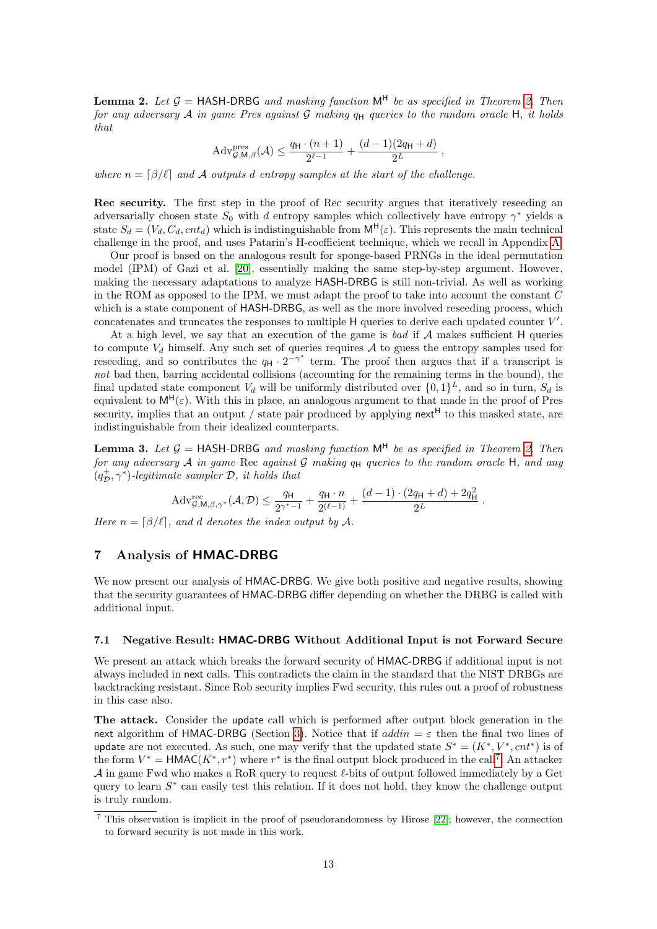**Lemma [2.](#page-11-0)** Let  $\mathcal{G} =$  HASH-DRBG and masking function  $\mathsf{M}^{\mathsf{H}}$  be as specified in Theorem 2. Then for any adversary A in game Pres against G making  $q_H$  queries to the random oracle H, it holds that

$$
\mathrm{Adv}_{\mathcal{G}, \mathsf{M}, \beta}^{\mathrm{pres}}(\mathcal{A}) \le \frac{q_{\mathsf{H}} \cdot (n+1)}{2^{\ell-1}} + \frac{(d-1)(2q_{\mathsf{H}}+d)}{2^L}
$$

,

where  $n = \lfloor \beta/\ell \rfloor$  and A outputs d entropy samples at the start of the challenge.

Rec security. The first step in the proof of Rec security argues that iteratively reseeding an adversarially chosen state  $S_0$  with d entropy samples which collectively have entropy  $\gamma^*$  yields a state  $S_d = (V_d, C_d, ent_d)$  which is indistinguishable from  $\mathsf{M}^{\mathsf{H}}(\varepsilon)$ . This represents the main technical challenge in the proof, and uses Patarin's H-coefficient technique, which we recall in Appendix [A.](#page-25-0)

Our proof is based on the analogous result for sponge-based PRNGs in the ideal permutation model (IPM) of Gazi et al. [\[20\]](#page-23-10), essentially making the same step-by-step argument. However, making the necessary adaptations to analyze HASH-DRBG is still non-trivial. As well as working in the ROM as opposed to the IPM, we must adapt the proof to take into account the constant  $C$ which is a state component of HASH-DRBG, as well as the more involved reseeding process, which concatenates and truncates the responses to multiple  $H$  queries to derive each updated counter  $V'$ .

At a high level, we say that an execution of the game is bad if  $A$  makes sufficient H queries to compute  $V_d$  himself. Any such set of queries requires  $A$  to guess the entropy samples used for reseeding, and so contributes the  $q_H \cdot 2^{-\gamma^*}$  term. The proof then argues that if a transcript is not bad then, barring accidental collisions (accounting for the remaining terms in the bound), the final updated state component  $V_d$  will be uniformly distributed over  $\{0,1\}^L$ , and so in turn,  $S_d$  is equivalent to  $M^H(\varepsilon)$ . With this in place, an analogous argument to that made in the proof of Pres security, implies that an output / state pair produced by applying next<sup>H</sup> to this masked state, are indistinguishable from their idealized counterparts.

<span id="page-12-0"></span>**Lemma 3.** Let  $\mathcal{G} =$  HASH-DRBG and masking function  $\mathsf{M}^{\mathsf{H}}$  be as specified in Theorem [2.](#page-11-0) Then for any adversary A in game Rec against  $\mathcal G$  making  $q_H$  queries to the random oracle H, and any  $(q_{\mathcal{D}}^{+}, \gamma^*)$ -legitimate sampler  $\mathcal{D}$ , it holds that

$$
\mathrm{Adv}_{\mathcal{G}, \mathsf{M}, \beta, \gamma^*}^{\mathrm{rec}}(\mathcal{A}, \mathcal{D}) \le \frac{q_{\mathsf{H}}}{2^{\gamma^*-1}} + \frac{q_{\mathsf{H}} \cdot n}{2^{(\ell-1)}} + \frac{(d-1) \cdot (2q_{\mathsf{H}} + d) + 2q_{\mathsf{H}}^2}{2^L}.
$$

Here  $n = \lfloor \beta/\ell \rfloor$ , and d denotes the index output by A.

## <span id="page-12-1"></span>7 Analysis of HMAC-DRBG

We now present our analysis of **HMAC-DRBG**. We give both positive and negative results, showing that the security guarantees of HMAC-DRBG differ depending on whether the DRBG is called with additional input.

#### 7.1 Negative Result: HMAC-DRBG Without Additional Input is not Forward Secure

We present an attack which breaks the forward security of HMAC-DRBG if additional input is not always included in next calls. This contradicts the claim in the standard that the NIST DRBGs are backtracking resistant. Since Rob security implies Fwd security, this rules out a proof of robustness in this case also.

The attack. Consider the update call which is performed after output block generation in the next algorithm of HMAC-DRBG (Section [3\)](#page-3-0). Notice that if  $addin = \varepsilon$  then the final two lines of update are not executed. As such, one may verify that the updated state  $S^* = (K^*, V^*, \text{cnt}^*)$  is of the form  $V^* = \text{HMAC}(K^*, r^*)$  where  $r^*$  is the final output block produced in the call<sup>[7](#page-0-0)</sup>. An attacker A in game Fwd who makes a RoR query to request  $\ell$ -bits of output followed immediately by a Get query to learn  $S^*$  can easily test this relation. If it does not hold, they know the challenge output is truly random.

<sup>7</sup> This observation is implicit in the proof of pseudorandomness by Hirose [\[22\]](#page-23-6); however, the connection to forward security is not made in this work.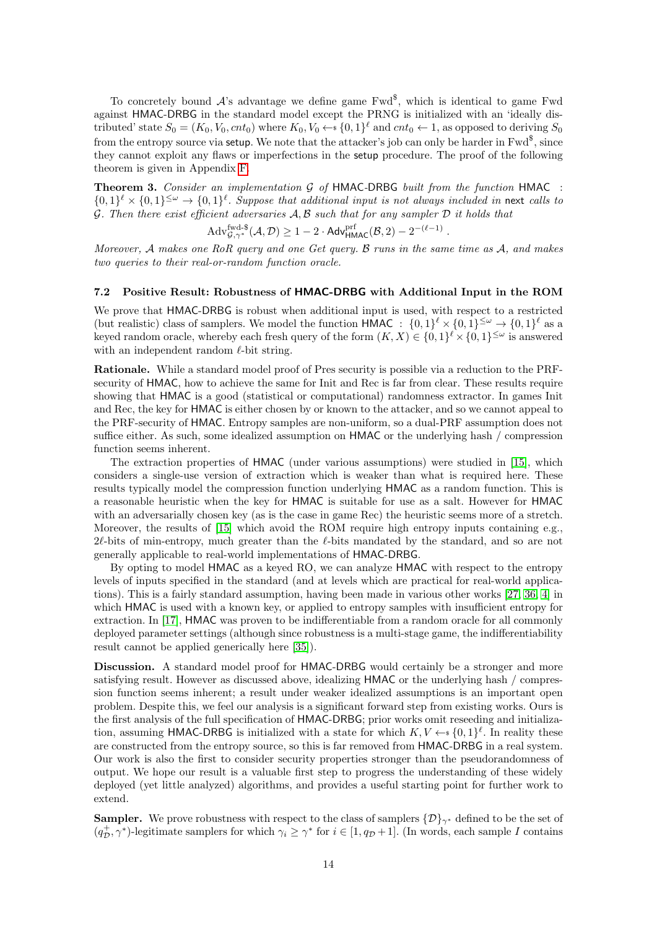To concretely bound  $A$ 's advantage we define game  $Fwd^{\$}$ , which is identical to game  $Fwd$ against HMAC-DRBG in the standard model except the PRNG is initialized with an 'ideally distributed' state  $S_0 = (K_0, V_0, ent_0)$  where  $K_0, V_0 \leftarrow \{0, 1\}^{\ell}$  and  $cnt_0 \leftarrow 1$ , as opposed to deriving  $S_0$ from the entropy source via setup. We note that the attacker's job can only be harder in  $Fwd^{\$}$ , since they cannot exploit any flaws or imperfections in the setup procedure. The proof of the following theorem is given in Appendix [F.](#page-44-0)

<span id="page-13-0"></span>**Theorem 3.** Consider an implementation  $\mathcal G$  of HMAC-DRBG built from the function HMAC :  $\{0,1\}^{\ell} \times \{0,1\}^{\leq \omega} \to \{0,1\}^{\ell}$ . Suppose that additional input is not always included in next calls to G. Then there exist efficient adversaries  $A, B$  such that for any sampler  $D$  it holds that

$$
\mathrm{Adv}_{\mathcal{G},\gamma^*}^{\mathrm{fwd-\$}}(\mathcal{A},\mathcal{D}) \ge 1-2\cdot \mathsf{Adv}_{\mathsf{HMAC}}^{\mathrm{prf}}(\mathcal{B},2)-2^{-(\ell-1)}\;.
$$

Moreover, A makes one RoR query and one Get query. B runs in the same time as A, and makes two queries to their real-or-random function oracle.

#### 7.2 Positive Result: Robustness of HMAC-DRBG with Additional Input in the ROM

We prove that HMAC-DRBG is robust when additional input is used, with respect to a restricted (but realistic) class of samplers. We model the function HMAC :  $\{0,1\}^{\ell} \times \{0,1\}^{\leq \omega} \to \{0,1\}^{\ell}$  as a keyed random oracle, whereby each fresh query of the form  $(K, X) \in \{0,1\}^{\ell} \times \{0,1\}^{\leq \omega}$  is answered with an independent random  $\ell$ -bit string.

Rationale. While a standard model proof of Pres security is possible via a reduction to the PRFsecurity of HMAC, how to achieve the same for Init and Rec is far from clear. These results require showing that HMAC is a good (statistical or computational) randomness extractor. In games Init and Rec, the key for HMAC is either chosen by or known to the attacker, and so we cannot appeal to the PRF-security of HMAC. Entropy samples are non-uniform, so a dual-PRF assumption does not suffice either. As such, some idealized assumption on HMAC or the underlying hash / compression function seems inherent.

The extraction properties of HMAC (under various assumptions) were studied in [\[15\]](#page-23-13), which considers a single-use version of extraction which is weaker than what is required here. These results typically model the compression function underlying HMAC as a random function. This is a reasonable heuristic when the key for HMAC is suitable for use as a salt. However for HMAC with an adversarially chosen key (as is the case in game Rec) the heuristic seems more of a stretch. Moreover, the results of [\[15\]](#page-23-13) which avoid the ROM require high entropy inputs containing e.g.,  $2\ell$ -bits of min-entropy, much greater than the  $\ell$ -bits mandated by the standard, and so are not generally applicable to real-world implementations of HMAC-DRBG.

By opting to model HMAC as a keyed RO, we can analyze HMAC with respect to the entropy levels of inputs specified in the standard (and at levels which are practical for real-world applications). This is a fairly standard assumption, having been made in various other works [\[27,](#page-23-14) [36,](#page-24-1) [4\]](#page-23-15) in which HMAC is used with a known key, or applied to entropy samples with insufficient entropy for extraction. In [\[17\]](#page-23-16), HMAC was proven to be indifferentiable from a random oracle for all commonly deployed parameter settings (although since robustness is a multi-stage game, the indifferentiability result cannot be applied generically here [\[35\]](#page-24-9)).

Discussion. A standard model proof for HMAC-DRBG would certainly be a stronger and more satisfying result. However as discussed above, idealizing HMAC or the underlying hash / compression function seems inherent; a result under weaker idealized assumptions is an important open problem. Despite this, we feel our analysis is a significant forward step from existing works. Ours is the first analysis of the full specification of HMAC-DRBG; prior works omit reseeding and initialization, assuming HMAC-DRBG is initialized with a state for which  $K, V \leftarrow \{0,1\}^{\ell}$ . In reality these are constructed from the entropy source, so this is far removed from HMAC-DRBG in a real system. Our work is also the first to consider security properties stronger than the pseudorandomness of output. We hope our result is a valuable first step to progress the understanding of these widely deployed (yet little analyzed) algorithms, and provides a useful starting point for further work to extend.

**Sampler.** We prove robustness with respect to the class of samplers  $\{\mathcal{D}\}_{{\gamma}*}$  defined to be the set of  $(q_D^+, \gamma^*)$ -legitimate samplers for which  $\gamma_i \geq \gamma^*$  for  $i \in [1, q_D + 1]$ . (In words, each sample I contains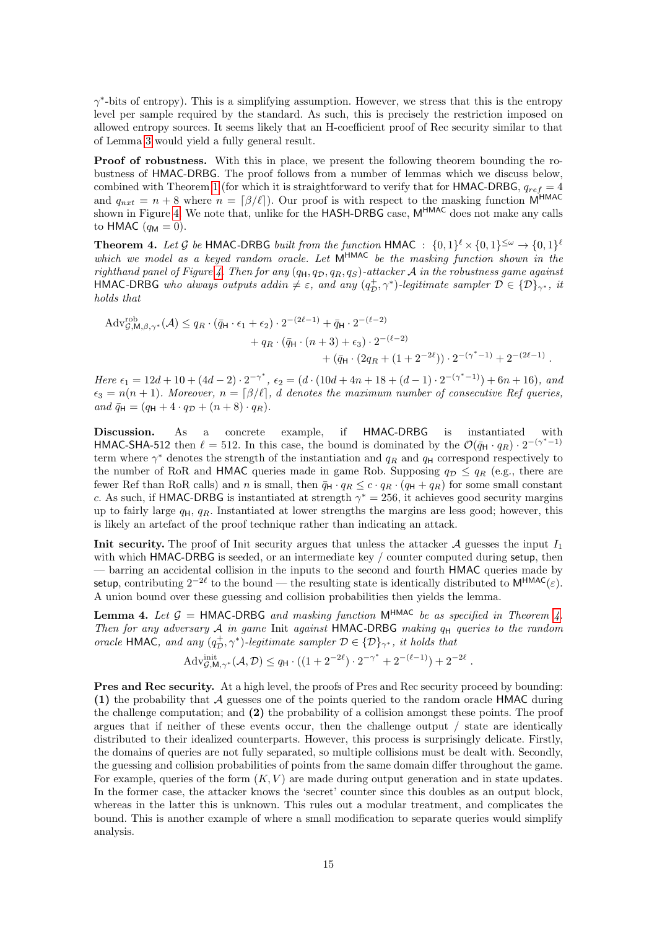$\gamma^*$ -bits of entropy). This is a simplifying assumption. However, we stress that this is the entropy level per sample required by the standard. As such, this is precisely the restriction imposed on allowed entropy sources. It seems likely that an H-coefficient proof of Rec security similar to that of Lemma [3](#page-12-0) would yield a fully general result.

Proof of robustness. With this in place, we present the following theorem bounding the robustness of HMAC-DRBG. The proof follows from a number of lemmas which we discuss below, combined with Theorem [1](#page-9-1) (for which it is straightforward to verify that for **HMAC-DRBG**,  $q_{ref} = 4$ and  $q_{nxt} = n + 8$  where  $n = \lfloor \beta/\ell \rfloor$ . Our proof is with respect to the masking function M<sup>HMAC</sup> shown in Figure [4.](#page-10-2) We note that, unlike for the HASH-DRBG case, M<sup>HMAC</sup> does not make any calls to HMAC  $(q_M = 0)$ .

<span id="page-14-0"></span>**Theorem 4.** Let G be HMAC-DRBG built from the function HMAC :  $\{0,1\}^{\ell} \times \{0,1\}^{\leq \omega} \to \{0,1\}^{\ell}$ which we model as a keyed random oracle. Let M<sup>HMAC</sup> be the masking function shown in the righthand panel of Figure [4.](#page-10-2) Then for any  $(q_H, q_D, q_R, q_S)$ -attacker A in the robustness game against HMAC-DRBG who always outputs addin  $\neq \varepsilon$ , and any  $(q_D^+, \gamma^*)$ -legitimate sampler  $D \in \{D\}_{\gamma^*}$ , it holds that

$$
Adv_{\mathcal{G}, \mathsf{M}, \beta, \gamma^*}^{rob}(\mathcal{A}) \leq q_R \cdot (\bar{q}_{\mathsf{H}} \cdot \epsilon_1 + \epsilon_2) \cdot 2^{-(2\ell-1)} + \bar{q}_{\mathsf{H}} \cdot 2^{-(\ell-2)} + q_R \cdot (\bar{q}_{\mathsf{H}} \cdot (n+3) + \epsilon_3) \cdot 2^{-(\ell-2)} + (\bar{q}_{\mathsf{H}} \cdot (2q_R + (1+2^{-2\ell})) \cdot 2^{-(\gamma^*-1)} + 2^{-(2\ell-1)}.
$$

Here  $\epsilon_1 = 12d + 10 + (4d - 2) \cdot 2^{-\gamma^*}, \ \epsilon_2 = (d \cdot (10d + 4n + 18 + (d - 1) \cdot 2^{-(\gamma^* - 1)}) + 6n + 16),$  and  $\epsilon_3 = n(n+1)$ . Moreover,  $n = \lfloor \beta/\ell \rfloor$ , d denotes the maximum number of consecutive Ref queries, and  $\bar{q}_{\mathsf{H}} = (q_{\mathsf{H}} + 4 \cdot q_{\mathcal{D}} + (n+8) \cdot q_R).$ 

Discussion. As a concrete example, if HMAC-DRBG is instantiated with HMAC-SHA-512 then  $\ell = 512$ . In this case, the bound is dominated by the  $\mathcal{O}(\bar{q}_{\rm H} \cdot q_R) \cdot 2^{-(\gamma^*-1)}$ term where  $\gamma^*$  denotes the strength of the instantiation and  $q_R$  and  $q_H$  correspond respectively to the number of RoR and HMAC queries made in game Rob. Supposing  $q_D \leq q_R$  (e.g., there are fewer Ref than RoR calls) and n is small, then  $\bar{q}_{H} \cdot q_{R} \leq c \cdot q_{R} \cdot (q_{H} + q_{R})$  for some small constant c. As such, if HMAC-DRBG is instantiated at strength  $\gamma^* = 256$ , it achieves good security margins up to fairly large  $q_H$ ,  $q_R$ . Instantiated at lower strengths the margins are less good; however, this is likely an artefact of the proof technique rather than indicating an attack.

**Init security.** The proof of Init security argues that unless the attacker  $\mathcal A$  guesses the input  $I_1$ with which HMAC-DRBG is seeded, or an intermediate key / counter computed during setup, then — barring an accidental collision in the inputs to the second and fourth HMAC queries made by setup, contributing  $2^{-2\ell}$  to the bound — the resulting state is identically distributed to  $M^{HMAC}(\varepsilon)$ . A union bound over these guessing and collision probabilities then yields the lemma.

**Lemma [4.](#page-14-0)** Let  $G = HMAC-DRBG$  and masking function  $M^{HMAC}$  be as specified in Theorem 4. Then for any adversary A in game Init against HMAC-DRBG making  $q_H$  queries to the random oracle HMAC, and any  $(q_D^+,\gamma^*)$ -legitimate sampler  $\mathcal{D} \in \{\mathcal{D}\}_{\gamma^*}$ , it holds that

<span id="page-14-1"></span>
$$
\mathrm{Adv}_{\mathcal{G},\mathsf{M},\gamma^*}^{\mathrm{init}}(\mathcal{A},\mathcal{D}) \leq q_\mathsf{H}\cdot((1+2^{-2\ell})\cdot 2^{-\gamma^*}+2^{-(\ell-1)})+2^{-2\ell}\;.
$$

<span id="page-14-2"></span>**Pres and Rec security.** At a high level, the proofs of Pres and Rec security proceed by bounding:  $(1)$  the probability that  $A$  guesses one of the points queried to the random oracle HMAC during the challenge computation; and (2) the probability of a collision amongst these points. The proof argues that if neither of these events occur, then the challenge output / state are identically distributed to their idealized counterparts. However, this process is surprisingly delicate. Firstly, the domains of queries are not fully separated, so multiple collisions must be dealt with. Secondly, the guessing and collision probabilities of points from the same domain differ throughout the game. For example, queries of the form  $(K, V)$  are made during output generation and in state updates. In the former case, the attacker knows the 'secret' counter since this doubles as an output block, whereas in the latter this is unknown. This rules out a modular treatment, and complicates the bound. This is another example of where a small modification to separate queries would simplify analysis.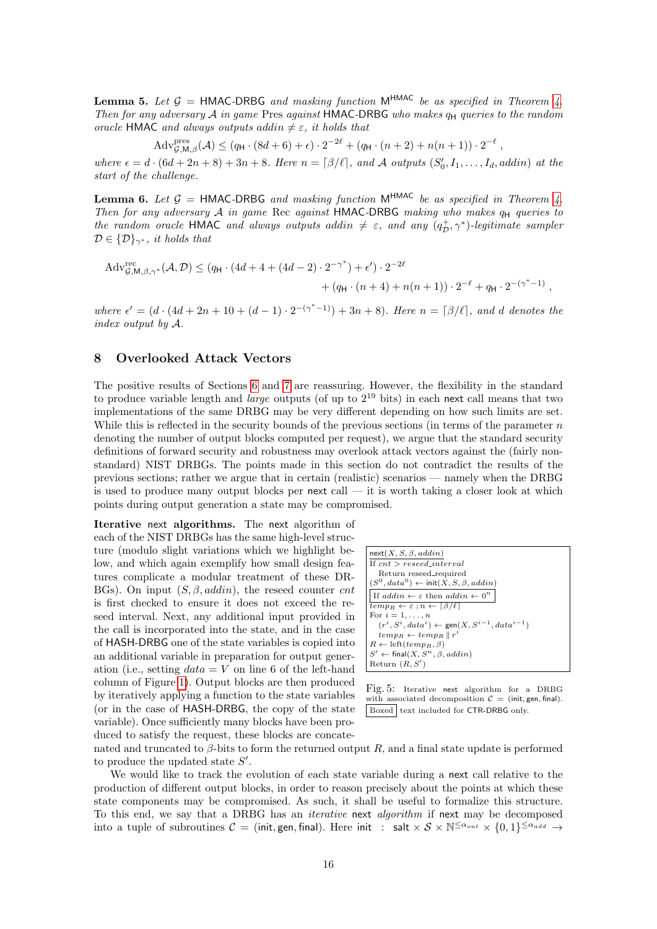**Lemma 5.** Let  $\mathcal{G} = \text{HMAC-DRBG}$  and masking function  $\mathsf{M}^{\text{HMAC}}$  be as specified in Theorem [4.](#page-14-0) Then for any adversary  $A$  in game Pres against HMAC-DRBG who makes  $q_H$  queries to the random oracle HMAC and always outputs addin  $\neq \varepsilon$ , it holds that

$$
Adv_{\mathcal{G},M,\beta}^{\text{pres}}(\mathcal{A}) \le (q_{\mathsf{H}} \cdot (8d+6) + \epsilon) \cdot 2^{-2\ell} + (q_{\mathsf{H}} \cdot (n+2) + n(n+1)) \cdot 2^{-\ell},
$$

where  $\epsilon = d \cdot (6d + 2n + 8) + 3n + 8$ . Here  $n = \lfloor \beta/\ell \rfloor$ , and A outputs  $(S'_0, I_1, \ldots, I_d, \text{addin})$  at the start of the challenge.

<span id="page-15-2"></span>**Lemma 6.** Let  $\mathcal{G} = \text{HMAC-DRBG}$  and masking function  $\mathsf{M}^{\text{HMAC}}$  be as specified in Theorem [4.](#page-14-0) Then for any adversary  $A$  in game Rec against HMAC-DRBG making who makes  $q_H$  queries to the random oracle HMAC and always outputs addin  $\neq \varepsilon$ , and any  $(q_D^+,\gamma^*)$ -legitimate sampler  $\mathcal{D} \in \{ \mathcal{D} \}_{\gamma^*}, \text{ it holds that}$ 

$$
Adv_{\mathcal{G}, M, \beta, \gamma^*}^{rec}(\mathcal{A}, \mathcal{D}) \le (q_H \cdot (4d + 4 + (4d - 2) \cdot 2^{-\gamma^*}) + \epsilon') \cdot 2^{-2\ell} + (q_H \cdot (n + 4) + n(n + 1)) \cdot 2^{-\ell} + q_H \cdot 2^{-(\gamma^* - 1)},
$$

where  $\epsilon' = (d \cdot (4d + 2n + 10 + (d - 1) \cdot 2^{-(\gamma^* - 1)}) + 3n + 8)$ . Here  $n = [\beta/\ell]$ , and d denotes the index output by A.

### <span id="page-15-1"></span>8 Overlooked Attack Vectors

The positive results of Sections [6](#page-10-0) and [7](#page-12-1) are reassuring. However, the flexibility in the standard to produce variable length and *large* outputs (of up to  $2^{19}$  bits) in each next call means that two implementations of the same DRBG may be very different depending on how such limits are set. While this is reflected in the security bounds of the previous sections (in terms of the parameter  $n$ denoting the number of output blocks computed per request), we argue that the standard security definitions of forward security and robustness may overlook attack vectors against the (fairly nonstandard) NIST DRBGs. The points made in this section do not contradict the results of the previous sections; rather we argue that in certain (realistic) scenarios — namely when the DRBG is used to produce many output blocks per next call — it is worth taking a closer look at which points during output generation a state may be compromised.

Iterative next algorithms. The next algorithm of each of the NIST DRBGs has the same high-level structure (modulo slight variations which we highlight below, and which again exemplify how small design features complicate a modular treatment of these DR-BGs). On input  $(S, \beta, \text{addin})$ , the reseed counter cnt is first checked to ensure it does not exceed the reseed interval. Next, any additional input provided in the call is incorporated into the state, and in the case of HASH-DRBG one of the state variables is copied into an additional variable in preparation for output generation (i.e., setting  $data = V$  on line 6 of the left-hand column of Figure [1\)](#page-6-0). Output blocks are then produced by iteratively applying a function to the state variables (or in the case of HASH-DRBG, the copy of the state variable). Once sufficiently many blocks have been produced to satisfy the request, these blocks are concate-

<span id="page-15-0"></span>
$$
\begin{array}{l} \displaystyle \frac{\mathsf{next}(X,S,\beta,addin)}{\mathrm{If}\;cnt > reseed.interval}\\ \text{Return reseed-required}\\ (S^0, data^0) \leftarrow \mathsf{init}(X,S,\beta,addin)\\ \displaystyle \left[\begin{matrix} \text{If }addin \leftarrow \varepsilon \text{ then }addin \leftarrow 0^n \\ temp_R \leftarrow \varepsilon \; ;\, n \leftarrow \lceil \beta/\ell \rceil \end{matrix}\right.\right.\right.\\ \left.\begin{matrix} \text{for } i = 1,\dots,n\\ (r^i, S^i, data^i) \leftarrow \mathsf{gen}(X, S^{i-1}, data^{i-1}) \end{matrix}\right.\\ \displaystyle \left.\begin{matrix} temp_R \leftarrow temp_R \parallel r^i\\ R \leftarrow \mathsf{left}(temp_R,\beta)\\ S' \leftarrow \mathsf{final}(X,S^n,\beta, addin) \end{matrix}\right.\right.\right.\\ \end{array}
$$

Fig. 5: Iterative next algorithm for a DRBG with associated decomposition  $C = (init, gen, final)$ . Boxed text included for CTR-DRBG only.

nated and truncated to  $\beta$ -bits to form the returned output R, and a final state update is performed to produce the updated state  $S'$ .

We would like to track the evolution of each state variable during a next call relative to the production of different output blocks, in order to reason precisely about the points at which these state components may be compromised. As such, it shall be useful to formalize this structure. To this end, we say that a DRBG has an *iterative* next *algorithm* if next may be decomposed into a tuple of subroutines  $\mathcal{C} = (\text{init}, \text{gen}, \text{final})$ . Here init : salt  $\times S \times \mathbb{N}^{\leq \alpha_{out}} \times \{0, 1\}^{\leq \alpha_{add}} \to$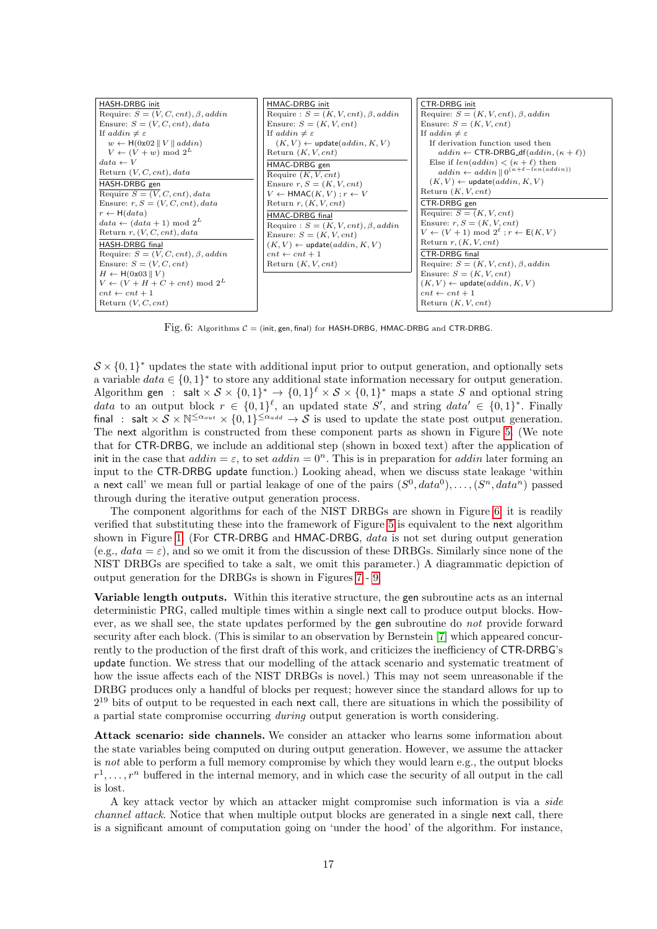<span id="page-16-0"></span>

| HASH-DRBG init                                        | HMAC-DRBG init                                      | CTR-DRBG init                                                     |
|-------------------------------------------------------|-----------------------------------------------------|-------------------------------------------------------------------|
| Require: $S = (V, C, ent), \beta, addin$              | Require : $S = (K, V, ent), \beta, addin$           | Require: $S = (K, V, ent), \beta, addin$                          |
| Ensure: $S = (V, C, ent), data$                       | Ensure: $S = (K, V, ent)$                           | Ensure: $S = (K, V, ent)$                                         |
| If $addin \neq \varepsilon$                           | If $addin \neq \varepsilon$                         | If $addin \neq \varepsilon$                                       |
| $w \leftarrow H(0x02 \parallel V \parallel addition)$ | $(K, V) \leftarrow$ update $(\text{addin}, K, V)$   | If derivation function used then                                  |
| $V \leftarrow (V + w) \mod 2^L$                       | Return $(K, V, cnt)$                                | $addin \leftarrow \text{CTR-DRBG\_df}(addin, (\kappa + \ell))$    |
| $data \leftarrow V$                                   | HMAC-DRBG gen                                       | Else if $len(addin) < (\kappa + \ell)$ then                       |
| Return $(V, C, ent)$ , data                           | Require $(K, V, ent)$                               | $addin \leftarrow addin \parallel 0^{(\kappa+\ell - len(addin))}$ |
| HASH-DRBG gen                                         | Ensure $r, S = (K, V, ent)$                         | $(K, V) \leftarrow$ update $(\text{addin}, K, V)$                 |
| Require $S = (V, C, ent), data$                       | $V \leftarrow \text{HMAC}(K, V)$ ; $r \leftarrow V$ | Return $(K, V, ent)$                                              |
| Ensure: $r, S = (V, C, ent), data$                    | Return $r, (K, V, ent)$                             | CTR-DRBG gen                                                      |
| $r \leftarrow H(data)$                                | HMAC-DRBG final                                     | Require: $S = (K, V, ent)$                                        |
| $data \leftarrow (data + 1) \mod 2^{L}$               | Require : $S = (K, V, ent), \beta, addin$           | Ensure: $r, S = (K, V, ent)$                                      |
| Return $r, (V, C, ent), data$                         | Ensure: $S = (K, V, ent)$                           | $V \leftarrow (V + 1) \mod 2^{\ell}$ ; $r \leftarrow E(K, V)$     |
| <b>HASH-DRBG</b> final                                | $(K, V) \leftarrow$ update $(\text{addin}, K, V)$   | Return $r, (K, V, ent)$                                           |
| Require: $S = (V, C, ent), \beta, addin$              | $cnt \leftarrow cnt + 1$                            | <b>CTR-DRBG</b> final                                             |
| Ensure: $S = (V, C, ent)$                             | Return $(K, V, ent)$                                | Require: $S = (K, V, ent), \beta, addin$                          |
| $H \leftarrow H(0x03 \parallel V)$                    |                                                     | Ensure: $S = (K, V, ent)$                                         |
| $V \leftarrow (V + H + C + ent) \text{ mod } 2^L$     |                                                     | $(K, V) \leftarrow$ update $(\text{addin}, K, V)$                 |
| $cnt \leftarrow cnt + 1$                              |                                                     | $cnt \leftarrow cnt + 1$                                          |
| Return $(V, C, ent)$                                  |                                                     | Return $(K, V, ent)$                                              |
|                                                       |                                                     |                                                                   |

Fig. 6: Algorithms  $C = (init, gen, final)$  for HASH-DRBG, HMAC-DRBG and CTR-DRBG.

 $S \times \{0,1\}^*$  updates the state with additional input prior to output generation, and optionally sets a variable  $data \in \{0,1\}^*$  to store any additional state information necessary for output generation. Algorithm gen : salt  $X S \times \{0,1\}^* \to \{0,1\}^{\ell} \times S \times \{0,1\}^*$  maps a state S and optional string data to an output block  $r \in \{0,1\}^{\ell}$ , an updated state S', and string data'  $\in \{0,1\}^*$ . Finally final: salt  $\times S \times \mathbb{N}^{\leq \alpha_{out}} \times \{0,1\}^{\leq \alpha_{add}} \to S$  is used to update the state post output generation. The next algorithm is constructed from these component parts as shown in Figure [5.](#page-15-0) (We note that for CTR-DRBG, we include an additional step (shown in boxed text) after the application of init in the case that  $addin = \varepsilon$ , to set  $addin = 0<sup>n</sup>$ . This is in preparation for  $addin$  later forming an input to the CTR-DRBG update function.) Looking ahead, when we discuss state leakage 'within a next call' we mean full or partial leakage of one of the pairs  $(S^0, data^0), \ldots, (S^n, data^n)$  passed through during the iterative output generation process.

The component algorithms for each of the NIST DRBGs are shown in Figure [6;](#page-16-0) it is readily verified that substituting these into the framework of Figure [5](#page-15-0) is equivalent to the next algorithm shown in Figure [1.](#page-6-0) (For CTR-DRBG and HMAC-DRBG, *data* is not set during output generation (e.g.,  $data = \varepsilon$ ), and so we omit it from the discussion of these DRBGs. Similarly since none of the NIST DRBGs are specified to take a salt, we omit this parameter.) A diagrammatic depiction of output generation for the DRBGs is shown in Figures [7](#page-17-0) - [9.](#page-17-1)

Variable length outputs. Within this iterative structure, the gen subroutine acts as an internal deterministic PRG, called multiple times within a single next call to produce output blocks. However, as we shall see, the state updates performed by the gen subroutine do not provide forward security after each block. (This is similar to an observation by Bernstein [\[7\]](#page-23-8) which appeared concurrently to the production of the first draft of this work, and criticizes the inefficiency of CTR-DRBG's update function. We stress that our modelling of the attack scenario and systematic treatment of how the issue affects each of the NIST DRBGs is novel.) This may not seem unreasonable if the DRBG produces only a handful of blocks per request; however since the standard allows for up to  $2^{19}$  bits of output to be requested in each next call, there are situations in which the possibility of a partial state compromise occurring during output generation is worth considering.

Attack scenario: side channels. We consider an attacker who learns some information about the state variables being computed on during output generation. However, we assume the attacker is not able to perform a full memory compromise by which they would learn e.g., the output blocks  $r^1, \ldots, r^n$  buffered in the internal memory, and in which case the security of all output in the call is lost.

A key attack vector by which an attacker might compromise such information is via a side channel attack. Notice that when multiple output blocks are generated in a single next call, there is a significant amount of computation going on 'under the hood' of the algorithm. For instance,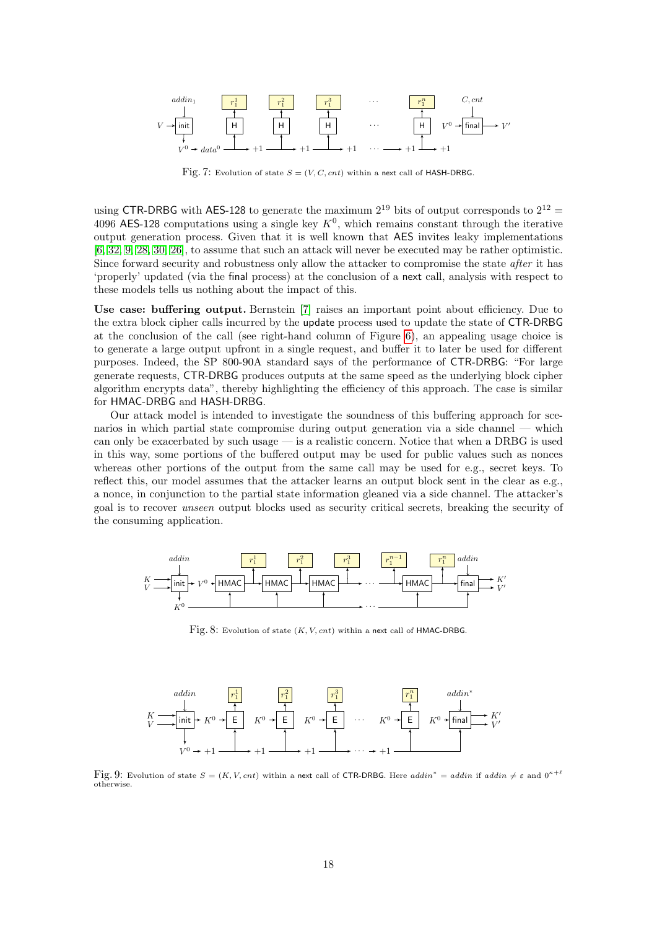<span id="page-17-0"></span>

Fig. 7: Evolution of state  $S = (V, C, ent)$  within a next call of HASH-DRBG.

using CTR-DRBG with AES-128 to generate the maximum  $2^{19}$  bits of output corresponds to  $2^{12}$  = 4096 AES-128 computations using a single key  $K^0$ , which remains constant through the iterative output generation process. Given that it is well known that AES invites leaky implementations [\[6,](#page-23-17) [32,](#page-24-10) [9,](#page-23-18) [28,](#page-23-19) [30,](#page-23-20) [26\]](#page-23-21), to assume that such an attack will never be executed may be rather optimistic. Since forward security and robustness only allow the attacker to compromise the state after it has 'properly' updated (via the final process) at the conclusion of a next call, analysis with respect to these models tells us nothing about the impact of this.

Use case: buffering output. Bernstein [\[7\]](#page-23-8) raises an important point about efficiency. Due to the extra block cipher calls incurred by the update process used to update the state of CTR-DRBG at the conclusion of the call (see right-hand column of Figure [6\)](#page-16-0), an appealing usage choice is to generate a large output upfront in a single request, and buffer it to later be used for different purposes. Indeed, the SP 800-90A standard says of the performance of CTR-DRBG: "For large generate requests, CTR-DRBG produces outputs at the same speed as the underlying block cipher algorithm encrypts data", thereby highlighting the efficiency of this approach. The case is similar for HMAC-DRBG and HASH-DRBG.

Our attack model is intended to investigate the soundness of this buffering approach for scenarios in which partial state compromise during output generation via a side channel — which can only be exacerbated by such usage — is a realistic concern. Notice that when a DRBG is used in this way, some portions of the buffered output may be used for public values such as nonces whereas other portions of the output from the same call may be used for e.g., secret keys. To reflect this, our model assumes that the attacker learns an output block sent in the clear as e.g., a nonce, in conjunction to the partial state information gleaned via a side channel. The attacker's goal is to recover unseen output blocks used as security critical secrets, breaking the security of the consuming application.



Fig. 8: Evolution of state  $(K, V, ent)$  within a next call of HMAC-DRBG.

<span id="page-17-1"></span>

Fig. 9: Evolution of state  $S = (K, V, \text{cnt})$  within a next call of CTR-DRBG. Here addin<sup>\*</sup> = addin if addin  $\neq \varepsilon$  and  $0^{\kappa+\ell}$ otherwise.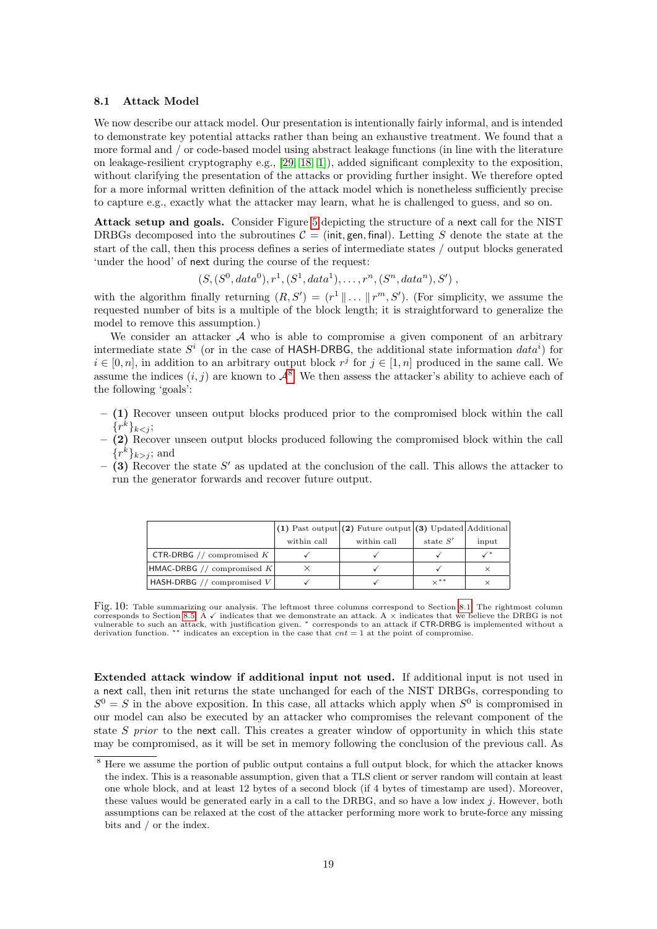#### <span id="page-18-0"></span>8.1 Attack Model

We now describe our attack model. Our presentation is intentionally fairly informal, and is intended to demonstrate key potential attacks rather than being an exhaustive treatment. We found that a more formal and / or code-based model using abstract leakage functions (in line with the literature on leakage-resilient cryptography e.g., [\[29,](#page-23-22) [18,](#page-23-23) [1\]](#page-22-1)), added significant complexity to the exposition, without clarifying the presentation of the attacks or providing further insight. We therefore opted for a more informal written definition of the attack model which is nonetheless sufficiently precise to capture e.g., exactly what the attacker may learn, what he is challenged to guess, and so on.

Attack setup and goals. Consider Figure [5](#page-15-0) depicting the structure of a next call for the NIST DRBGs decomposed into the subroutines  $C = (init, gen, final)$ . Letting S denote the state at the start of the call, then this process defines a series of intermediate states / output blocks generated 'under the hood' of next during the course of the request:

 $(S, (S^0, data^0), r^1, (S^1, data^1), \ldots, r^n, (S^n, data^n), S')$ ,

with the algorithm finally returning  $(R, S') = (r^1 \| \dots \| r^m, S')$ . (For simplicity, we assume the requested number of bits is a multiple of the block length; it is straightforward to generalize the model to remove this assumption.)

We consider an attacker  $A$  who is able to compromise a given component of an arbitrary intermediate state  $S^i$  (or in the case of HASH-DRBG, the additional state information  $data^i$ ) for  $i \in [0, n]$ , in addition to an arbitrary output block  $r^j$  for  $j \in [1, n]$  produced in the same call. We assume the indices  $(i, j)$  are known to  $\mathcal{A}^8$  $\mathcal{A}^8$ . We then assess the attacker's ability to achieve each of the following 'goals':

- (1) Recover unseen output blocks produced prior to the compromised block within the call  $\{r^k\}_{k\lt j};$
- (2) Recover unseen output blocks produced following the compromised block within the call  $\{r^k\}_{k>j}$ ; and
- $-$  (3) Recover the state S' as updated at the conclusion of the call. This allows the attacker to run the generator forwards and recover future output.

<span id="page-18-1"></span>

|                               |             | (1) Past output (2) Future output (3) Updated Additional |            |       |
|-------------------------------|-------------|----------------------------------------------------------|------------|-------|
|                               | within call | within call                                              | state $S'$ | input |
| CTR-DRBG // compromised $K$   |             |                                                          |            |       |
| $ HMAC-DRBG //$ compromised K |             |                                                          |            |       |
| HASH-DRBG // compromised V    |             |                                                          | $x**$      |       |

Fig. 10: Table summarizing our analysis. The leftmost three columns correspond to Section [8.1.](#page-18-0) The rightmost column corresponds to Section [8.5.](#page-20-0)  $\overline{A} \checkmark$  indicates that we demonstrate an attack. A  $\checkmark$  indicates that we believe the DRBG is not vulnerable to such an attack, with justification given. \* corresponds to an attack if CTRderivation function. <sup>\*\*</sup> indicates an exception in the case that  $cnt = 1$  at the point of compromise.

Extended attack window if additional input not used. If additional input is not used in a next call, then init returns the state unchanged for each of the NIST DRBGs, corresponding to  $S^0 = S$  in the above exposition. In this case, all attacks which apply when  $S^0$  is compromised in our model can also be executed by an attacker who compromises the relevant component of the state  $S$  prior to the next call. This creates a greater window of opportunity in which this state may be compromised, as it will be set in memory following the conclusion of the previous call. As

<sup>8</sup> Here we assume the portion of public output contains a full output block, for which the attacker knows the index. This is a reasonable assumption, given that a TLS client or server random will contain at least one whole block, and at least 12 bytes of a second block (if 4 bytes of timestamp are used). Moreover, these values would be generated early in a call to the DRBG, and so have a low index  $j$ . However, both assumptions can be relaxed at the cost of the attacker performing more work to brute-force any missing bits and / or the index.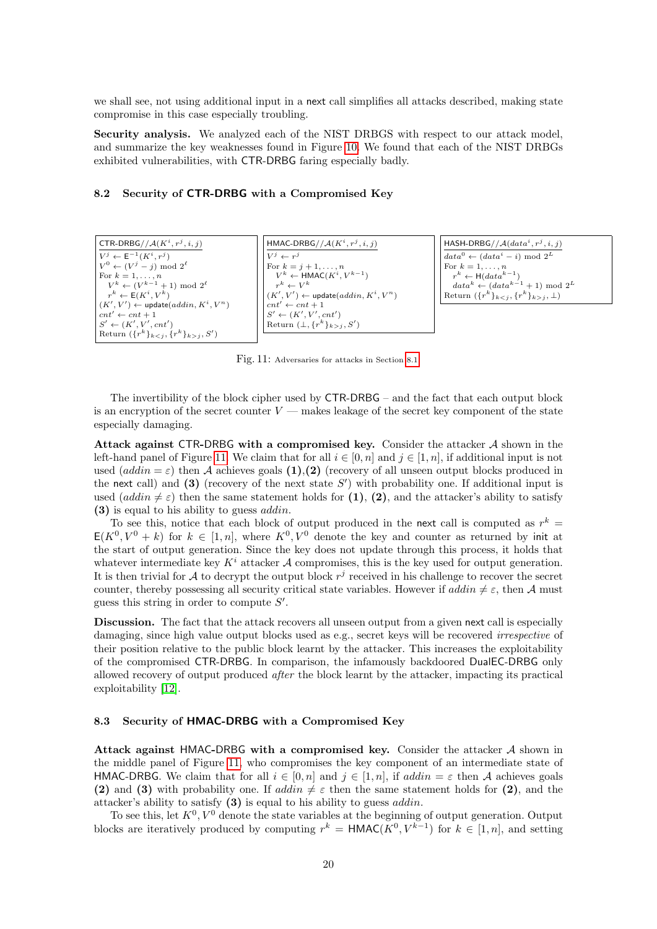we shall see, not using additional input in a next call simplifies all attacks described, making state compromise in this case especially troubling.

Security analysis. We analyzed each of the NIST DRBGS with respect to our attack model, and summarize the key weaknesses found in Figure [10.](#page-18-1) We found that each of the NIST DRBGs exhibited vulnerabilities, with CTR-DRBG faring especially badly.

#### <span id="page-19-1"></span>8.2 Security of CTR-DRBG with a Compromised Key

<span id="page-19-0"></span> $\mathsf{CTR-DRBG} // \mathcal{A}(K^i, r^j, i, j)$  $V^j \leftarrow \mathsf{E}^{-1}(K^i, r^j)$  $V^0 \leftarrow (V^j - j) \mod 2^{\ell}$ For  $k = 1, \ldots, n$  $V^k \leftarrow (V^{k-1} + 1) \text{ mod } 2^{\ell}$  $r^k \leftarrow \mathsf{E}(K^i, V^k)$  $(K', V') \leftarrow \text{update}(addin, K^i, V^n)$  $cnt' \leftarrow cnt + 1$  $S' \leftarrow (K', V', cnt')$ Return  $({r^k}_{k < j}, {r^k}_{k > j}, S')$  $HMAC-DRBG//A(K^i, r^j, i, j)$  $V^j \leftarrow r^j$ For  $k = j + 1, \ldots, n$  $V^k \leftarrow \text{HMAC}(K^i, V^{k-1})$  $r^k \leftarrow V^k$  $(K', V') \leftarrow \text{update}(addin, K^i, V^n)$  $cnt' \leftarrow cnt + 1$  $S' \leftarrow (K', V', cnt')$ Return  $(\perp, \{r^k\}_{k>j}, S')$  $HASH-DRBG//A(data^{i}, r^{j}, i, j)$  $\overline{data}^0 \leftarrow (data^i - i) \text{ mod } 2^L$ For  $k = 1, \ldots, n$  $r^k \leftarrow H(data^{k-1})$  $data^k \leftarrow (data^{k-1} + 1) \text{ mod } 2^L$ Return  $({r^k}_{k \leq j}, {r^k}_{k > j}, \perp)$ 

Fig. 11: Adversaries for attacks in Section [8.1.](#page-18-0)

The invertibility of the block cipher used by CTR-DRBG – and the fact that each output block is an encryption of the secret counter  $V$  — makes leakage of the secret key component of the state especially damaging.

Attack against CTR-DRBG with a compromised key. Consider the attacker  $A$  shown in the left-hand panel of Figure [11.](#page-19-0) We claim that for all  $i \in [0, n]$  and  $j \in [1, n]$ , if additional input is not used  $(\text{addin} = \varepsilon)$  then A achieves goals  $(1),(2)$  (recovery of all unseen output blocks produced in the next call) and (3) (recovery of the next state  $S'$ ) with probability one. If additional input is used (addin  $\neq \varepsilon$ ) then the same statement holds for (1), (2), and the attacker's ability to satisfy (3) is equal to his ability to guess addin.

To see this, notice that each block of output produced in the next call is computed as  $r^k =$  $E(K^0, V^0 + k)$  for  $k \in [1, n]$ , where  $K^0, V^0$  denote the key and counter as returned by init at the start of output generation. Since the key does not update through this process, it holds that whatever intermediate key  $K^i$  attacker A compromises, this is the key used for output generation. It is then trivial for A to decrypt the output block  $r<sup>j</sup>$  received in his challenge to recover the secret counter, thereby possessing all security critical state variables. However if  $addin \neq \varepsilon$ , then A must guess this string in order to compute  $S'$ .

Discussion. The fact that the attack recovers all unseen output from a given next call is especially damaging, since high value output blocks used as e.g., secret keys will be recovered *irrespective* of their position relative to the public block learnt by the attacker. This increases the exploitability of the compromised CTR-DRBG. In comparison, the infamously backdoored DualEC-DRBG only allowed recovery of output produced after the block learnt by the attacker, impacting its practical exploitability [\[12\]](#page-23-24).

#### 8.3 Security of HMAC-DRBG with a Compromised Key

Attack against HMAC-DRBG with a compromised key. Consider the attacker  $A$  shown in the middle panel of Figure [11,](#page-19-0) who compromises the key component of an intermediate state of **HMAC-DRBG.** We claim that for all  $i \in [0, n]$  and  $j \in [1, n]$ , if  $addin = \varepsilon$  then A achieves goals (2) and (3) with probability one. If addin  $\neq \varepsilon$  then the same statement holds for (2), and the attacker's ability to satisfy (3) is equal to his ability to guess addin.

To see this, let  $K^0$ ,  $V^0$  denote the state variables at the beginning of output generation. Output blocks are iteratively produced by computing  $r^k = \text{HMAC}(K^0, V^{k-1})$  for  $k \in [1, n]$ , and setting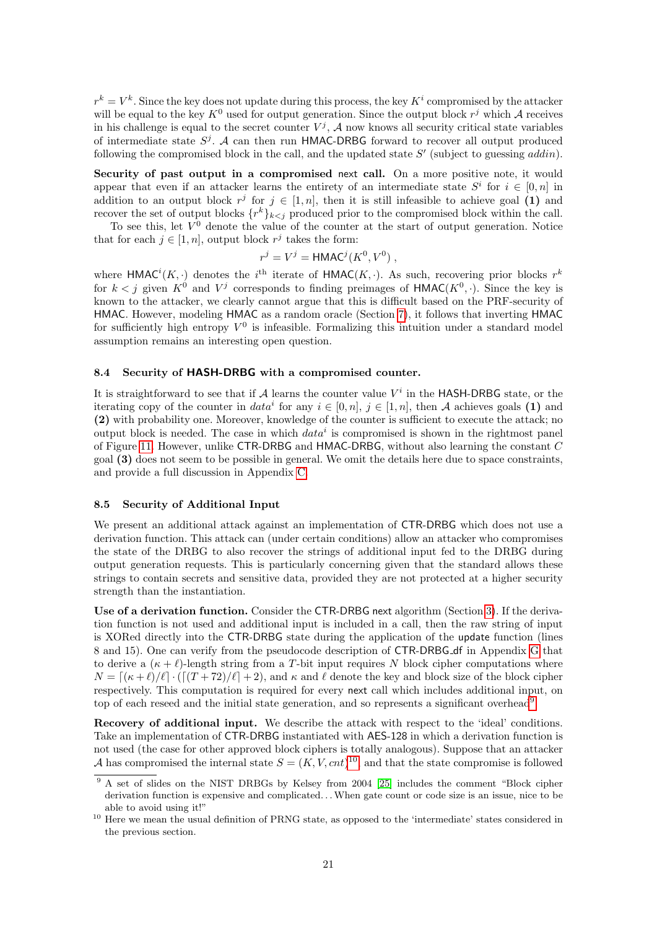$r^k = V^k$ . Since the key does not update during this process, the key  $K^i$  compromised by the attacker will be equal to the key  $K^0$  used for output generation. Since the output block  $r^j$  which A receives in his challenge is equal to the secret counter  $V^j$ ,  $\mathcal A$  now knows all security critical state variables of intermediate state  $S^j$ . A can then run HMAC-DRBG forward to recover all output produced following the compromised block in the call, and the updated state  $S'$  (subject to guessing  $addin$ ).

Security of past output in a compromised next call. On a more positive note, it would appear that even if an attacker learns the entirety of an intermediate state  $S^i$  for  $i \in [0,n]$  in addition to an output block  $r^j$  for  $j \in [1, n]$ , then it is still infeasible to achieve goal (1) and recover the set of output blocks  $\{r^k\}_{k \leq j}$  produced prior to the compromised block within the call.

To see this, let  $V^0$  denote the value of the counter at the start of output generation. Notice that for each  $j \in [1, n]$ , output block  $r^j$  takes the form:

$$
r^j = V^j = \mathsf{HMAC}^j(K^0, V^0) ,
$$

where HMAC<sup>i</sup>(K, ·) denotes the i<sup>th</sup> iterate of HMAC(K, ·). As such, recovering prior blocks  $r^k$ for  $k < j$  given  $K^0$  and  $V^j$  corresponds to finding preimages of HMAC( $K^0$ , $\cdot$ ). Since the key is known to the attacker, we clearly cannot argue that this is difficult based on the PRF-security of HMAC. However, modeling HMAC as a random oracle (Section [7\)](#page-12-1), it follows that inverting HMAC for sufficiently high entropy  $V^0$  is infeasible. Formalizing this intuition under a standard model assumption remains an interesting open question.

### <span id="page-20-1"></span>8.4 Security of HASH-DRBG with a compromised counter.

It is straightforward to see that if  $A$  learns the counter value  $V^i$  in the HASH-DRBG state, or the iterating copy of the counter in  $data^i$  for any  $i \in [0, n]$ ,  $j \in [1, n]$ , then A achieves goals (1) and (2) with probability one. Moreover, knowledge of the counter is sufficient to execute the attack; no output block is needed. The case in which  $data^i$  is compromised is shown in the rightmost panel of Figure [11.](#page-19-0) However, unlike CTR-DRBG and HMAC-DRBG, without also learning the constant C goal (3) does not seem to be possible in general. We omit the details here due to space constraints, and provide a full discussion in Appendix [C.](#page-26-1)

#### <span id="page-20-0"></span>8.5 Security of Additional Input

We present an additional attack against an implementation of CTR-DRBG which does not use a derivation function. This attack can (under certain conditions) allow an attacker who compromises the state of the DRBG to also recover the strings of additional input fed to the DRBG during output generation requests. This is particularly concerning given that the standard allows these strings to contain secrets and sensitive data, provided they are not protected at a higher security strength than the instantiation.

Use of a derivation function. Consider the CTR-DRBG next algorithm (Section [3\)](#page-3-0). If the derivation function is not used and additional input is included in a call, then the raw string of input is XORed directly into the CTR-DRBG state during the application of the update function (lines 8 and 15). One can verify from the pseudocode description of CTR-DRBG df in Appendix [G](#page-52-0) that to derive a  $(\kappa + \ell)$ -length string from a T-bit input requires N block cipher computations where  $N = \left[\frac{\kappa + \ell}{\ell} \cdot \frac{\Gamma(T + 72)}{\ell} + 2\right]$ , and  $\kappa$  and  $\ell$  denote the key and block size of the block cipher respectively. This computation is required for every next call which includes additional input, on top of each reseed and the initial state generation, and so represents a significant overhead<sup>[9](#page-0-0)</sup>.

Recovery of additional input. We describe the attack with respect to the 'ideal' conditions. Take an implementation of CTR-DRBG instantiated with AES-128 in which a derivation function is not used (the case for other approved block ciphers is totally analogous). Suppose that an attacker A has compromised the internal state  $S = (K, V, ent)^{10}$  $S = (K, V, ent)^{10}$  $S = (K, V, ent)^{10}$ , and that the state compromise is followed

<sup>&</sup>lt;sup>9</sup> A set of slides on the NIST DRBGs by Kelsey from 2004 [\[25\]](#page-23-25) includes the comment "Block cipher derivation function is expensive and complicated. . .When gate count or code size is an issue, nice to be able to avoid using it!"

<sup>&</sup>lt;sup>10</sup> Here we mean the usual definition of PRNG state, as opposed to the 'intermediate' states considered in the previous section.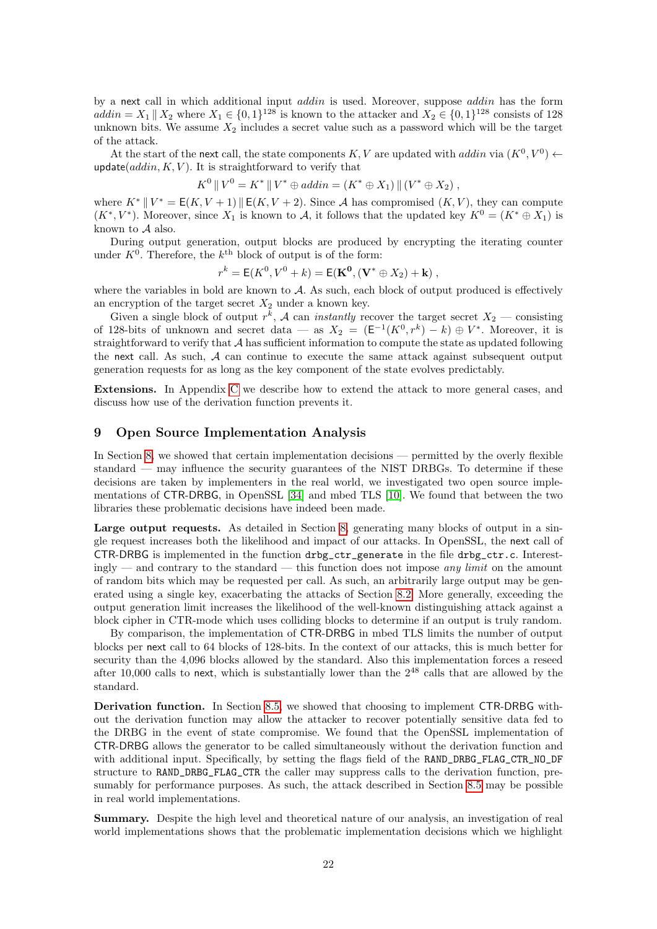by a next call in which additional input addin is used. Moreover, suppose addin has the form  $addin = X_1 \parallel X_2$  where  $X_1 \in \{0,1\}^{128}$  is known to the attacker and  $X_2 \in \{0,1\}^{128}$  consists of 128 unknown bits. We assume  $X_2$  includes a secret value such as a password which will be the target of the attack.

At the start of the next call, the state components K, V are updated with *addin* via  $(K^0, V^0) \leftarrow$ update( $addin, K, V$ ). It is straightforward to verify that

$$
K^0 \,||\, V^0 = K^* \,||\, V^* \oplus addin = (K^* \oplus X_1) \,||\, (V^* \oplus X_2) ,
$$

where  $K^* \parallel V^* = \mathsf{E}(K, V+1) \parallel \mathsf{E}(K, V+2)$ . Since A has compromised  $(K, V)$ , they can compute  $(K^*, V^*)$ . Moreover, since  $X_1$  is known to A, it follows that the updated key  $K^0 = (K^* \oplus X_1)$  is known to A also.

During output generation, output blocks are produced by encrypting the iterating counter under  $K^0$ . Therefore, the  $k^{\text{th}}$  block of output is of the form:

$$
r^{k} = \mathsf{E}(K^{0}, V^{0} + k) = \mathsf{E}(\mathbf{K}^{0}, (\mathbf{V}^{*} \oplus X_{2}) + \mathbf{k}),
$$

where the variables in bold are known to  $A$ . As such, each block of output produced is effectively an encryption of the target secret  $X_2$  under a known key.

Given a single block of output  $r^k$ , A can *instantly* recover the target secret  $X_2$  — consisting of 128-bits of unknown and secret data — as  $X_2 = (\mathsf{E}^{-1}(K^0, r^k) - k) \oplus V^*$ . Moreover, it is straightforward to verify that  $A$  has sufficient information to compute the state as updated following the next call. As such,  $A$  can continue to execute the same attack against subsequent output generation requests for as long as the key component of the state evolves predictably.

Extensions. In Appendix [C](#page-26-1) we describe how to extend the attack to more general cases, and discuss how use of the derivation function prevents it.

## <span id="page-21-0"></span>9 Open Source Implementation Analysis

In Section [8,](#page-15-1) we showed that certain implementation decisions — permitted by the overly flexible standard — may influence the security guarantees of the NIST DRBGs. To determine if these decisions are taken by implementers in the real world, we investigated two open source implementations of CTR-DRBG, in OpenSSL [\[34\]](#page-24-11) and mbed TLS [\[10\]](#page-23-26). We found that between the two libraries these problematic decisions have indeed been made.

Large output requests. As detailed in Section [8,](#page-15-1) generating many blocks of output in a single request increases both the likelihood and impact of our attacks. In OpenSSL, the next call of CTR-DRBG is implemented in the function drbg\_ctr\_generate in the file drbg\_ctr.c. Interestingly — and contrary to the standard — this function does not impose *any limit* on the amount of random bits which may be requested per call. As such, an arbitrarily large output may be generated using a single key, exacerbating the attacks of Section [8.2.](#page-19-1) More generally, exceeding the output generation limit increases the likelihood of the well-known distinguishing attack against a block cipher in CTR-mode which uses colliding blocks to determine if an output is truly random.

By comparison, the implementation of CTR-DRBG in mbed TLS limits the number of output blocks per next call to 64 blocks of 128-bits. In the context of our attacks, this is much better for security than the 4,096 blocks allowed by the standard. Also this implementation forces a reseed after 10,000 calls to next, which is substantially lower than the  $2^{48}$  calls that are allowed by the standard.

Derivation function. In Section [8.5,](#page-20-0) we showed that choosing to implement CTR-DRBG without the derivation function may allow the attacker to recover potentially sensitive data fed to the DRBG in the event of state compromise. We found that the OpenSSL implementation of CTR-DRBG allows the generator to be called simultaneously without the derivation function and with additional input. Specifically, by setting the flags field of the RAND\_DRBG\_FLAG\_CTR\_NO\_DF structure to RAND\_DRBG\_FLAG\_CTR the caller may suppress calls to the derivation function, presumably for performance purposes. As such, the attack described in Section [8.5](#page-20-0) may be possible in real world implementations.

Summary. Despite the high level and theoretical nature of our analysis, an investigation of real world implementations shows that the problematic implementation decisions which we highlight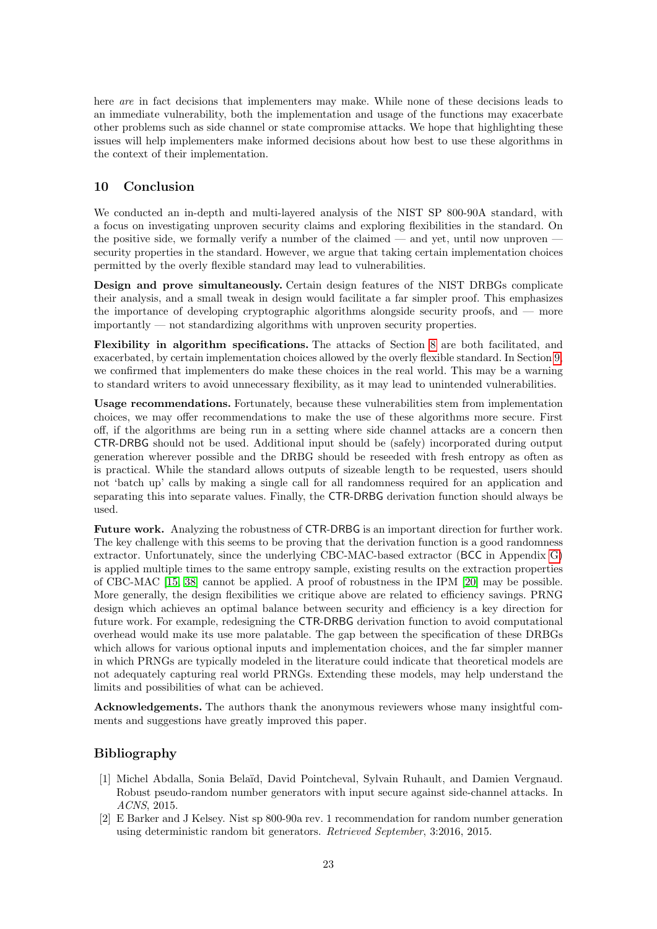here are in fact decisions that implementers may make. While none of these decisions leads to an immediate vulnerability, both the implementation and usage of the functions may exacerbate other problems such as side channel or state compromise attacks. We hope that highlighting these issues will help implementers make informed decisions about how best to use these algorithms in the context of their implementation.

# 10 Conclusion

We conducted an in-depth and multi-layered analysis of the NIST SP 800-90A standard, with a focus on investigating unproven security claims and exploring flexibilities in the standard. On the positive side, we formally verify a number of the claimed — and yet, until now unproven security properties in the standard. However, we argue that taking certain implementation choices permitted by the overly flexible standard may lead to vulnerabilities.

Design and prove simultaneously. Certain design features of the NIST DRBGs complicate their analysis, and a small tweak in design would facilitate a far simpler proof. This emphasizes the importance of developing cryptographic algorithms alongside security proofs, and  $-$  more importantly — not standardizing algorithms with unproven security properties.

Flexibility in algorithm specifications. The attacks of Section [8](#page-15-1) are both facilitated, and exacerbated, by certain implementation choices allowed by the overly flexible standard. In Section [9,](#page-21-0) we confirmed that implementers do make these choices in the real world. This may be a warning to standard writers to avoid unnecessary flexibility, as it may lead to unintended vulnerabilities.

Usage recommendations. Fortunately, because these vulnerabilities stem from implementation choices, we may offer recommendations to make the use of these algorithms more secure. First off, if the algorithms are being run in a setting where side channel attacks are a concern then CTR-DRBG should not be used. Additional input should be (safely) incorporated during output generation wherever possible and the DRBG should be reseeded with fresh entropy as often as is practical. While the standard allows outputs of sizeable length to be requested, users should not 'batch up' calls by making a single call for all randomness required for an application and separating this into separate values. Finally, the CTR-DRBG derivation function should always be used.

Future work. Analyzing the robustness of CTR-DRBG is an important direction for further work. The key challenge with this seems to be proving that the derivation function is a good randomness extractor. Unfortunately, since the underlying CBC-MAC-based extractor (BCC in Appendix [G\)](#page-52-0) is applied multiple times to the same entropy sample, existing results on the extraction properties of CBC-MAC [\[15,](#page-23-13) [38\]](#page-24-7) cannot be applied. A proof of robustness in the IPM [\[20\]](#page-23-10) may be possible. More generally, the design flexibilities we critique above are related to efficiency savings. PRNG design which achieves an optimal balance between security and efficiency is a key direction for future work. For example, redesigning the CTR-DRBG derivation function to avoid computational overhead would make its use more palatable. The gap between the specification of these DRBGs which allows for various optional inputs and implementation choices, and the far simpler manner in which PRNGs are typically modeled in the literature could indicate that theoretical models are not adequately capturing real world PRNGs. Extending these models, may help understand the limits and possibilities of what can be achieved.

Acknowledgements. The authors thank the anonymous reviewers whose many insightful comments and suggestions have greatly improved this paper.

## Bibliography

- <span id="page-22-1"></span>[1] Michel Abdalla, Sonia Bela¨ıd, David Pointcheval, Sylvain Ruhault, and Damien Vergnaud. Robust pseudo-random number generators with input secure against side-channel attacks. In ACNS, 2015.
- <span id="page-22-0"></span>[2] E Barker and J Kelsey. Nist sp 800-90a rev. 1 recommendation for random number generation using deterministic random bit generators. Retrieved September, 3:2016, 2015.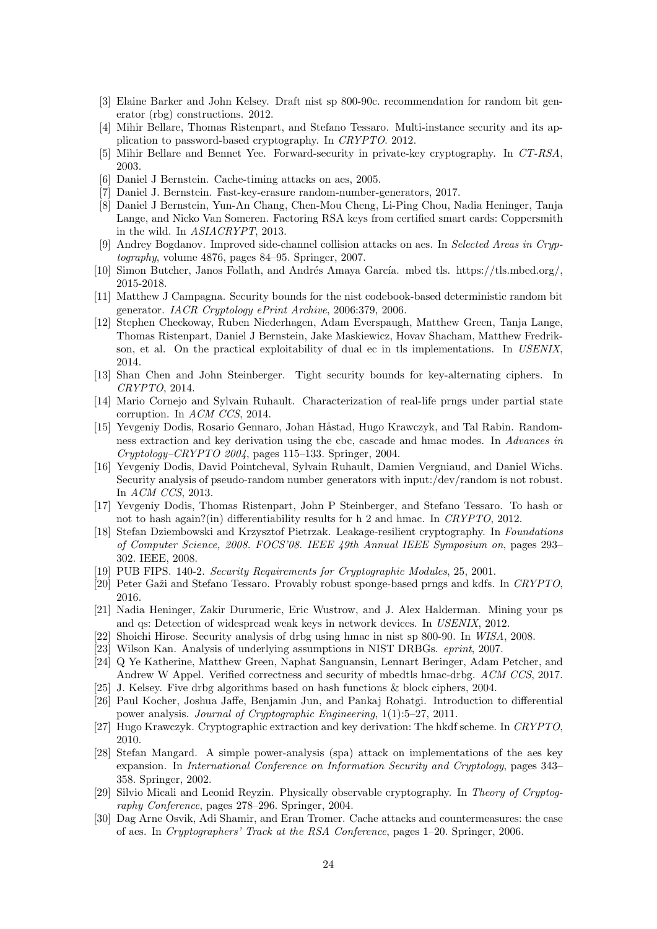- <span id="page-23-11"></span>[3] Elaine Barker and John Kelsey. Draft nist sp 800-90c. recommendation for random bit generator (rbg) constructions. 2012.
- <span id="page-23-15"></span>[4] Mihir Bellare, Thomas Ristenpart, and Stefano Tessaro. Multi-instance security and its application to password-based cryptography. In CRYPTO. 2012.
- <span id="page-23-9"></span>[5] Mihir Bellare and Bennet Yee. Forward-security in private-key cryptography. In CT-RSA, 2003.
- <span id="page-23-17"></span>[6] Daniel J Bernstein. Cache-timing attacks on aes, 2005.
- <span id="page-23-8"></span>[7] Daniel J. Bernstein. Fast-key-erasure random-number-generators, 2017.
- <span id="page-23-2"></span>[8] Daniel J Bernstein, Yun-An Chang, Chen-Mou Cheng, Li-Ping Chou, Nadia Heninger, Tanja Lange, and Nicko Van Someren. Factoring RSA keys from certified smart cards: Coppersmith in the wild. In ASIACRYPT, 2013.
- <span id="page-23-18"></span>[9] Andrey Bogdanov. Improved side-channel collision attacks on aes. In Selected Areas in Cryptography, volume 4876, pages 84–95. Springer, 2007.
- <span id="page-23-26"></span>[10] Simon Butcher, Janos Follath, and Andrés Amaya García. mbed tls. https://tls.mbed.org/, 2015-2018.
- <span id="page-23-4"></span>[11] Matthew J Campagna. Security bounds for the nist codebook-based deterministic random bit generator. IACR Cryptology ePrint Archive, 2006:379, 2006.
- <span id="page-23-24"></span>[12] Stephen Checkoway, Ruben Niederhagen, Adam Everspaugh, Matthew Green, Tanja Lange, Thomas Ristenpart, Daniel J Bernstein, Jake Maskiewicz, Hovav Shacham, Matthew Fredrikson, et al. On the practical exploitability of dual ec in tls implementations. In USENIX, 2014.
- <span id="page-23-27"></span>[13] Shan Chen and John Steinberger. Tight security bounds for key-alternating ciphers. In CRYPTO, 2014.
- <span id="page-23-12"></span>[14] Mario Cornejo and Sylvain Ruhault. Characterization of real-life prngs under partial state corruption. In ACM CCS, 2014.
- <span id="page-23-13"></span>[15] Yevgeniy Dodis, Rosario Gennaro, Johan Håstad, Hugo Krawczyk, and Tal Rabin. Randomness extraction and key derivation using the cbc, cascade and hmac modes. In Advances in  $Cryptology-CRYPTO 2004$ , pages 115–133. Springer, 2004.
- <span id="page-23-0"></span>[16] Yevgeniy Dodis, David Pointcheval, Sylvain Ruhault, Damien Vergniaud, and Daniel Wichs. Security analysis of pseudo-random number generators with input:/dev/random is not robust. In ACM CCS, 2013.
- <span id="page-23-16"></span>[17] Yevgeniy Dodis, Thomas Ristenpart, John P Steinberger, and Stefano Tessaro. To hash or not to hash again?(in) differentiability results for h 2 and hmac. In CRYPTO, 2012.
- <span id="page-23-23"></span>[18] Stefan Dziembowski and Krzysztof Pietrzak. Leakage-resilient cryptography. In Foundations of Computer Science, 2008. FOCS'08. IEEE 49th Annual IEEE Symposium on, pages 293– 302. IEEE, 2008.
- <span id="page-23-3"></span>[19] PUB FIPS. 140-2. Security Requirements for Cryptographic Modules, 25, 2001.
- <span id="page-23-10"></span>[20] Peter Gaži and Stefano Tessaro. Provably robust sponge-based prngs and kdfs. In CRYPTO, 2016.
- <span id="page-23-1"></span>[21] Nadia Heninger, Zakir Durumeric, Eric Wustrow, and J. Alex Halderman. Mining your ps and qs: Detection of widespread weak keys in network devices. In USENIX, 2012.
- <span id="page-23-6"></span>[22] Shoichi Hirose. Security analysis of drbg using hmac in nist sp 800-90. In WISA, 2008.
- <span id="page-23-5"></span>[23] Wilson Kan. Analysis of underlying assumptions in NIST DRBGs. eprint, 2007.
- <span id="page-23-7"></span>[24] Q Ye Katherine, Matthew Green, Naphat Sanguansin, Lennart Beringer, Adam Petcher, and Andrew W Appel. Verified correctness and security of mbedtls hmac-drbg. ACM CCS, 2017.
- <span id="page-23-25"></span>[25] J. Kelsey. Five drbg algorithms based on hash functions & block ciphers, 2004.
- <span id="page-23-21"></span>[26] Paul Kocher, Joshua Jaffe, Benjamin Jun, and Pankaj Rohatgi. Introduction to differential power analysis. Journal of Cryptographic Engineering, 1(1):5–27, 2011.
- <span id="page-23-14"></span>[27] Hugo Krawczyk. Cryptographic extraction and key derivation: The hkdf scheme. In CRYPTO, 2010.
- <span id="page-23-19"></span>[28] Stefan Mangard. A simple power-analysis (spa) attack on implementations of the aes key expansion. In International Conference on Information Security and Cryptology, pages 343– 358. Springer, 2002.
- <span id="page-23-22"></span>[29] Silvio Micali and Leonid Reyzin. Physically observable cryptography. In Theory of Cryptography Conference, pages 278–296. Springer, 2004.
- <span id="page-23-20"></span>[30] Dag Arne Osvik, Adi Shamir, and Eran Tromer. Cache attacks and countermeasures: the case of aes. In Cryptographers' Track at the RSA Conference, pages 1–20. Springer, 2006.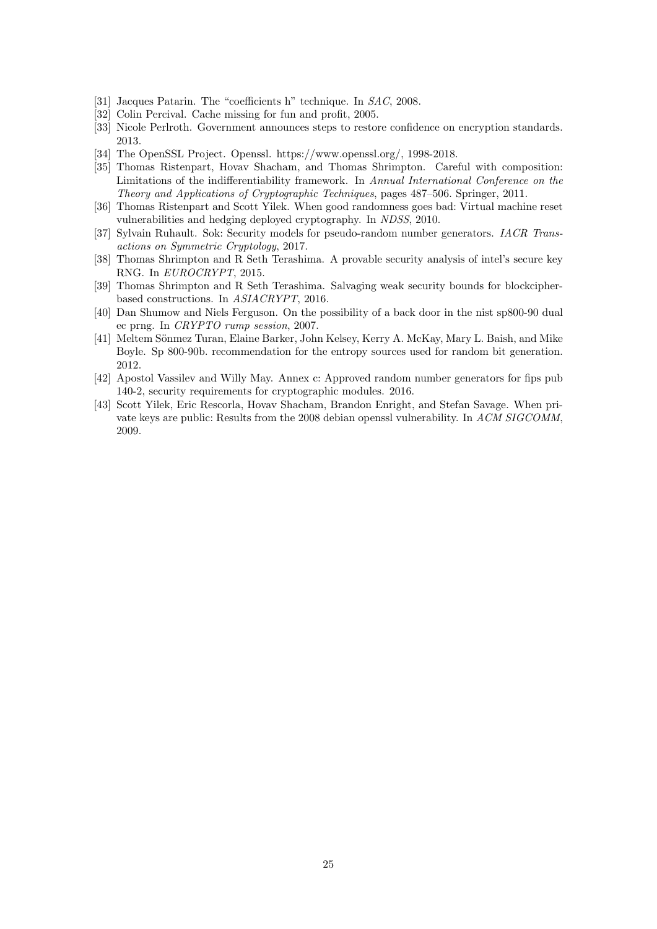- <span id="page-24-12"></span>[31] Jacques Patarin. The "coefficients h" technique. In SAC, 2008.
- <span id="page-24-10"></span>[32] Colin Percival. Cache missing for fun and profit, 2005.
- <span id="page-24-3"></span>[33] Nicole Perlroth. Government announces steps to restore confidence on encryption standards. 2013.
- <span id="page-24-11"></span>[34] The OpenSSL Project. Openssl. https://www.openssl.org/, 1998-2018.
- <span id="page-24-9"></span>[35] Thomas Ristenpart, Hovav Shacham, and Thomas Shrimpton. Careful with composition: Limitations of the indifferentiability framework. In Annual International Conference on the Theory and Applications of Cryptographic Techniques, pages 487–506. Springer, 2011.
- <span id="page-24-1"></span>[36] Thomas Ristenpart and Scott Yilek. When good randomness goes bad: Virtual machine reset vulnerabilities and hedging deployed cryptography. In NDSS, 2010.
- <span id="page-24-6"></span>[37] Sylvain Ruhault. Sok: Security models for pseudo-random number generators. IACR Transactions on Symmetric Cryptology, 2017.
- <span id="page-24-7"></span>[38] Thomas Shrimpton and R Seth Terashima. A provable security analysis of intel's secure key RNG. In EUROCRYPT, 2015.
- <span id="page-24-5"></span>[39] Thomas Shrimpton and R Seth Terashima. Salvaging weak security bounds for blockcipherbased constructions. In ASIACRYPT, 2016.
- <span id="page-24-2"></span>[40] Dan Shumow and Niels Ferguson. On the possibility of a back door in the nist sp800-90 dual ec prng. In CRYPTO rump session, 2007.
- <span id="page-24-8"></span>[41] Meltem Sönmez Turan, Elaine Barker, John Kelsey, Kerry A. McKay, Mary L. Baish, and Mike Boyle. Sp 800-90b. recommendation for the entropy sources used for random bit generation. 2012.
- <span id="page-24-4"></span>[42] Apostol Vassilev and Willy May. Annex c: Approved random number generators for fips pub 140-2, security requirements for cryptographic modules. 2016.
- <span id="page-24-0"></span>[43] Scott Yilek, Eric Rescorla, Hovav Shacham, Brandon Enright, and Stefan Savage. When private keys are public: Results from the 2008 debian openssl vulnerability. In ACM SIGCOMM, 2009.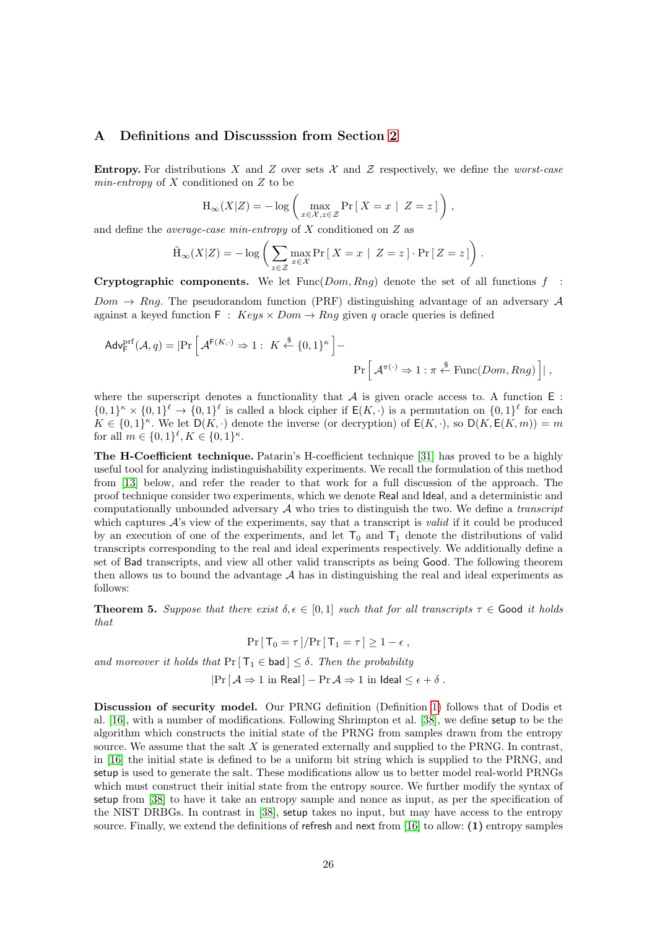### <span id="page-25-0"></span>A Definitions and Discusssion from Section [2](#page-2-1)

**Entropy.** For distributions X and Z over sets X and Z respectively, we define the worst-case *min-entropy* of X conditioned on Z to be

$$
H_{\infty}(X|Z) = -\log\left(\max_{x \in \mathcal{X}, z \in \mathcal{Z}} \Pr\left[X = x \mid Z = z\right]\right),\,
$$

and define the *average-case min-entropy* of  $X$  conditioned on  $Z$  as

$$
\tilde{H}_{\infty}(X|Z) = -\log\left(\sum_{z \in \mathcal{Z}} \max_{x \in \mathcal{X}} \Pr\left[\,X = x \mid Z = z\,\right] \cdot \Pr\left[\,Z = z\,\right]\right).
$$

**Cryptographic components.** We let  $Func(Dom, Rng)$  denote the set of all functions  $f$ :

 $Dom \rightarrow Rng$ . The pseudorandom function (PRF) distinguishing advantage of an adversary A against a keyed function  $F : Keys \times Dom \rightarrow Rng$  given q oracle queries is defined

$$
\mathsf{Adv}^{\text{prf}}_{\mathsf{F}}(\mathcal{A},q) = |\text{Pr}\left[\mathcal{A}^{\mathsf{F}(K,\cdot)} \Rightarrow 1: K \xleftarrow{\$} \{0,1\}^{\kappa}\right] - \Pr\left[\mathcal{A}^{\pi(\cdot)} \Rightarrow 1: \pi \xleftarrow{\$} \text{Func}(Dom, Rng)\right]|,
$$

where the superscript denotes a functionality that  $A$  is given oracle access to. A function  $E$ :  $\{0,1\}^k \times \{0,1\}^{\ell} \to \{0,1\}^{\ell}$  is called a block cipher if  $E(K, \cdot)$  is a permutation on  $\{0,1\}^{\ell}$  for each  $K \in \{0,1\}^{\kappa}$ . We let  $\mathsf{D}(K, \cdot)$  denote the inverse (or decryption) of  $\mathsf{E}(K, \cdot)$ , so  $\mathsf{D}(K, \mathsf{E}(K, m)) = m$ for all  $m \in \{0,1\}^{\ell}, K \in \{0,1\}^{\kappa}$ .

The H-Coefficient technique. Patarin's H-coefficient technique [\[31\]](#page-24-12) has proved to be a highly useful tool for analyzing indistinguishability experiments. We recall the formulation of this method from [\[13\]](#page-23-27) below, and refer the reader to that work for a full discussion of the approach. The proof technique consider two experiments, which we denote Real and Ideal, and a deterministic and computationally unbounded adversary  $A$  who tries to distinguish the two. We define a *transcript* which captures  $\mathcal{A}$ 's view of the experiments, say that a transcript is *valid* if it could be produced by an execution of one of the experiments, and let  $T_0$  and  $T_1$  denote the distributions of valid transcripts corresponding to the real and ideal experiments respectively. We additionally define a set of Bad transcripts, and view all other valid transcripts as being Good. The following theorem then allows us to bound the advantage  $A$  has in distinguishing the real and ideal experiments as follows:

**Theorem 5.** Suppose that there exist  $\delta, \epsilon \in [0,1]$  such that for all transcripts  $\tau \in \mathsf{Good}$  it holds that

$$
\Pr[\,T_0 = \tau\,]/\Pr[\,T_1 = \tau\,] \ge 1 - \epsilon\;,
$$

and moreover it holds that  $Pr[T_1 \in bad] \leq \delta$ . Then the probability

$$
|\Pr[\mathcal{A} \Rightarrow 1 \text{ in Real}] - \Pr \mathcal{A} \Rightarrow 1 \text{ in Ideal } \leq \epsilon + \delta
$$
.

Discussion of security model. Our PRNG definition (Definition [1\)](#page-2-0) follows that of Dodis et al. [\[16\]](#page-23-0), with a number of modifications. Following Shrimpton et al. [\[38\]](#page-24-7), we define setup to be the algorithm which constructs the initial state of the PRNG from samples drawn from the entropy source. We assume that the salt  $X$  is generated externally and supplied to the PRNG. In contrast, in [\[16\]](#page-23-0) the initial state is defined to be a uniform bit string which is supplied to the PRNG, and setup is used to generate the salt. These modifications allow us to better model real-world PRNGs which must construct their initial state from the entropy source. We further modify the syntax of setup from [\[38\]](#page-24-7) to have it take an entropy sample and nonce as input, as per the specification of the NIST DRBGs. In contrast in [\[38\]](#page-24-7), setup takes no input, but may have access to the entropy source. Finally, we extend the definitions of refresh and next from [\[16\]](#page-23-0) to allow: (1) entropy samples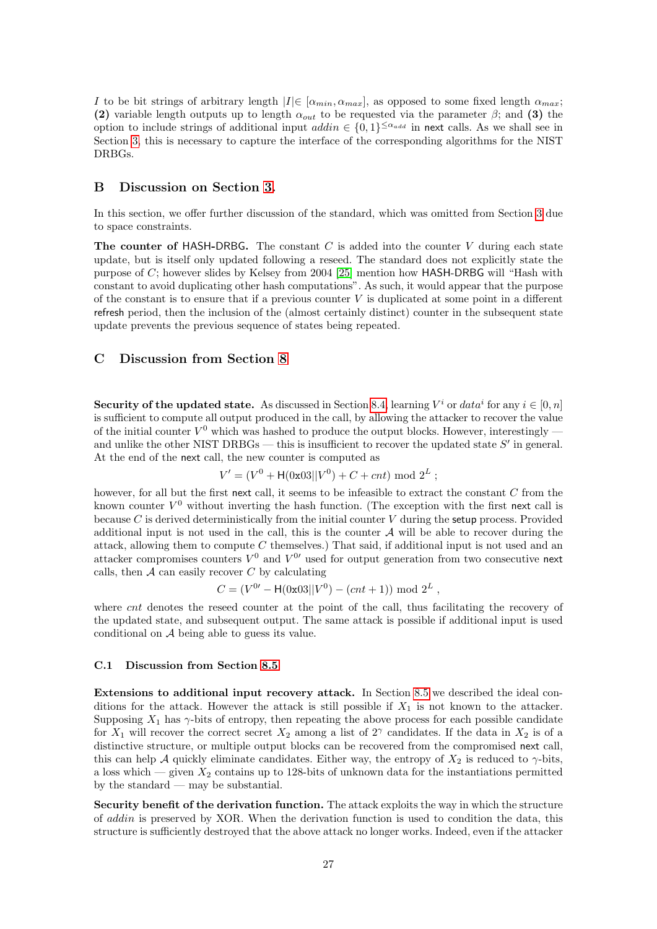I to be bit strings of arbitrary length  $|I|\in [\alpha_{min}, \alpha_{max}]$ , as opposed to some fixed length  $\alpha_{max}$ ; (2) variable length outputs up to length  $\alpha_{out}$  to be requested via the parameter  $\beta$ ; and (3) the option to include strings of additional input  $addin \in \{0,1\}^{\leq \alpha_{add}}$  in next calls. As we shall see in Section [3,](#page-3-0) this is necessary to capture the interface of the corresponding algorithms for the NIST DRBGs.

## <span id="page-26-0"></span>B Discussion on Section [3.](#page-3-0)

In this section, we offer further discussion of the standard, which was omitted from Section [3](#page-3-0) due to space constraints.

The counter of HASH-DRBG. The constant  $C$  is added into the counter  $V$  during each state update, but is itself only updated following a reseed. The standard does not explicitly state the purpose of C; however slides by Kelsey from 2004 [\[25\]](#page-23-25) mention how HASH-DRBG will "Hash with constant to avoid duplicating other hash computations". As such, it would appear that the purpose of the constant is to ensure that if a previous counter  $V$  is duplicated at some point in a different refresh period, then the inclusion of the (almost certainly distinct) counter in the subsequent state update prevents the previous sequence of states being repeated.

### <span id="page-26-1"></span>C Discussion from Section [8](#page-15-1)

**Security of the updated state.** As discussed in Section [8.4,](#page-20-1) learning  $V^i$  or  $data^i$  for any  $i \in [0, n]$ is sufficient to compute all output produced in the call, by allowing the attacker to recover the value of the initial counter  $V^0$  which was hashed to produce the output blocks. However, interestingly and unlike the other NIST DRBGs — this is insufficient to recover the updated state  $S'$  in general. At the end of the next call, the new counter is computed as

$$
V' = (V^0 + H(0x03||V^0) + C + cnt) \bmod 2^L ;
$$

however, for all but the first next call, it seems to be infeasible to extract the constant C from the known counter  $V^0$  without inverting the hash function. (The exception with the first next call is because  $C$  is derived deterministically from the initial counter  $V$  during the setup process. Provided additional input is not used in the call, this is the counter  $A$  will be able to recover during the attack, allowing them to compute  $C$  themselves.) That said, if additional input is not used and an attacker compromises counters  $V^0$  and  $V^{0'}$  used for output generation from two consecutive next calls, then  $A$  can easily recover  $C$  by calculating

$$
C = (V^{0} - H(0x03||V^0) - (cnt + 1)) \bmod 2^L,
$$

where *cnt* denotes the reseed counter at the point of the call, thus facilitating the recovery of the updated state, and subsequent output. The same attack is possible if additional input is used conditional on A being able to guess its value.

#### C.1 Discussion from Section [8.5](#page-20-0)

Extensions to additional input recovery attack. In Section [8.5](#page-20-0) we described the ideal conditions for the attack. However the attack is still possible if  $X_1$  is not known to the attacker. Supposing  $X_1$  has  $\gamma$ -bits of entropy, then repeating the above process for each possible candidate for  $X_1$  will recover the correct secret  $X_2$  among a list of  $2^{\gamma}$  candidates. If the data in  $X_2$  is of a distinctive structure, or multiple output blocks can be recovered from the compromised next call, this can help A quickly eliminate candidates. Either way, the entropy of  $X_2$  is reduced to  $\gamma$ -bits, a loss which — given  $X_2$  contains up to 128-bits of unknown data for the instantiations permitted by the standard — may be substantial.

Security benefit of the derivation function. The attack exploits the way in which the structure of addin is preserved by XOR. When the derivation function is used to condition the data, this structure is sufficiently destroyed that the above attack no longer works. Indeed, even if the attacker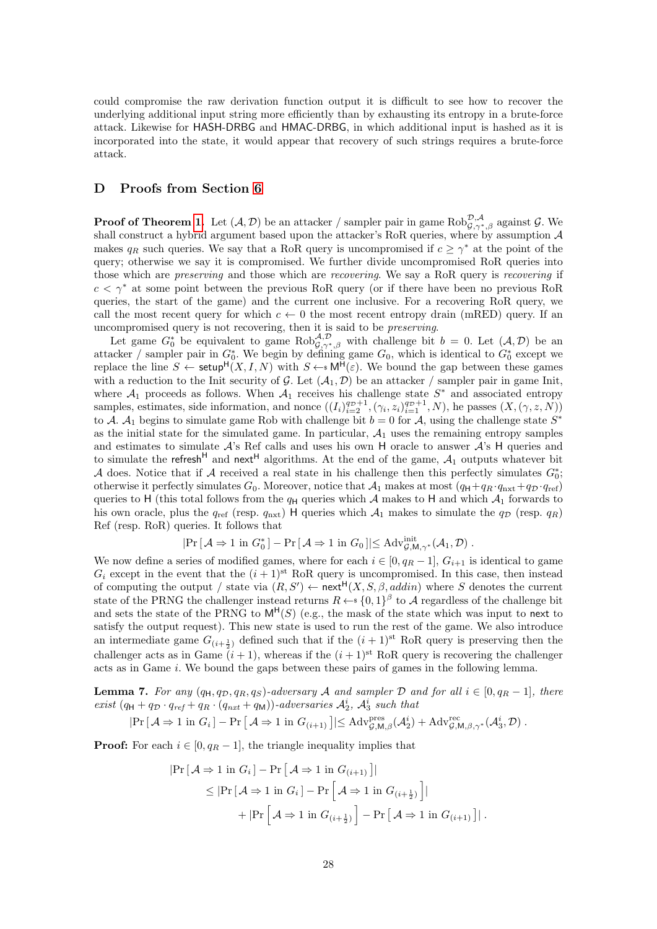could compromise the raw derivation function output it is difficult to see how to recover the underlying additional input string more efficiently than by exhausting its entropy in a brute-force attack. Likewise for HASH-DRBG and HMAC-DRBG, in which additional input is hashed as it is incorporated into the state, it would appear that recovery of such strings requires a brute-force attack.

## <span id="page-27-0"></span>D Proofs from Section [6](#page-10-0)

**Proof of Theorem [1.](#page-9-1)** Let  $(A, \mathcal{D})$  be an attacker / sampler pair in game  $\text{Rob}_{\mathcal{G},\gamma^*,\beta}^{\mathcal{D},\mathcal{A}}$  against  $\mathcal{G}$ . We shall construct a hybrid argument based upon the attacker's RoR queries, where by assumption  $\mathcal A$ makes  $q_R$  such queries. We say that a RoR query is uncompromised if  $c \geq \gamma^*$  at the point of the query; otherwise we say it is compromised. We further divide uncompromised RoR queries into those which are *preserving* and those which are *recovering*. We say a RoR query is *recovering* if  $c < \gamma^*$  at some point between the previous RoR query (or if there have been no previous RoR queries, the start of the game) and the current one inclusive. For a recovering RoR query, we call the most recent query for which  $c \leftarrow 0$  the most recent entropy drain (mRED) query. If an uncompromised query is not recovering, then it is said to be preserving.

Let game  $G_0^*$  be equivalent to game  $\text{Rob}_{\mathcal{G},\gamma^*,\beta}^{\mathcal{A},\mathcal{D}}$  with challenge bit  $b=0$ . Let  $(\mathcal{A},\mathcal{D})$  be an attacker / sampler pair in  $G_0^*$ . We begin by defining game  $G_0$ , which is identical to  $G_0^*$  except we replace the line  $S \leftarrow \text{setup}^{\mathsf{H}}(X, I, N)$  with  $S \leftarrow \mathsf{M}^{\mathsf{H}}(\varepsilon)$ . We bound the gap between these games with a reduction to the Init security of G. Let  $(A_1, \mathcal{D})$  be an attacker / sampler pair in game Init, where  $A_1$  proceeds as follows. When  $A_1$  receives his challenge state  $S^*$  and associated entropy samples, estimates, side information, and nonce  $((I_i)_{i=2}^{q_D+1}, (\gamma_i, z_i)_{i=1}^{q_D+1}, N)$ , he passes  $(X, (\gamma, z, N))$ to A.  $A_1$  begins to simulate game Rob with challenge bit  $b = 0$  for  $\overline{A}$ , using the challenge state  $S^*$ as the initial state for the simulated game. In particular,  $A_1$  uses the remaining entropy samples and estimates to simulate  $A$ 's Ref calls and uses his own H oracle to answer  $A$ 's H queries and to simulate the refresh<sup>H</sup> and next<sup>H</sup> algorithms. At the end of the game,  $\mathcal{A}_1$  outputs whatever bit A does. Notice that if A received a real state in his challenge then this perfectly simulates  $G_0^*$ ; otherwise it perfectly simulates  $G_0$ . Moreover, notice that  $\mathcal{A}_1$  makes at most  $(q_H+q_R \cdot q_{\text{next}}+q_D \cdot q_{\text{ref}})$ queries to H (this total follows from the  $q_H$  queries which A makes to H and which  $A_1$  forwards to his own oracle, plus the  $q_{ref}$  (resp.  $q_{nxt}$ ) H queries which  $\mathcal{A}_1$  makes to simulate the  $q_D$  (resp.  $q_R$ ) Ref (resp. RoR) queries. It follows that

$$
|\Pr[\mathcal{A} \Rightarrow 1 \text{ in } G_0^*] - \Pr[\mathcal{A} \Rightarrow 1 \text{ in } G_0]| \leq \text{Adv}_{\mathcal{G},M,\gamma^*}^{\text{init}}(\mathcal{A}_1, \mathcal{D}).
$$

We now define a series of modified games, where for each  $i \in [0, q_R - 1], G_{i+1}$  is identical to game  $G_i$  except in the event that the  $(i + 1)$ <sup>st</sup> RoR query is uncompromised. In this case, then instead of computing the output / state via  $(R, S') \leftarrow \text{next}^H(X, S, \beta, \text{addin})$  where S denotes the current state of the PRNG the challenger instead returns  $R \leftarrow \{0,1\}^{\beta}$  to A regardless of the challenge bit and sets the state of the PRNG to  $M^{H}(S)$  (e.g., the mask of the state which was input to next to satisfy the output request). This new state is used to run the rest of the game. We also introduce an intermediate game  $G_{(i+\frac{1}{2})}$  defined such that if the  $(i+1)$ <sup>st</sup> RoR query is preserving then the challenger acts as in Game  $(i+1)$ , whereas if the  $(i+1)$ <sup>st</sup> RoR query is recovering the challenger acts as in Game i. We bound the gaps between these pairs of games in the following lemma.

**Lemma 7.** For any  $(q_H, q_D, q_R, q_S)$ -adversary A and sampler D and for all  $i \in [0, q_R - 1]$ , there exist  $(q_H + q_D \cdot q_{ref} + q_R \cdot (q_{nxt} + q_M))$ -adversaries  $\mathcal{A}_2^i$ ,  $\mathcal{A}_3^i$  such that

$$
|\Pr[\mathcal{A} \Rightarrow 1 \text{ in } G_i] - \Pr[\mathcal{A} \Rightarrow 1 \text{ in } G_{(i+1)}] | \leq \mathrm{Adv}_{\mathcal{G},M,\beta}^{\text{pres}}(\mathcal{A}_2^i) + \mathrm{Adv}_{\mathcal{G},M,\beta,\gamma^*}^{\text{rec}}(\mathcal{A}_3^i,\mathcal{D}).
$$

**Proof:** For each  $i \in [0, q_R - 1]$ , the triangle inequality implies that

$$
|\Pr[\mathcal{A} \Rightarrow 1 \text{ in } G_i] - \Pr[\mathcal{A} \Rightarrow 1 \text{ in } G_{(i+1)}]|
$$
  
\$\leq |\Pr[\mathcal{A} \Rightarrow 1 \text{ in } G\_i] - \Pr[\mathcal{A} \Rightarrow 1 \text{ in } G\_{(i+\frac{1}{2})}]|\$  

$$
+ |\Pr[\mathcal{A} \Rightarrow 1 \text{ in } G_{(i+\frac{1}{2})}] - \Pr[\mathcal{A} \Rightarrow 1 \text{ in } G_{(i+1)}]|.
$$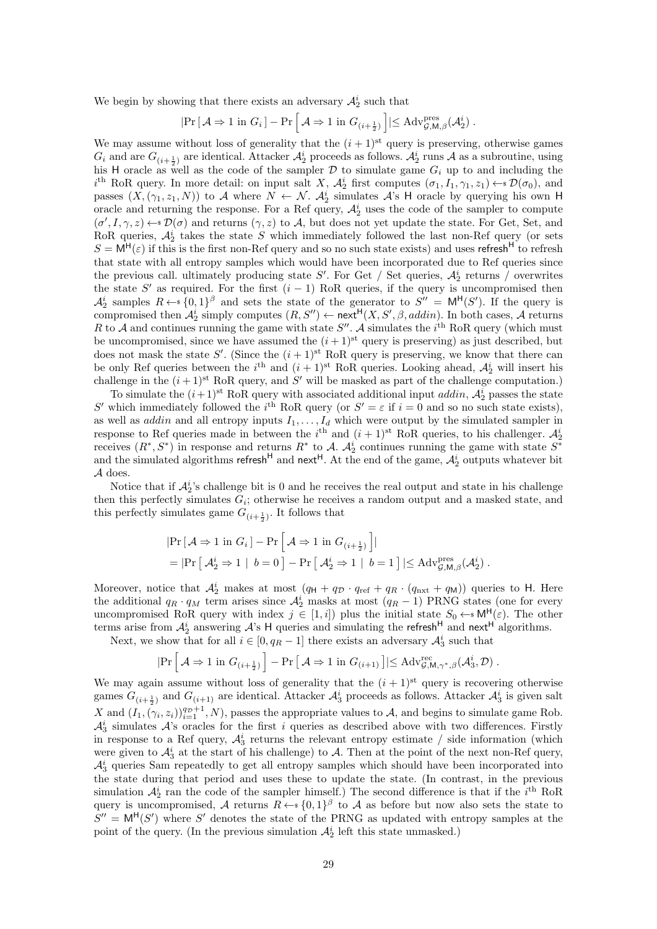We begin by showing that there exists an adversary  $\mathcal{A}_2^i$  such that

$$
|\Pr[\mathcal{A} \Rightarrow 1 \text{ in } G_i] - \Pr[\mathcal{A} \Rightarrow 1 \text{ in } G_{(i+\frac{1}{2})}]| \leq \text{Adv}_{\mathcal{G},M,\beta}^{\text{pres}}(\mathcal{A}_2^i).
$$

We may assume without loss of generality that the  $(i + 1)$ <sup>st</sup> query is preserving, otherwise games  $G_i$  and are  $G_{(i+\frac{1}{2})}$  are identical. Attacker  $\mathcal{A}_2^i$  proceeds as follows.  $\mathcal{A}_2^i$  runs  $\mathcal{A}$  as a subroutine, using his H oracle as well as the code of the sampler  $\mathcal D$  to simulate game  $G_i$  up to and including the  $i^{\text{th}}$  RoR query. In more detail: on input salt  $X$ ,  $\mathcal{A}_2^i$  first computes  $(\sigma_1, I_1, \gamma_1, z_1) \leftarrow \mathcal{D}(\sigma_0)$ , and passes  $(X, (\gamma_1, z_1, N))$  to A where  $N \leftarrow N$ .  $\mathcal{A}_2^i$  simulates  $\mathcal{A}$ 's H oracle by querying his own H oracle and returning the response. For a Ref query,  $\mathcal{A}_2^i$  uses the code of the sampler to compute  $(\sigma', I, \gamma, z) \leftarrow \mathcal{D}(\sigma)$  and returns  $(\gamma, z)$  to A, but does not yet update the state. For Get, Set, and RoR queries,  $\mathcal{A}_2^i$  takes the state S which immediately followed the last non-Ref query (or sets  $S = \mathsf{M}^{\mathsf{H}}(\varepsilon)$  if this is the first non-Ref query and so no such state exists) and uses refresh<sup>H</sup> to refresh that state with all entropy samples which would have been incorporated due to Ref queries since the previous call. ultimately producing state  $S'$ . For Get / Set queries,  $\mathcal{A}_2^i$  returns / overwrites the state S' as required. For the first  $(i - 1)$  RoR queries, if the query is uncompromised then  $\mathcal{A}_2^i$  samples  $R \leftarrow \{0,1\}^{\beta}$  and sets the state of the generator to  $S'' = \mathsf{M}^{\mathsf{H}}(S')$ . If the query is compromised then  $\mathcal{A}_2^i$  simply computes  $(R, S'') \leftarrow \text{next}^{\text{H}}(X, S', \beta, \text{addin})$ . In both cases, A returns R to A and continues running the game with state  $S''$ . A simulates the i<sup>th</sup> RoR query (which must be uncompromised, since we have assumed the  $(i+1)$ <sup>st</sup> query is preserving) as just described, but does not mask the state S'. (Since the  $(i + 1)$ <sup>st</sup> RoR query is preserving, we know that there can be only Ref queries between the  $i^{\text{th}}$  and  $(i + 1)^{\text{st}}$  RoR queries. Looking ahead,  $\mathcal{A}_2^i$  will insert his challenge in the  $(i+1)$ <sup>st</sup> RoR query, and S' will be masked as part of the challenge computation.)

To simulate the  $(i+1)$ <sup>st</sup> RoR query with associated additional input *addin*,  $\mathcal{A}_2^i$  passes the state S' which immediately followed the i<sup>th</sup> RoR query (or  $S' = \varepsilon$  if  $i = 0$  and so no such state exists), as well as *addin* and all entropy inputs  $I_1, \ldots, I_d$  which were output by the simulated sampler in response to Ref queries made in between the  $i<sup>th</sup>$  and  $(i+1)<sup>st</sup>$  RoR queries, to his challenger.  $\mathcal{A}_2^i$ receives  $(R^*, S^*)$  in response and returns  $R^*$  to A.  $\mathcal{A}_2^i$  continues running the game with state  $S^*$ and the simulated algorithms refresh<sup>H</sup> and next<sup>H</sup>. At the end of the game,  $\mathcal{A}_2^i$  outputs whatever bit A does.

Notice that if  $\mathcal{A}_2^i$ 's challenge bit is 0 and he receives the real output and state in his challenge then this perfectly simulates  $G_i$ ; otherwise he receives a random output and a masked state, and this perfectly simulates game  $G_{(i+\frac{1}{2})}$ . It follows that

$$
|\Pr[\mathcal{A} \Rightarrow 1 \text{ in } G_i] - \Pr[\mathcal{A} \Rightarrow 1 \text{ in } G_{(i+\frac{1}{2})}]|
$$
  
= 
$$
|\Pr[\mathcal{A}_2^i \Rightarrow 1 | b = 0] - \Pr[\mathcal{A}_2^i \Rightarrow 1 | b = 1]| \leq \text{Adv}_{\mathcal{G}, \mathsf{M}, \beta}^{\text{pres}}(\mathcal{A}_2^i).
$$

Moreover, notice that  $\mathcal{A}_2^i$  makes at most  $(q_H + q_D \cdot q_{ref} + q_R \cdot (q_{nxt} + q_M))$  queries to H. Here the additional  $q_R \cdot q_M$  term arises since  $\mathcal{A}_2^i$  masks at most  $(q_R - 1)$  PRNG states (one for every uncompromised RoR query with index  $j \in [1, i]$  plus the initial state  $S_0 \leftarrow s \mathsf{M}^{\mathsf{H}}(\varepsilon)$ . The other terms arise from  $A_2^i$  answering  $A$ 's H queries and simulating the refresh<sup>H</sup> and next<sup>H</sup> algorithms.

Next, we show that for all  $i \in [0, q_R - 1]$  there exists an adversary  $\mathcal{A}_3^i$  such that

$$
|\Pr\left[\mathcal{A}\Rightarrow 1 \text{ in } G_{(i+\frac{1}{2})}\right] - \Pr\left[\mathcal{A}\Rightarrow 1 \text{ in } G_{(i+1)}\right]| \leq \mathrm{Adv}_{\mathcal{G},\mathsf{M},\gamma^*,\beta}^{\mathrm{rec}}(\mathcal{A}_3^i,\mathcal{D})\;.
$$

We may again assume without loss of generality that the  $(i + 1)$ <sup>st</sup> query is recovering otherwise games  $G_{(i+\frac{1}{2})}$  and  $G_{(i+1)}$  are identical. Attacker  $\mathcal{A}_3^i$  proceeds as follows. Attacker  $\mathcal{A}_3^i$  is given salt X and  $(I_1, \overline{(r_i, z_i)}_{i=1}^{q_D+1}, N)$ , passes the appropriate values to A, and begins to simulate game Rob.  $\mathcal{A}_3^i$  simulates  $\mathcal{A}$ 's oracles for the first i queries as described above with two differences. Firstly in response to a Ref query,  $\mathcal{A}_3^i$  returns the relevant entropy estimate / side information (which were given to  $\mathcal{A}_3^i$  at the start of his challenge) to  $\mathcal{A}$ . Then at the point of the next non-Ref query,  $\mathcal{A}_3^i$  queries Sam repeatedly to get all entropy samples which should have been incorporated into the state during that period and uses these to update the state. (In contrast, in the previous simulation  $\mathcal{A}_2^i$  ran the code of the sampler himself.) The second difference is that if the  $i^{\text{th}}$  RoR query is uncompromised, A returns  $R \leftarrow \{0,1\}^{\beta}$  to A as before but now also sets the state to  $S'' = \mathsf{M}^{\mathsf{H}}(S')$  where S' denotes the state of the PRNG as updated with entropy samples at the point of the query. (In the previous simulation  $\mathcal{A}_2^i$  left this state unmasked.)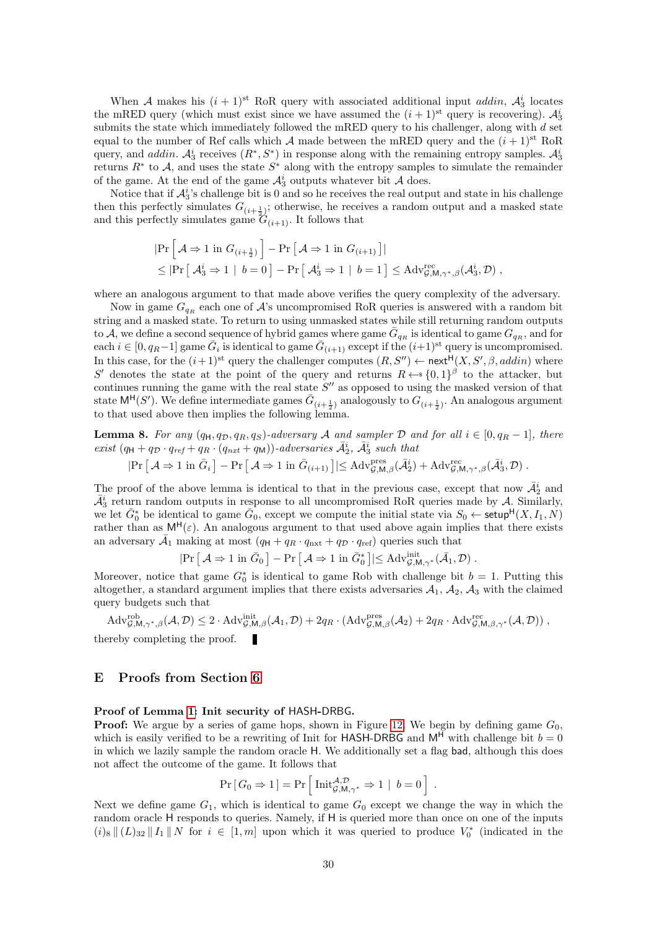When A makes his  $(i + 1)$ <sup>st</sup> RoR query with associated additional input *addin*,  $\mathcal{A}_3^i$  locates the mRED query (which must exist since we have assumed the  $(i + 1)$ <sup>st</sup> query is recovering).  $\mathcal{A}_3^i$ submits the state which immediately followed the mRED query to his challenger, along with  $d$  set equal to the number of Ref calls which A made between the mRED query and the  $(i + 1)$ <sup>st</sup> RoR query, and *addin*.  $\mathcal{A}_3^i$  receives  $(R^*, S^*)$  in response along with the remaining entropy samples.  $\mathcal{A}_3^i$ returns  $R^*$  to  $A$ , and uses the state  $S^*$  along with the entropy samples to simulate the remainder of the game. At the end of the game  $\mathcal{A}_3^i$  outputs whatever bit  $\mathcal A$  does.

Notice that if  $\mathcal{A}_3^i$ 's challenge bit is 0 and so he receives the real output and state in his challenge then this perfectly simulates  $G_{(i+\frac{1}{2})}$ ; otherwise, he receives a random output and a masked state and this perfectly simulates game  $\widehat{G}_{(i+1)}$ . It follows that

$$
\begin{aligned} &\left| \Pr\left[ \mathcal{A} \Rightarrow 1 \text{ in } G_{(i+\frac{1}{2})} \right] - \Pr\left[ \mathcal{A} \Rightarrow 1 \text{ in } G_{(i+1)} \right] \right| \\ &\leq \left| \Pr\left[ \mathcal{A}_3^i \Rightarrow 1 \mid b = 0 \right] - \Pr\left[ \mathcal{A}_3^i \Rightarrow 1 \mid b = 1 \right] \leq \mathrm{Adv}_{\mathcal{G}, \mathsf{M}, \gamma^*, \beta}^{rec}(\mathcal{A}_3^i, \mathcal{D}) \right], \end{aligned}
$$

where an analogous argument to that made above verifies the query complexity of the adversary.

Now in game  $G_{q_R}$  each one of A's uncompromised RoR queries is answered with a random bit string and a masked state. To return to using unmasked states while still returning random outputs to A, we define a second sequence of hybrid games where game  $\bar{G}_{q_R}$  is identical to game  $G_{q_R}$ , and for each  $i \in [0, q_R-1]$  game  $\bar{G}_i$  is identical to game  $\bar{G}_{(i+1)}$  except if the  $(i+1)^{st}$  query is uncompromised. In this case, for the  $(i+1)$ <sup>st</sup> query the challenger computes  $(R, S'') \leftarrow \text{next}^{\text{H}}(X, S', \beta, \text{add} \text{in})$  where S' denotes the state at the point of the query and returns  $R \leftarrow s \{0,1\}^{\beta}$  to the attacker, but continues running the game with the real state  $S''$  as opposed to using the masked version of that state  $\mathsf{M}^{\mathsf{H}}(S')$ . We define intermediate games  $\bar{G}_{(i+\frac{1}{2})}$  analogously to  $G_{(i+\frac{1}{2})}$ . An analogous argument to that used above then implies the following lemma.

**Lemma 8.** For any  $(q_H, q_D, q_R, q_S)$ -adversary A and sampler D and for all  $i \in [0, q_R - 1]$ , there exist  $(q_H + q_D \cdot q_{ref} + q_R \cdot (q_{nxt} + q_M))$ -adversaries  $\bar{A}_2^i$ ,  $\bar{A}_3^i$  such that

 $|\Pr[\mathcal{A} \Rightarrow 1 \text{ in } \bar{G}_i] - \Pr[\mathcal{A} \Rightarrow 1 \text{ in } \bar{G}_{(i+1)}] | \leq \mathrm{Adv}_{\mathcal{G},M,\beta}^{\mathrm{pres}}(\bar{\mathcal{A}}_2^i) + \mathrm{Adv}_{\mathcal{G},M,\gamma^*,\beta}^{\mathrm{rec}}(\bar{\mathcal{A}}_3^i,\mathcal{D})$ .

The proof of the above lemma is identical to that in the previous case, except that now  $\bar{A}_2^i$  and  $\bar{A}_3^i$  return random outputs in response to all uncompromised RoR queries made by A. Similarly, we let  $\bar{G}_0^*$  be identical to game  $\bar{G}_0$ , except we compute the initial state via  $S_0 \leftarrow \text{setup}^{\text{H}}(X, I_1, N)$ rather than as  $M^{H}(\varepsilon)$ . An analogous argument to that used above again implies that there exists an adversary  $\bar{A}_1$  making at most  $(q_H + q_H \cdot q_{\text{rxt}} + q_{\mathcal{D}} \cdot q_{\text{ref}})$  queries such that

$$
|\Pr[\mathcal{A} \Rightarrow 1 \text{ in } \bar{G}_0] - \Pr[\mathcal{A} \Rightarrow 1 \text{ in } \bar{G}_0^*]| \leq \text{Adv}_{\mathcal{G},M,\gamma^*}^{\text{init}}(\bar{A}_1, \mathcal{D}).
$$

Moreover, notice that game  $G_0^*$  is identical to game Rob with challenge bit  $b = 1$ . Putting this altogether, a standard argument implies that there exists adversaries  $A_1$ ,  $A_2$ ,  $A_3$  with the claimed query budgets such that

 $\mathrm{Adv}_{\mathcal{G},\mathsf{M},\gamma^*,\beta}^{\mathrm{rob}}(\mathcal{A},\mathcal{D}) \leq 2\cdot \mathrm{Adv}_{\mathcal{G},\mathsf{M},\beta}^{\mathrm{init}}(\mathcal{A}_1,\mathcal{D}) + 2q_R\cdot(\mathrm{Adv}_{\mathcal{G},\mathsf{M},\beta}^{\mathrm{pres}}(\mathcal{A}_2) + 2q_R\cdot \mathrm{Adv}_{\mathcal{G},\mathsf{M},\beta,\gamma^*}^{\mathrm{rec}}(\mathcal{A},\mathcal{D}))\;,$ thereby completing the proof.

### <span id="page-29-0"></span>E Proofs from Section [6](#page-10-0)

#### Proof of Lemma [1:](#page-11-1) Init security of HASH-DRBG.

**Proof:** We argue by a series of game hops, shown in Figure [12.](#page-30-0) We begin by defining game  $G_0$ , which is easily verified to be a rewriting of Init for HASH-DRBG and  $M^H$  with challenge bit  $b = 0$ in which we lazily sample the random oracle H. We additionally set a flag bad, although this does not affect the outcome of the game. It follows that

$$
Pr[G_0 \Rightarrow 1] = Pr\left[\text{Init}_{\mathcal{G}, \mathsf{M}, \gamma^*}^{\mathcal{A}, \mathcal{D}} \Rightarrow 1 \mid b = 0\right].
$$

Next we define game  $G_1$ , which is identical to game  $G_0$  except we change the way in which the random oracle H responds to queries. Namely, if H is queried more than once on one of the inputs  $(i)_{8} \parallel (L)_{32} \parallel I_{1} \parallel N$  for  $i \in [1, m]$  upon which it was queried to produce  $V_{0}^{*}$  (indicated in the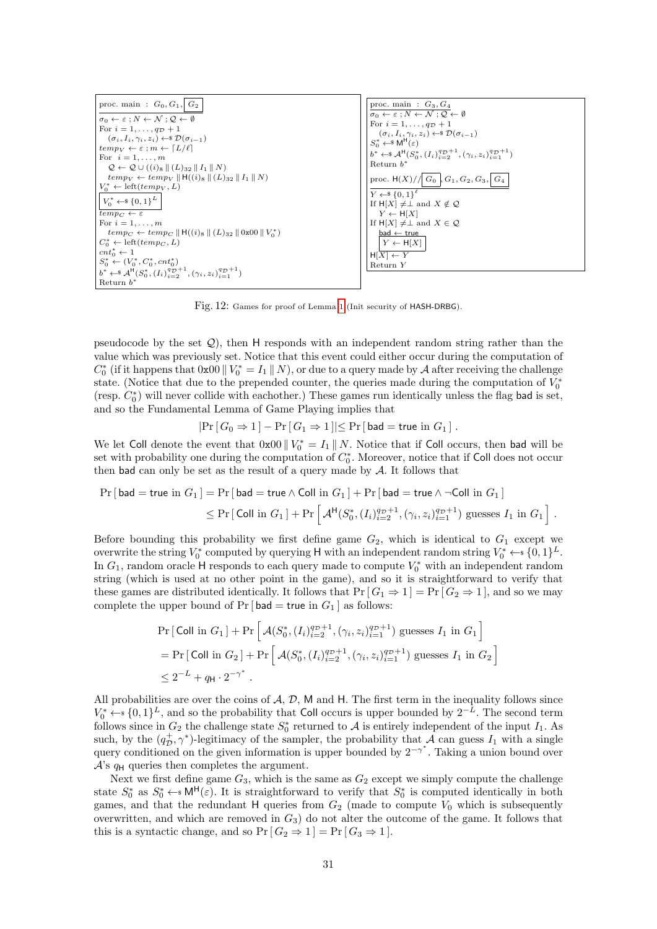<span id="page-30-0"></span>

| proc. main : $G_0, G_1,   G_2$                                                                                                 | proc. main : $G_3, G_4$                                                                                        |
|--------------------------------------------------------------------------------------------------------------------------------|----------------------------------------------------------------------------------------------------------------|
| $\sigma_0 \leftarrow \varepsilon : N \leftarrow \mathcal{N} : \mathcal{Q} \leftarrow \emptyset$                                | $\sigma_0 \leftarrow \varepsilon$ ; $N \leftarrow \mathcal{N}$ ; $\mathcal{Q} \leftarrow \emptyset$            |
| For $i=1,\ldots,q_{\mathcal{D}}+1$                                                                                             | For $i=1,\ldots,q_{\mathcal{D}}+1$                                                                             |
| $(\sigma_i, I_i, \gamma_i, z_i) \leftarrow \mathcal{D}(\sigma_{i-1})$                                                          | $(\sigma_i, I_i, \gamma_i, z_i) \leftarrow \mathcal{D}(\sigma_{i-1})$                                          |
| $temp_V \leftarrow \varepsilon$ ; $m \leftarrow [L/\ell]$                                                                      | $S_0^* \leftarrow \$ \mathsf{M}^{\mathsf{H}}(\varepsilon)$                                                     |
| For $i=1,\ldots,m$                                                                                                             | $b^* \leftarrow \mathcal{A}^{\mathsf{H}}(S_0^*, (I_i)_{i=2}^{q} D_1^{+1}, (\gamma_i, z_i)_{i=1}^{q} D_1^{+1})$ |
| $\mathcal{Q} \leftarrow \mathcal{Q} \cup ((i)_{8} \mathbin{  } (L)_{32} \mathbin{  } I_{1} \mathbin{  } N)$                    | Return $b^*$                                                                                                   |
| $temp_V \leftarrow temp_V \ \text{H}((i)_{8} \  (L)_{32} \  I_1 \  N)$                                                         |                                                                                                                |
| $V_0^* \leftarrow \text{left}(temp_V, L)$                                                                                      | proc. $H(X)/\left G_0\right , G_1, G_2, G_3, G_4$                                                              |
|                                                                                                                                | $Y \leftarrow \$ \{0,1\}^{\ell}$                                                                               |
| $V_0^* \leftarrow \{0,1\}^L$                                                                                                   | If $H[X] \neq \perp$ and $X \notin \mathcal{Q}$                                                                |
| $temp_C \leftarrow \varepsilon$                                                                                                | $Y \leftarrow H[X]$                                                                                            |
| For $i=1,\ldots,m$                                                                                                             | If $H[X] \neq \perp$ and $X \in \mathcal{Q}$                                                                   |
| $temp_C \leftarrow temp_C \ \,\mathsf{H}((i)_{8} \  (L)_{32} \  0 \times 00 \  V_0^*)$                                         | <u>bad <math>\leftarrow</math> true</u>                                                                        |
| $C_0^* \leftarrow \text{left}(\text{temp}_C, L)$                                                                               | $Y \leftarrow H[X]$                                                                                            |
| $cnt_0^* \leftarrow 1$                                                                                                         | $H[X] \leftarrow Y$                                                                                            |
| $S_0^* \leftarrow (V_0^*, C_0^*, cnt_0^*)$                                                                                     | Return Y                                                                                                       |
| $b^* \leftarrow \mathcal{A}^{\mathsf{H}}(S_0^*, (I_i)_{i=2}^{q} \mathcal{D}^{+1}, (\gamma_i, z_i)_{i=1}^{q} \mathcal{D}^{+1})$ |                                                                                                                |
| Return $b^*$                                                                                                                   |                                                                                                                |

Fig. 12: Games for proof of Lemma [1](#page-11-1) (Init security of HASH-DRBG).

pseudocode by the set  $Q$ ), then H responds with an independent random string rather than the value which was previously set. Notice that this event could either occur during the computation of  $C_0^*$  (if it happens that  $0x00 \parallel V_0^* = I_1 \parallel N$ ), or due to a query made by  ${\mathcal{A}}$  after receiving the challenge state. (Notice that due to the prepended counter, the queries made during the computation of  $V_0^*$ (resp.  $C_0^*$ ) will never collide with eachother.) These games run identically unless the flag bad is set, and so the Fundamental Lemma of Game Playing implies that

$$
|\Pr[G_0 \Rightarrow 1] - \Pr[G_1 \Rightarrow 1]| \leq \Pr[\text{bad} = \text{true in } G_1].
$$

We let Coll denote the event that  $0x00 \parallel V_0^* = I_1 \parallel N$ . Notice that if Coll occurs, then bad will be set with probability one during the computation of  $C_0^*$ . Moreover, notice that if Coll does not occur then bad can only be set as the result of a query made by  $A$ . It follows that

$$
\Pr\left[\text{bad} = \text{true in } G_1\right] = \Pr\left[\text{bad} = \text{true} \land \text{Coll in } G_1\right] + \Pr\left[\text{bad} = \text{true} \land \neg \text{Coll in } G_1\right]
$$
\n
$$
\leq \Pr\left[\text{Coll in } G_1\right] + \Pr\left[\mathcal{A}^{\text{H}}(S_0^*, (I_i)_{i=2}^{q_D+1}, (\gamma_i, z_i)_{i=1}^{q_D+1}) \text{ guesses } I_1 \text{ in } G_1\right].
$$

Before bounding this probability we first define game  $G_2$ , which is identical to  $G_1$  except we overwrite the string  $V_0^*$  computed by querying H with an independent random string  $V_0^* \leftarrow \{0, 1\}^L$ . In  $G_1$ , random oracle H responds to each query made to compute  $V_0^*$  with an independent random string (which is used at no other point in the game), and so it is straightforward to verify that these games are distributed identically. It follows that  $Pr[\ G_1 \Rightarrow 1] = Pr[G_2 \Rightarrow 1]$ , and so we may complete the upper bound of  $Pr[\text{bad} = \text{true in } G_1]$  as follows:

$$
\Pr\left[\text{Coll in } G_1\right] + \Pr\left[\mathcal{A}(S_0^*, (I_i)_{i=2}^{q_D+1}, (\gamma_i, z_i)_{i=1}^{q_D+1}) \text{ guesses } I_1 \text{ in } G_1\right]
$$
\n
$$
= \Pr\left[\text{Coll in } G_2\right] + \Pr\left[\mathcal{A}(S_0^*, (I_i)_{i=2}^{q_D+1}, (\gamma_i, z_i)_{i=1}^{q_D+1}) \text{ guesses } I_1 \text{ in } G_2\right]
$$
\n
$$
\leq 2^{-L} + q_{\mathsf{H}} \cdot 2^{-\gamma^*}.
$$

All probabilities are over the coins of  $A, D, M$  and H. The first term in the inequality follows since  $V_0^* \leftarrow \{0,1\}^L$ , and so the probability that Coll occurs is upper bounded by  $2^{-L}$ . The second term follows since in  $G_2$  the challenge state  $S_0^*$  returned to A is entirely independent of the input  $I_1$ . As such, by the  $(q_D^+,\gamma^*)$ -legitimacy of the sampler, the probability that  $\mathcal A$  can guess  $I_1$  with a single query conditioned on the given information is upper bounded by  $2^{-\gamma^*}$ . Taking a union bound over  $A$ 's  $q_H$  queries then completes the argument.

Next we first define game  $G_3$ , which is the same as  $G_2$  except we simply compute the challenge state  $S_0^*$  as  $S_0^* \leftarrow s \mathsf{M}^{\mathsf{H}}(\varepsilon)$ . It is straightforward to verify that  $S_0^*$  is computed identically in both games, and that the redundant  $H$  queries from  $G_2$  (made to compute  $V_0$  which is subsequently overwritten, and which are removed in  $G_3$ ) do not alter the outcome of the game. It follows that this is a syntactic change, and so  $Pr[G_2 \Rightarrow 1] = Pr[G_3 \Rightarrow 1]$ .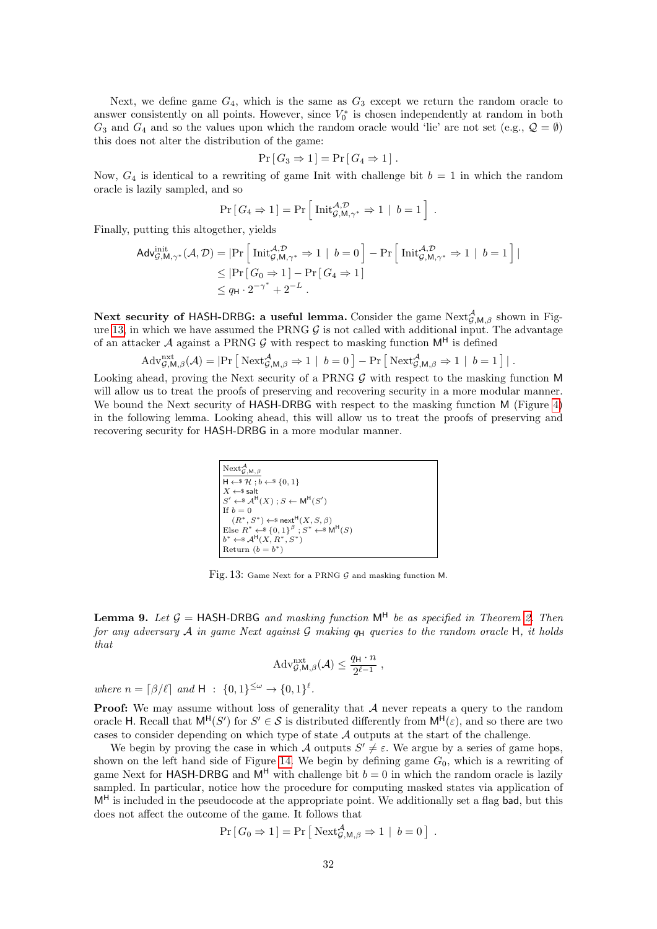Next, we define game  $G_4$ , which is the same as  $G_3$  except we return the random oracle to answer consistently on all points. However, since  $V_0^*$  is chosen independently at random in both  $G_3$  and  $G_4$  and so the values upon which the random oracle would 'lie' are not set (e.g.,  $\mathcal{Q} = \emptyset$ ) this does not alter the distribution of the game:

$$
Pr[G_3 \Rightarrow 1] = Pr[G_4 \Rightarrow 1].
$$

Now,  $G_4$  is identical to a rewriting of game Init with challenge bit  $b = 1$  in which the random oracle is lazily sampled, and so

$$
\Pr\left[G_4 \Rightarrow 1\right] = \Pr\left[\text{Init}_{\mathcal{G}, \mathsf{M}, \gamma^*}^{\mathcal{A}, \mathcal{D}} \Rightarrow 1 \mid b = 1\right].
$$

Finally, putting this altogether, yields

$$
\mathsf{Adv}_{\mathcal{G}, \mathsf{M}, \gamma^*}^{\text{init}}(\mathcal{A}, \mathcal{D}) = |\Pr\left[\text{Init}_{\mathcal{G}, \mathsf{M}, \gamma^*}^{\mathcal{A}, \mathcal{D}} \Rightarrow 1 \mid b = 0\right] - \Pr\left[\text{Init}_{\mathcal{G}, \mathsf{M}, \gamma^*}^{\mathcal{A}, \mathcal{D}} \Rightarrow 1 \mid b = 1\right] |
$$
  
\$\leq |\Pr\left[G\_0 \Rightarrow 1\right] - \Pr\left[G\_4 \Rightarrow 1\right]\$  
\$\leq q\_{\mathsf{H}} \cdot 2^{-\gamma^\*} + 2^{-L}\$.

Next security of HASH-DRBG: a useful lemma. Consider the game  $\text{Next}_{\mathcal{G},M,\beta}^{\mathcal{A}}$  shown in Fig-ure [13,](#page-31-0) in which we have assumed the PRNG  $G$  is not called with additional input. The advantage of an attacker  $A$  against a PRNG  $G$  with respect to masking function  $M<sup>H</sup>$  is defined

$$
\mathrm{Adv}_{\mathcal{G}, \mathsf{M}, \beta}^{\mathrm{nxt}}(\mathcal{A}) = |\mathrm{Pr}\left[\ \mathrm{Next}_{\mathcal{G}, \mathsf{M}, \beta}^{\mathcal{A}} \Rightarrow 1 \mid b = 0 \right] - \mathrm{Pr}\left[\ \mathrm{Next}_{\mathcal{G}, \mathsf{M}, \beta}^{\mathcal{A}} \Rightarrow 1 \mid b = 1 \right]|.
$$

<span id="page-31-0"></span>Looking ahead, proving the Next security of a PRNG  $G$  with respect to the masking function M will allow us to treat the proofs of preserving and recovering security in a more modular manner. We bound the Next security of **HASH-DRBG** with respect to the masking function M (Figure [4\)](#page-10-2) in the following lemma. Looking ahead, this will allow us to treat the proofs of preserving and recovering security for HASH-DRBG in a more modular manner.

Next, 
$$
\mathcal{G}_{g,\mathsf{M},\beta}
$$
\n $H \leftarrow^{\mathcal{S}} H$  ;  $b \leftarrow^{\mathcal{S}} \{0,1\}$ \n $X \leftarrow^{\mathcal{S}} \mathsf{salt}$ \n $S' \leftarrow^{\mathcal{S}} A^{\mathsf{H}}(X)$  ;  $S \leftarrow \mathsf{M}^{\mathsf{H}}(S')$ \nIf  $b = 0$ \n $(R^*, S^*) \leftarrow^{\mathcal{S}} \text{next}^{\mathsf{H}}(X, S, \beta)$ \nElse  $R^* \leftarrow^{\mathcal{S}} \{0,1\}^\beta$  ;  $S^* \leftarrow^{\mathcal{S}} \mathsf{M}^{\mathsf{H}}(S)$ \n $b^* \leftarrow^{\mathcal{S}} A^{\mathsf{H}}(X, R^*, S^*)$ \nReturn  $(b = b^*)$ 

Fig. 13: Game Next for a PRNG  $\mathcal G$  and masking function M.

<span id="page-31-1"></span>**Lemma 9.** Let  $\mathcal{G} =$  HASH-DRBG and masking function  $\mathsf{M}^{\mathsf{H}}$  be as specified in Theorem [2.](#page-11-0) Then for any adversary A in game Next against G making  $q_H$  queries to the random oracle H, it holds that

$$
Adv_{\mathcal{G}, \mathsf{M}, \beta}^{\text{nxt}}(\mathcal{A}) \le \frac{q_{\mathsf{H}} \cdot n}{2^{\ell-1}},
$$

where  $n = \lfloor \beta/\ell \rfloor$  and  $H : \{0,1\}^{\leq \omega} \to \{0,1\}^{\ell}$ .

**Proof:** We may assume without loss of generality that  $A$  never repeats a query to the random oracle H. Recall that  $M^H(S')$  for  $S' \in \mathcal{S}$  is distributed differently from  $M^H(\varepsilon)$ , and so there are two cases to consider depending on which type of state A outputs at the start of the challenge.

We begin by proving the case in which A outputs  $S' \neq \varepsilon$ . We argue by a series of game hops, shown on the left hand side of Figure [14.](#page-36-0) We begin by defining game  $G_0$ , which is a rewriting of game Next for HASH-DRBG and  $M^H$  with challenge bit  $b = 0$  in which the random oracle is lazily sampled. In particular, notice how the procedure for computing masked states via application of  $M<sup>H</sup>$  is included in the pseudocode at the appropriate point. We additionally set a flag bad, but this does not affect the outcome of the game. It follows that

$$
Pr[G_0 \Rightarrow 1] = Pr[Next_{\mathcal{G},M,\beta}^{\mathcal{A}} \Rightarrow 1 | b = 0].
$$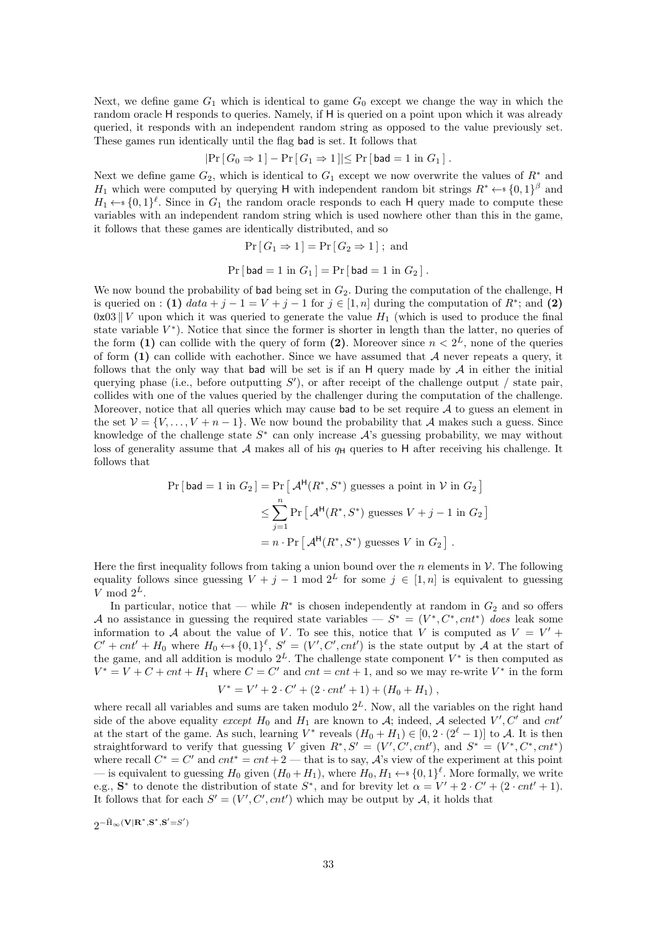Next, we define game  $G_1$  which is identical to game  $G_0$  except we change the way in which the random oracle H responds to queries. Namely, if H is queried on a point upon which it was already queried, it responds with an independent random string as opposed to the value previously set. These games run identically until the flag bad is set. It follows that

$$
|\Pr\left[G_0 \Rightarrow 1\right] - \Pr\left[G_1 \Rightarrow 1\right]| \leq \Pr\left[\text{bad} = 1 \text{ in } G_1\right].
$$

Next we define game  $G_2$ , which is identical to  $G_1$  except we now overwrite the values of  $R^*$  and H<sub>1</sub> which were computed by querying H with independent random bit strings  $R^* \leftarrow \{0,1\}^{\beta}$  and  $H_1 \leftarrow \{0,1\}^{\ell}$ . Since in  $G_1$  the random oracle responds to each H query made to compute these variables with an independent random string which is used nowhere other than this in the game, it follows that these games are identically distributed, and so

$$
Pr[G_1 \Rightarrow 1] = Pr[G_2 \Rightarrow 1];
$$
 and

$$
Pr[bad = 1 in G_1] = Pr[bad = 1 in G_2].
$$

We now bound the probability of bad being set in  $G_2$ . During the computation of the challenge, H is queried on : (1)  $data + j - 1 = V + j - 1$  for  $j \in [1, n]$  during the computation of  $R^*$ ; and (2)  $0x03 \parallel V$  upon which it was queried to generate the value  $H_1$  (which is used to produce the final state variable  $V^*$ ). Notice that since the former is shorter in length than the latter, no queries of the form (1) can collide with the query of form (2). Moreover since  $n < 2^L$ , none of the queries of form  $(1)$  can collide with eachother. Since we have assumed that A never repeats a query, it follows that the only way that bad will be set is if an  $H$  query made by  $A$  in either the initial querying phase (i.e., before outputting  $S'$ ), or after receipt of the challenge output / state pair, collides with one of the values queried by the challenger during the computation of the challenge. Moreover, notice that all queries which may cause bad to be set require  $A$  to guess an element in the set  $V = \{V, \ldots, V + n - 1\}$ . We now bound the probability that A makes such a guess. Since knowledge of the challenge state  $S^*$  can only increase  $\mathcal{A}$ 's guessing probability, we may without loss of generality assume that A makes all of his  $q_H$  queries to H after receiving his challenge. It follows that

$$
\Pr\left[\text{bad} = 1 \text{ in } G_2\right] = \Pr\left[\mathcal{A}^{\mathsf{H}}(R^*, S^*) \text{ guesses a point in } \mathcal{V} \text{ in } G_2\right]
$$

$$
\leq \sum_{j=1}^n \Pr\left[\mathcal{A}^{\mathsf{H}}(R^*, S^*) \text{ guesses } V + j - 1 \text{ in } G_2\right]
$$

$$
= n \cdot \Pr\left[\mathcal{A}^{\mathsf{H}}(R^*, S^*) \text{ guesses } V \text{ in } G_2\right].
$$

Here the first inequality follows from taking a union bound over the n elements in  $\mathcal V$ . The following equality follows since guessing  $V + j - 1 \mod 2^L$  for some  $j \in [1, n]$  is equivalent to guessing V mod  $2^L$ .

In particular, notice that — while  $R^*$  is chosen independently at random in  $G_2$  and so offers A no assistance in guessing the required state variables —  $S^* = (V^*, C^*, cnt^*)$  does leak some information to A about the value of V. To see this, notice that V is computed as  $V = V' +$  $C' + ent' + H_0$  where  $H_0 \leftarrow \{0,1\}^{\ell}, S' = (V', C', ent')$  is the state output by A at the start of the game, and all addition is modulo  $2^L$ . The challenge state component  $V^*$  is then computed as  $V^* = V + C + \text{cnt} + H_1$  where  $C = C'$  and  $\text{cnt} = \text{cnt} + 1$ , and so we may re-write  $V^*$  in the form

$$
V^* = V' + 2 \cdot C' + (2 \cdot cnt' + 1) + (H_0 + H_1) ,
$$

where recall all variables and sums are taken modulo  $2^L$ . Now, all the variables on the right hand side of the above equality except  $H_0$  and  $H_1$  are known to A; indeed, A selected  $V', C'$  and  $cnt'$ at the start of the game. As such, learning  $V^*$  reveals  $(H_0 + H_1) \in [0, 2 \cdot (2^{\ell} - 1)]$  to A. It is then straightforward to verify that guessing V given  $R^*, S' = (V', C', cnt')$ , and  $S^* = (V^*, C^*, cnt^*)$ where recall  $C^* = C'$  and  $cnt^* = cnt + 2$  — that is to say, A's view of the experiment at this point — is equivalent to guessing  $H_0$  given  $(H_0 + H_1)$ , where  $H_0, H_1 \leftarrow \{0, 1\}^{\ell}$ . More formally, we write e.g.,  $S^*$  to denote the distribution of state  $S^*$ , and for brevity let  $\alpha = V' + 2 \cdot C' + (2 \cdot \text{cnt'} + 1)$ . It follows that for each  $S' = (V', C', ent')$  which may be output by A, it holds that

$$
2^{-\tilde{H}_{\infty}(\mathbf{V}|\mathbf{R}^*,\mathbf{S}^*,\mathbf{S}'=S')}
$$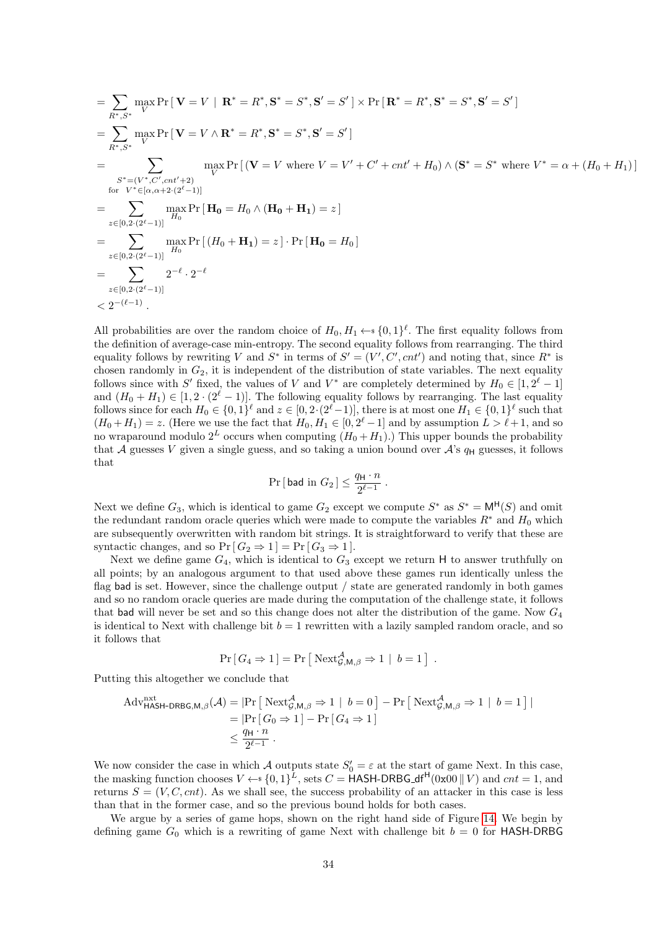$$
\begin{split}\n&= \sum_{R^*,S^*} \max_{V} \Pr\left[\mathbf{V} = V \mid \mathbf{R}^* = R^*, \mathbf{S}^* = S^*, \mathbf{S}' = S'\right] \times \Pr\left[\mathbf{R}^* = R^*, \mathbf{S}^* = S^*, \mathbf{S}' = S'\right] \\
&= \sum_{R^*,S^*} \max_{V} \Pr\left[\mathbf{V} = V \wedge \mathbf{R}^* = R^*, \mathbf{S}^* = S^*, \mathbf{S}' = S'\right] \\
&= \sum_{\substack{S^* = (V^*, C', cnt' + 2) \\ \text{for } V^* \in [\alpha, \alpha + 2 \cdot (2^{\ell} - 1)]}} \max_{V} \Pr\left[(\mathbf{V} = V \text{ where } V = V' + C' + cnt' + H_0) \wedge (\mathbf{S}^* = S^* \text{ where } V^* = \alpha + (H_0 + H_1)\right] \\
&= \sum_{z \in [0, 2 \cdot (2^{\ell} - 1)]} \max_{H_0} \Pr\left[\mathbf{H}_0 = H_0 \wedge (\mathbf{H}_0 + \mathbf{H}_1) = z\right] \\
&= \sum_{z \in [0, 2 \cdot (2^{\ell} - 1)]} \max_{H_0} \Pr\left[(H_0 + \mathbf{H}_1) = z\right] \cdot \Pr\left[\mathbf{H}_0 = H_0\right] \\
&= \sum_{z \in [0, 2 \cdot (2^{\ell} - 1)]} 2^{-\ell} \cdot 2^{-\ell} \\
&< 2^{-(\ell - 1)} \,.\n\end{split}
$$

All probabilities are over the random choice of  $H_0, H_1 \leftarrow \{0, 1\}^{\ell}$ . The first equality follows from the definition of average-case min-entropy. The second equality follows from rearranging. The third equality follows by rewriting V and  $S^*$  in terms of  $S' = (V', C', ent')$  and noting that, since  $R^*$  is chosen randomly in  $G_2$ , it is independent of the distribution of state variables. The next equality follows since with S' fixed, the values of V and  $V^*$  are completely determined by  $H_0 \in [1, 2^{\ell} - 1]$ and  $(H_0 + H_1) \in [1, 2 \cdot (2^{\ell} - 1)].$  The following equality follows by rearranging. The last equality follows since for each  $H_0 \in \{0,1\}^{\ell}$  and  $z \in [0, 2\cdot(2^{\ell}-1)]$ , there is at most one  $H_1 \in \{0,1\}^{\ell}$  such that  $(H_0 + H_1) = z$ . (Here we use the fact that  $H_0, H_1 \in [0, 2^{\ell} - 1]$  and by assumption  $L > \ell + 1$ , and so no wraparound modulo  $2^L$  occurs when computing  $(H_0 + H_1)$ .) This upper bounds the probability that A guesses V given a single guess, and so taking a union bound over A's  $q_H$  guesses, it follows that

$$
\Pr\left[\text{ bad in } G_2\right] \le \frac{q_{\mathsf{H}} \cdot n}{2^{\ell-1}} \ .
$$

Next we define  $G_3$ , which is identical to game  $G_2$  except we compute  $S^*$  as  $S^* = \mathsf{M}^{\mathsf{H}}(S)$  and omit the redundant random oracle queries which were made to compute the variables  $R^*$  and  $H_0$  which are subsequently overwritten with random bit strings. It is straightforward to verify that these are syntactic changes, and so  $Pr[G_2 \Rightarrow 1] = Pr[G_3 \Rightarrow 1]$ .

Next we define game  $G_4$ , which is identical to  $G_3$  except we return H to answer truthfully on all points; by an analogous argument to that used above these games run identically unless the flag bad is set. However, since the challenge output / state are generated randomly in both games and so no random oracle queries are made during the computation of the challenge state, it follows that bad will never be set and so this change does not alter the distribution of the game. Now  $G_4$ is identical to Next with challenge bit  $b = 1$  rewritten with a lazily sampled random oracle, and so it follows that

$$
Pr[G_4 \Rightarrow 1] = Pr[Rext^{\mathcal{A}}_{\mathcal{G},M,\beta} \Rightarrow 1 | b = 1].
$$

Putting this altogether we conclude that

$$
\begin{aligned} \text{Adv}_{\text{HASH-DRBG},\text{M},\beta}^{\text{nxt}}(\mathcal{A}) &= |\text{Pr}\left[\text{ Next}_{\mathcal{G},\text{M},\beta}^{\mathcal{A}} \Rightarrow 1 \mid b = 0\right] - \text{Pr}\left[\text{Next}_{\mathcal{G},\text{M},\beta}^{\mathcal{A}} \Rightarrow 1 \mid b = 1\right] | \\ &= |\text{Pr}\left[G_0 \Rightarrow 1\right] - \text{Pr}\left[G_4 \Rightarrow 1\right] \\ &\leq \frac{q_{\mathsf{H}} \cdot n}{2^{\ell-1}} \,. \end{aligned}
$$

We now consider the case in which A outputs state  $S'_0 = \varepsilon$  at the start of game Next. In this case, the masking function chooses  $V \leftarrow \{0,1\}^{\overline{L}}$ , sets  $C = \overline{H}$ ASH-DRBG\_df<sup>H</sup>(0x00 ||V) and cnt = 1, and returns  $S = (V, C, \text{cnt})$ . As we shall see, the success probability of an attacker in this case is less than that in the former case, and so the previous bound holds for both cases.

We argue by a series of game hops, shown on the right hand side of Figure [14.](#page-36-0) We begin by defining game  $G_0$  which is a rewriting of game Next with challenge bit  $b = 0$  for HASH-DRBG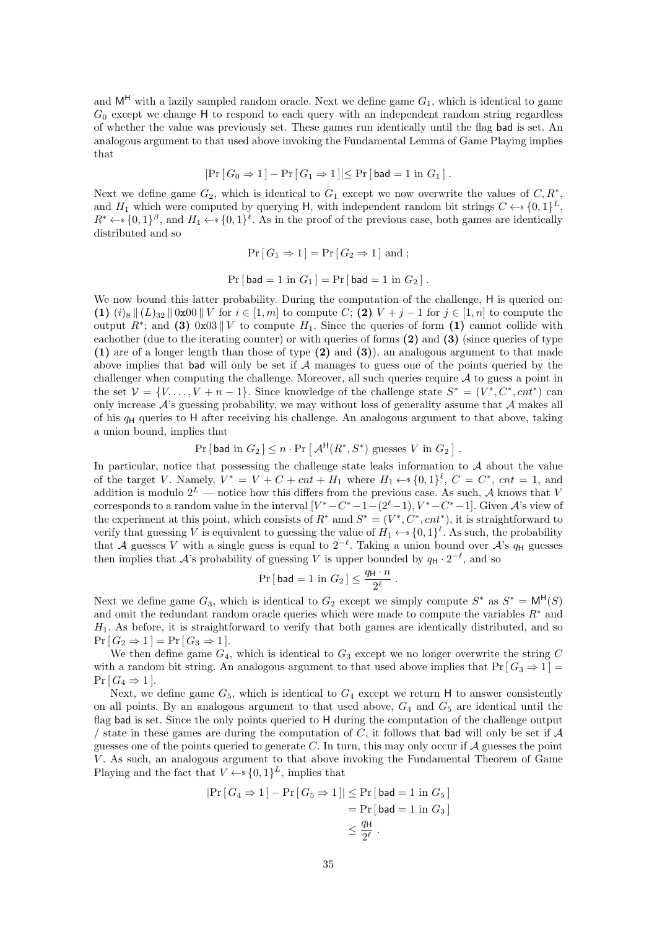and  $M<sup>H</sup>$  with a lazily sampled random oracle. Next we define game  $G<sub>1</sub>$ , which is identical to game  $G_0$  except we change H to respond to each query with an independent random string regardless of whether the value was previously set. These games run identically until the flag bad is set. An analogous argument to that used above invoking the Fundamental Lemma of Game Playing implies that

$$
|\Pr[G_0 \Rightarrow 1] - \Pr[G_1 \Rightarrow 1]| \le \Pr[\mathsf{bad} = 1 \text{ in } G_1].
$$

Next we define game  $G_2$ , which is identical to  $G_1$  except we now overwrite the values of  $C, R^*$ , and  $H_1$  which were computed by querying H, with independent random bit strings  $C \leftarrow s \{0, 1\}^L$ ,  $R^* \leftarrow \{0,1\}^{\beta}$ , and  $H_1 \leftarrow \{0,1\}^{\ell}$ . As in the proof of the previous case, both games are identically distributed and so

$$
Pr[G_1 \Rightarrow 1] = Pr[G_2 \Rightarrow 1] \text{ and } ;
$$

$$
Pr[ bad = 1 in G1] = Pr[ bad = 1 in G2].
$$

We now bound this latter probability. During the computation of the challenge, H is queried on: (1)  $(i)$ <sub>8</sub> k  $(L)$ <sub>32</sub> k 0x00 k V for  $i \in [1, m]$  to compute C; (2)  $V + j - 1$  for  $j \in [1, n]$  to compute the output  $R^*$ ; and (3) 0x03 || V to compute  $H_1$ . Since the queries of form (1) cannot collide with eachother (due to the iterating counter) or with queries of forms (2) and (3) (since queries of type (1) are of a longer length than those of type (2) and (3)), an analogous argument to that made above implies that bad will only be set if  $A$  manages to guess one of the points queried by the challenger when computing the challenge. Moreover, all such queries require  $A$  to guess a point in the set  $V = \{V, \ldots, V + n - 1\}$ . Since knowledge of the challenge state  $S^* = (V^*, C^*, cnt^*)$  can only increase  $\mathcal{A}$ 's guessing probability, we may without loss of generality assume that  $\mathcal{A}$  makes all of his  $q_H$  queries to H after receiving his challenge. An analogous argument to that above, taking a union bound, implies that

$$
Pr[bad in G_2] \leq n \cdot Pr[ \mathcal{A}^{\mathsf{H}}(R^*, S^*) \text{ guesses } V \text{ in } G_2 ].
$$

In particular, notice that possessing the challenge state leaks information to  $A$  about the value of the target V. Namely,  $V^* = V + C + \text{cnt} + H_1$  where  $H_1 \leftarrow \{0,1\}^{\ell}$ ,  $C = C^*$ ,  $\text{cnt} = 1$ , and addition is modulo  $2^L$  — notice how this differs from the previous case. As such, A knows that V corresponds to a random value in the interval  $[V^* - C^* - 1 - (2^{\ell} - 1), V^* - C^* - 1]$ . Given A's view of the experiment at this point, which consists of  $R^*$  amd  $S^* = (V^*, C^*, cnt^*)$ , it is straightforward to verify that guessing V is equivalent to guessing the value of  $H_1 \leftarrow \{0,1\}^{\ell}$ . As such, the probability that A guesses V with a single guess is equal to  $2^{-\ell}$ . Taking a union bound over A's  $q_H$  guesses then implies that  $\mathcal{A}$ 's probability of guessing V is upper bounded by  $q_H \cdot 2^{-\ell}$ , and so

$$
\Pr\left[\text{bad} = 1 \text{ in } G_2\right] \le \frac{q_{\mathsf{H}} \cdot n}{2^{\ell}}.
$$

Next we define game  $G_3$ , which is identical to  $G_2$  except we simply compute  $S^*$  as  $S^* = \mathsf{M}^{\mathsf{H}}(S)$ and omit the redundant random oracle queries which were made to compute the variables  $R^*$  and  $H_1$ . As before, it is straightforward to verify that both games are identically distributed, and so  $Pr[G_2 \Rightarrow 1] = Pr[G_3 \Rightarrow 1].$ 

We then define game  $G_4$ , which is identical to  $G_3$  except we no longer overwrite the string C with a random bit string. An analogous argument to that used above implies that  $Pr[G_3 \Rightarrow 1] =$  $Pr[G_4 \Rightarrow 1].$ 

Next, we define game  $G_5$ , which is identical to  $G_4$  except we return H to answer consistently on all points. By an analogous argument to that used above,  $G_4$  and  $G_5$  are identical until the flag bad is set. Since the only points queried to H during the computation of the challenge output / state in these games are during the computation of C, it follows that bad will only be set if  $\mathcal A$ guesses one of the points queried to generate C. In turn, this may only occur if  $A$  guesses the point V . As such, an analogous argument to that above invoking the Fundamental Theorem of Game Playing and the fact that  $V \leftarrow \{0,1\}^L$ , implies that

$$
|\Pr[G_4 \Rightarrow 1] - \Pr[G_5 \Rightarrow 1]| \leq \Pr[\text{bad} = 1 \text{ in } G_5]
$$

$$
= \Pr[\text{bad} = 1 \text{ in } G_3]
$$

$$
\leq \frac{q_H}{2^{\ell}}.
$$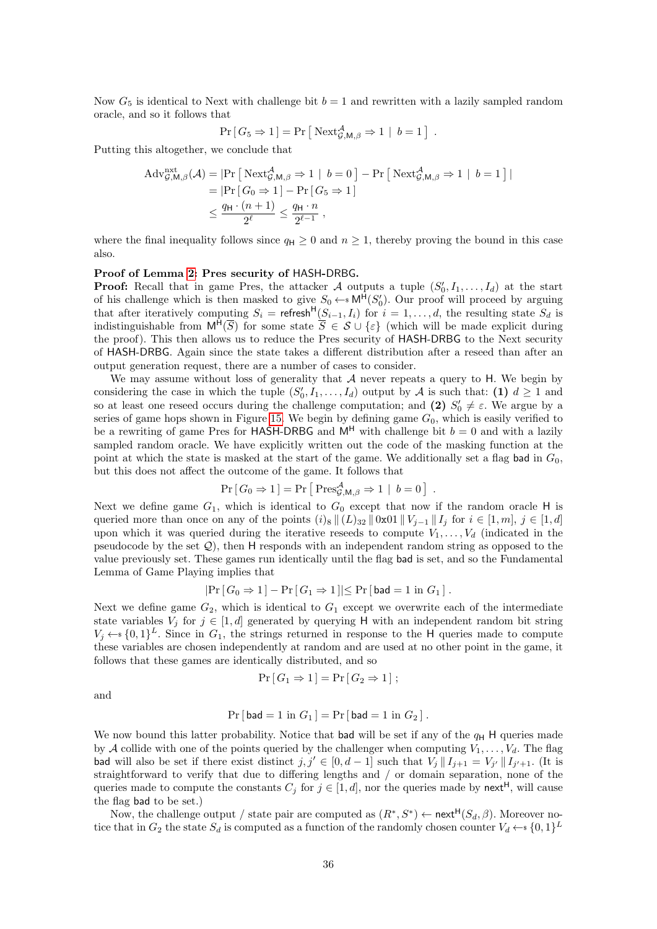Now  $G_5$  is identical to Next with challenge bit  $b = 1$  and rewritten with a lazily sampled random oracle, and so it follows that

$$
Pr[G_5 \Rightarrow 1] = Pr[Rext^{\mathcal{A}}_{\mathcal{G},M,\beta} \Rightarrow 1 | b = 1].
$$

Putting this altogether, we conclude that

$$
\begin{aligned}\n\text{Adv}_{\mathcal{G}, \mathsf{M}, \beta}^{\text{nxt}}(\mathcal{A}) &= |\text{Pr}\left[\text{ Next}_{\mathcal{G}, \mathsf{M}, \beta}^{\mathcal{A}} \Rightarrow 1 \mid b = 0\right] - \text{Pr}\left[\text{Next}_{\mathcal{G}, \mathsf{M}, \beta}^{\mathcal{A}} \Rightarrow 1 \mid b = 1\right] | \\
&= |\text{Pr}\left[G_0 \Rightarrow 1\right] - \text{Pr}\left[G_5 \Rightarrow 1\right] \\
&\leq \frac{q_{\mathsf{H}} \cdot (n+1)}{2^{\ell}} \leq \frac{q_{\mathsf{H}} \cdot n}{2^{\ell-1}},\n\end{aligned}
$$

where the final inequality follows since  $q_H \geq 0$  and  $n \geq 1$ , thereby proving the bound in this case also.

#### Proof of Lemma [2:](#page-11-2) Pres security of HASH-DRBG.

**Proof:** Recall that in game Pres, the attacker A outputs a tuple  $(S'_0, I_1, \ldots, I_d)$  at the start of his challenge which is then masked to give  $S_0 \leftarrow^* M^H(S'_0)$ . Our proof will proceed by arguing that after iteratively computing  $S_i = \text{refresh}^{\text{H}}(S_{i-1}, I_i)$  for  $i = 1, ..., d$ , the resulting state  $S_d$  is indistinguishable from  $M^H(\overline{S})$  for some state  $\overline{S} \in \mathcal{S} \cup \{\varepsilon\}$  (which will be made explicit during the proof). This then allows us to reduce the Pres security of HASH-DRBG to the Next security of HASH-DRBG. Again since the state takes a different distribution after a reseed than after an output generation request, there are a number of cases to consider.

We may assume without loss of generality that  $A$  never repeats a query to H. We begin by considering the case in which the tuple  $(S'_0, I_1, \ldots, I_d)$  output by A is such that: (1)  $d \geq 1$  and so at least one reseed occurs during the challenge computation; and (2)  $S'_0 \neq \varepsilon$ . We argue by a series of game hops shown in Figure [15.](#page-38-0) We begin by defining game  $G_0$ , which is easily verified to be a rewriting of game Pres for HASH-DRBG and  $M<sup>H</sup>$  with challenge bit  $b = 0$  and with a lazily sampled random oracle. We have explicitly written out the code of the masking function at the point at which the state is masked at the start of the game. We additionally set a flag bad in  $G_0$ . but this does not affect the outcome of the game. It follows that

$$
Pr[G_0 \Rightarrow 1] = Pr[Pres^{\mathcal{A}}_{\mathcal{G},M,\beta} \Rightarrow 1 | b = 0].
$$

Next we define game  $G_1$ , which is identical to  $G_0$  except that now if the random oracle H is queried more than once on any of the points  $(i)_{8} || (L)_{32} || 0 \times 01 || V_{j-1} || I_{j}$  for  $i \in [1, m], j \in [1, d]$ upon which it was queried during the iterative reseeds to compute  $V_1, \ldots, V_d$  (indicated in the pseudocode by the set  $Q$ ), then H responds with an independent random string as opposed to the value previously set. These games run identically until the flag bad is set, and so the Fundamental Lemma of Game Playing implies that

$$
|\Pr[G_0 \Rightarrow 1] - \Pr[G_1 \Rightarrow 1]| \leq \Pr[\text{bad} = 1 \text{ in } G_1].
$$

Next we define game  $G_2$ , which is identical to  $G_1$  except we overwrite each of the intermediate state variables  $V_j$  for  $j \in [1, d]$  generated by querying H with an independent random bit string  $V_j \leftarrow \{0,1\}^L$ . Since in  $G_1$ , the strings returned in response to the H queries made to compute these variables are chosen independently at random and are used at no other point in the game, it follows that these games are identically distributed, and so

$$
Pr[G_1 \Rightarrow 1] = Pr[G_2 \Rightarrow 1];
$$

and

$$
Pr[ bad = 1 in G1] = Pr[ bad = 1 in G2].
$$

We now bound this latter probability. Notice that bad will be set if any of the  $q_H$  H queries made by A collide with one of the points queried by the challenger when computing  $V_1, \ldots, V_d$ . The flag bad will also be set if there exist distinct  $j, j' \in [0, d-1]$  such that  $V_j || I_{j+1} = V_{j'} || I_{j'+1}$ . (It is straightforward to verify that due to differing lengths and / or domain separation, none of the queries made to compute the constants  $C_j$  for  $j \in [1, d]$ , nor the queries made by next<sup>H</sup>, will cause the flag bad to be set.)

Now, the challenge output / state pair are computed as  $(R^*, S^*) \leftarrow \text{next}^{\text{H}}(S_d, \beta)$ . Moreover notice that in  $G_2$  the state  $S_d$  is computed as a function of the randomly chosen counter  $V_d \leftarrow \{0,1\}^L$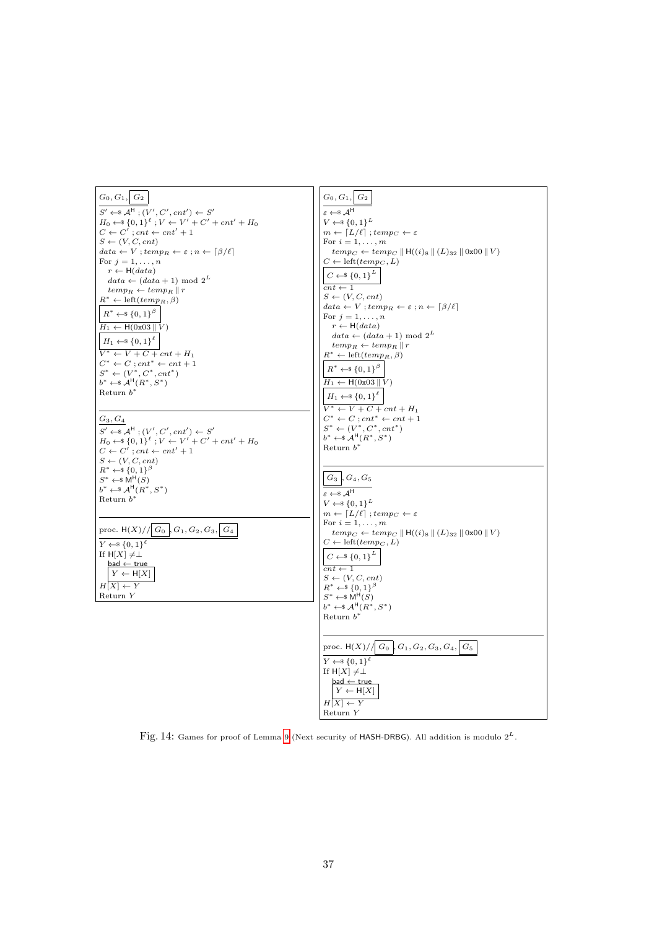<span id="page-36-0"></span>

Fig. 14: Games for proof of Lemma [9](#page-31-1) (Next security of HASH-DRBG). All addition is modulo  $2^L$ .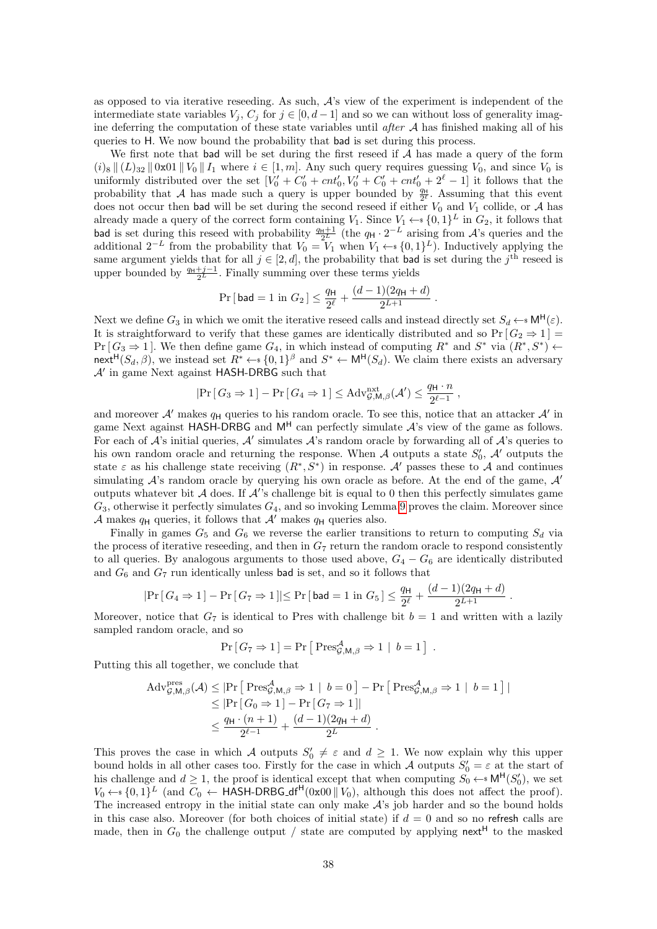as opposed to via iterative reseeding. As such,  $\mathcal{A}$ 's view of the experiment is independent of the intermediate state variables  $V_i$ ,  $C_i$  for  $j \in [0, d-1]$  and so we can without loss of generality imagine deferring the computation of these state variables until after  $A$  has finished making all of his queries to H. We now bound the probability that bad is set during this process.

We first note that bad will be set during the first reseed if  $A$  has made a query of the form  $(i)_{8} || (L)_{32} || 0x01 || V_0 || I_1$  where  $i \in [1, m]$ . Any such query requires guessing  $V_0$ , and since  $V_0$  is uniformly distributed over the set  $[V'_0 + C'_0 + \text{cnt}'_0, V'_0 + C'_0 + \text{cnt}'_0 + 2^{\ell} - 1]$  it follows that the probability that A has made such a query is upper bounded by  $\frac{q_H}{2^{\ell}}$ . Assuming that this event does not occur then bad will be set during the second reseed if either  $V_0$  and  $V_1$  collide, or A has already made a query of the correct form containing  $V_1$ . Since  $V_1 \leftarrow s \{0,1\}^L$  in  $G_2$ , it follows that bad is set during this reseed with probability  $\frac{q_{\text{H}}+1}{2^L}$  (the  $q_{\text{H}} \cdot 2^{-L}$  arising from A's queries and the additional  $2^{-L}$  from the probability that  $V_0 = V_1$  when  $V_1 \leftarrow \{0, 1\}^L$ ). Inductively applying the same argument yields that for all  $j \in [2, d]$ , the probability that **bad** is set during the j<sup>th</sup> reseed is upper bounded by  $\frac{q_1+j-1}{2^L}$ . Finally summing over these terms yields

$$
\Pr\left[\text{bad} = 1 \text{ in } G_2\right] \le \frac{q_{\mathsf{H}}}{2^{\ell}} + \frac{(d-1)(2q_{\mathsf{H}} + d)}{2^{L+1}}.
$$

Next we define  $G_3$  in which we omit the iterative reseed calls and instead directly set  $S_d \leftarrow^* M^H(\varepsilon)$ . It is straightforward to verify that these games are identically distributed and so  $Pr[\,G_2 \Rightarrow 1] =$  $Pr[G_3 \Rightarrow 1]$ . We then define game  $G_4$ , in which instead of computing  $R^*$  and  $S^*$  via  $(R^*, S^*)$   $\leftarrow$ next<sup>H</sup>( $S_d$ ,  $\beta$ ), we instead set  $R^* \leftarrow \{0,1\}^{\beta}$  and  $S^* \leftarrow \mathsf{M}^{\mathsf{H}}(S_d)$ . We claim there exists an adversary  $\mathcal{A}'$  in game Next against HASH-DRBG such that

$$
|\Pr[G_3 \Rightarrow 1] - \Pr[G_4 \Rightarrow 1] \leq \mathrm{Adv}_{\mathcal{G}, \mathsf{M}, \beta}^{\text{nxt}}(\mathcal{A}') \leq \frac{q_{\mathsf{H}} \cdot n}{2^{\ell-1}},
$$

and moreover  $\mathcal{A}'$  makes  $q_H$  queries to his random oracle. To see this, notice that an attacker  $\mathcal{A}'$  in game Next against HASH-DRBG and  $M<sup>H</sup>$  can perfectly simulate  $A$ 's view of the game as follows. For each of  $A$ 's initial queries,  $A'$  simulates  $A$ 's random oracle by forwarding all of  $A$ 's queries to his own random oracle and returning the response. When  $A$  outputs a state  $S'_0$ ,  $A'$  outputs the state  $\varepsilon$  as his challenge state receiving  $(R^*, S^*)$  in response. A' passes these to A and continues simulating  $\mathcal{A}$ 's random oracle by querying his own oracle as before. At the end of the game,  $\mathcal{A}$ ' outputs whatever bit  $A$  does. If  $A$ 's challenge bit is equal to 0 then this perfectly simulates game  $G_3$ , otherwise it perfectly simulates  $G_4$ , and so invoking Lemma [9](#page-31-1) proves the claim. Moreover since A makes  $q_H$  queries, it follows that A' makes  $q_H$  queries also.

Finally in games  $G_5$  and  $G_6$  we reverse the earlier transitions to return to computing  $S_d$  via the process of iterative reseeding, and then in  $G<sub>7</sub>$  return the random oracle to respond consistently to all queries. By analogous arguments to those used above,  $G_4 - G_6$  are identically distributed and  $G_6$  and  $G_7$  run identically unless bad is set, and so it follows that

$$
|\Pr[G_4 \Rightarrow 1] - \Pr[G_7 \Rightarrow 1]| \leq \Pr[\text{bad} = 1 \text{ in } G_5] \leq \frac{q_H}{2^{\ell}} + \frac{(d-1)(2q_H + d)}{2^{L+1}}.
$$

Moreover, notice that  $G_7$  is identical to Pres with challenge bit  $b = 1$  and written with a lazily sampled random oracle, and so

$$
Pr[G_7 \Rightarrow 1] = Pr[Pres_{\mathcal{G},M,\beta}^{\mathcal{A}} \Rightarrow 1 | b = 1].
$$

Putting this all together, we conclude that

$$
\begin{aligned}\n\mathrm{Adv}_{\mathcal{G}, \mathsf{M}, \beta}^{\mathrm{pres}}(\mathcal{A}) &\leq |\mathrm{Pr}\left[\ \mathrm{Pres}_{\mathcal{G}, \mathsf{M}, \beta}^{\mathcal{A}} \Rightarrow 1 \mid b = 0 \right] - \mathrm{Pr}\left[\ \mathrm{Pres}_{\mathcal{G}, \mathsf{M}, \beta}^{\mathcal{A}} \Rightarrow 1 \mid b = 1 \right] \\
&\leq |\mathrm{Pr}\left[G_0 \Rightarrow 1\right] - \mathrm{Pr}\left[G_7 \Rightarrow 1\right] \\
&\leq \frac{q_{\mathsf{H}} \cdot (n+1)}{2^{\ell-1}} + \frac{(d-1)(2q_{\mathsf{H}} + d)}{2^{\mathsf{L}}}.\n\end{aligned}
$$

This proves the case in which A outputs  $S'_0 \neq \varepsilon$  and  $d \geq 1$ . We now explain why this upper bound holds in all other cases too. Firstly for the case in which A outputs  $S'_0 = \varepsilon$  at the start of his challenge and  $d \geq 1$ , the proof is identical except that when computing  $S_0 \leftarrow s \mathsf{M}^{\mathsf{H}}(S'_0)$ , we set  $V_0 \leftarrow \{0,1\}^L$  (and  $C_0 \leftarrow$  HASH-DRBG\_df<sup>H</sup>(0x00 ||V<sub>0</sub>), although this does not affect the proof). The increased entropy in the initial state can only make  $A$ 's job harder and so the bound holds in this case also. Moreover (for both choices of initial state) if  $d = 0$  and so no refresh calls are made, then in  $G_0$  the challenge output / state are computed by applying next<sup>H</sup> to the masked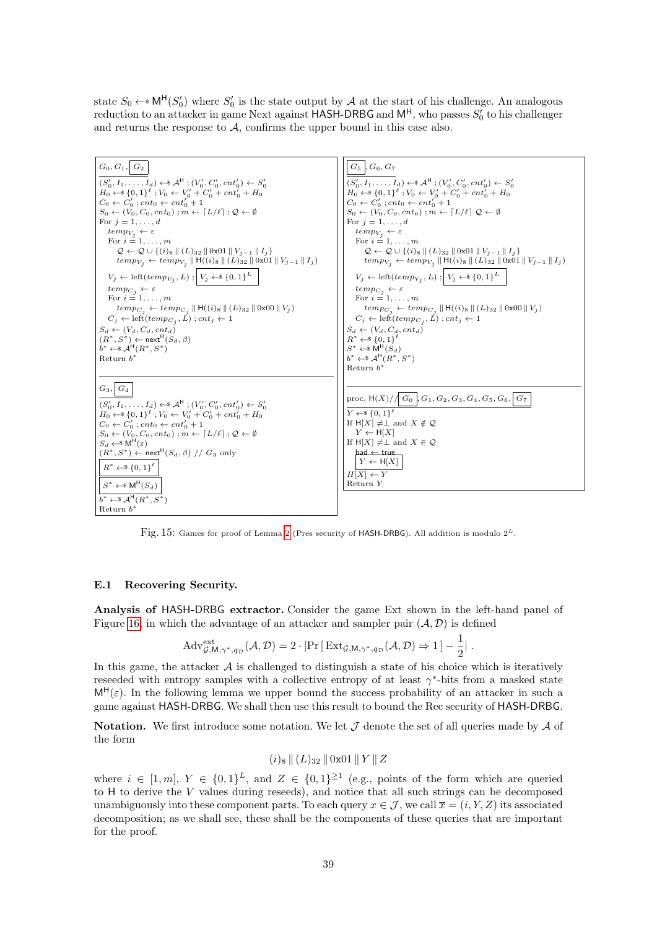state  $S_0 \leftarrow^* M^H(S'_0)$  where  $S'_0$  is the state output by A at the start of his challenge. An analogous reduction to an attacker in game Next against HASH-DRBG and  $\mathsf{M}^{\mathsf{H}},$  who passes  $S_{0}'$  to his challenger and returns the response to  $A$ , confirms the upper bound in this case also.

<span id="page-38-0"></span>

Fig. 15: Games for proof of Lemma [2](#page-11-2) (Pres security of HASH-DRBG). All addition is modulo  $2^L$ .

### E.1 Recovering Security.

Analysis of HASH-DRBG extractor. Consider the game Ext shown in the left-hand panel of Figure [16,](#page-39-0) in which the advantage of an attacker and sampler pair  $(A, D)$  is defined

$$
\mathrm{Adv}_{\mathcal{G}, \mathsf{M}, \gamma^*, q_{\mathcal{D}}}^{\mathrm{ext}}(\mathcal{A}, \mathcal{D}) = 2 \cdot |\mathrm{Pr}\left[\mathrm{Ext}_{\mathcal{G}, \mathsf{M}, \gamma^*, q_{\mathcal{D}}}(\mathcal{A}, \mathcal{D}) \Rightarrow 1\right] - \frac{1}{2}|.
$$

In this game, the attacker  $A$  is challenged to distinguish a state of his choice which is iteratively reseeded with entropy samples with a collective entropy of at least  $\gamma^*$ -bits from a masked state  $M^H(\varepsilon)$ . In the following lemma we upper bound the success probability of an attacker in such a game against HASH-DRBG. We shall then use this result to bound the Rec security of HASH-DRBG.

**Notation.** We first introduce some notation. We let  $\mathcal J$  denote the set of all queries made by  $\mathcal A$  of the form

$$
(i)_{8} \parallel (L)_{32} \parallel 0x01 \parallel Y \parallel Z
$$

<span id="page-38-1"></span>where  $i \in [1,m], Y \in \{0,1\}^L$ , and  $Z \in \{0,1\}^{\geq 1}$  (e.g., points of the form which are queried to  $H$  to derive the  $V$  values during reseeds), and notice that all such strings can be decomposed unambiguously into these component parts. To each query  $x \in \mathcal{J}$ , we call  $\overline{x} = (i, Y, Z)$  its associated decomposition; as we shall see, these shall be the components of these queries that are important for the proof.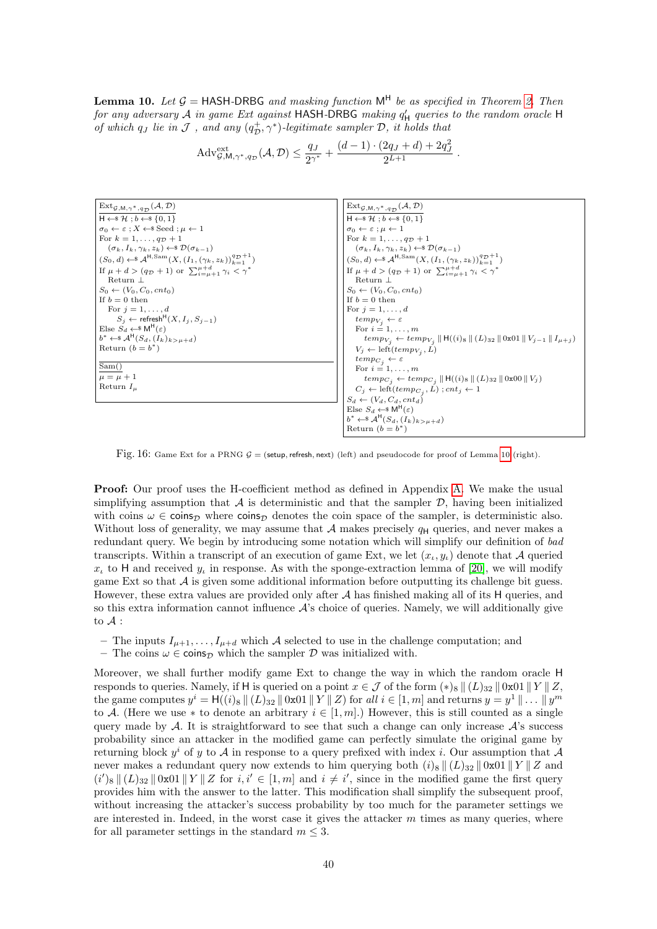**Lemma 10.** Let  $\mathcal{G} = \text{HASH-DRBG}$  and masking function  $\mathsf{M}^{\text{H}}$  be as specified in Theorem [2.](#page-11-0) Then for any adversary  ${\cal A}$  in game Ext against <code>HASH-DRBG</code> making  $q'_{\sf H}$  queries to the random oracle <code>H</code> of which  $q_J$  lie in  $\mathcal J$ , and any  $(q^+_{\mathcal D}, \gamma^*)$ -legitimate sampler  $\mathcal D$ , it holds that

<span id="page-39-0"></span>

| Ext <sub>g,M,\gamma^*,q_D(A,D)</sub>             |       |       |
|--------------------------------------------------|-------|-------|
| $H \Leftrightarrow H; b \Leftrightarrow \{0,1\}$ | $\pi$ |       |
| $\pi$                                            | $\pi$ | $\pi$ |
| $\pi$                                            | $\pi$ | $\pi$ |
| $\pi$                                            | $\pi$ | $\pi$ |
| $\pi$                                            | $\pi$ | $\pi$ |
| $\pi$                                            | $\pi$ | $\pi$ |
| $\pi$                                            | $\pi$ | $\pi$ |
| $\pi$                                            | $\pi$ | $\pi$ |
| $\pi$                                            | $\pi$ | $\pi$ |
| $\pi$                                            | $\pi$ | $\pi$ |
| $\pi$                                            | $\pi$ | $\pi$ |
| $\pi$                                            | $\pi$ | $\pi$ |
| $\pi$                                            | $\pi$ | $\pi$ |
| $\pi$                                            | $\pi$ | $\pi$ |
| $\pi$                                            | $\pi$ | $\pi$ |
| $\pi$                                            | $\pi$ | $\pi$ |
| $\pi$                                            | $\pi$ | $\pi$ |
| $\pi$                                            | $\pi$ | $\pi$ |
|                                                  |       |       |

$$
\mathrm{Adv}_{\mathcal{G}, \mathsf{M}, \gamma^*, q_{\mathcal{D}}}^{\mathrm{ext}}(\mathcal{A}, \mathcal{D}) \leq \frac{q_J}{2\gamma^*} + \frac{(d-1) \cdot (2q_J + d) + 2q_J^2}{2^{L+1}}.
$$

Fig. 16: Game Ext for a PRNG  $G =$  (setup, refresh, next) (left) and pseudocode for proof of Lemma [10](#page-38-1) (right).

Proof: Our proof uses the H-coefficient method as defined in Appendix [A.](#page-25-0) We make the usual simplifying assumption that  $\mathcal A$  is deterministic and that the sampler  $\mathcal D$ , having been initialized with coins  $\omega \in \mathsf{coins}_\mathcal{D}$  where  $\mathsf{coins}_\mathcal{D}$  denotes the coin space of the sampler, is deterministic also. Without loss of generality, we may assume that  $A$  makes precisely  $q_H$  queries, and never makes a redundant query. We begin by introducing some notation which will simplify our definition of bad transcripts. Within a transcript of an execution of game Ext, we let  $(x_i, y_i)$  denote that A queried  $x_t$  to H and received  $y_t$  in response. As with the sponge-extraction lemma of [\[20\]](#page-23-10), we will modify game Ext so that  $\mathcal A$  is given some additional information before outputting its challenge bit guess. However, these extra values are provided only after A has finished making all of its H queries, and so this extra information cannot influence  $\mathcal{A}$ 's choice of queries. Namely, we will additionally give to  $\mathcal A$  :

- The inputs  $I_{\mu+1}, \ldots, I_{\mu+d}$  which A selected to use in the challenge computation; and
- The coins  $\omega \in \text{coins}_{\mathcal{D}}$  which the sampler  $\mathcal D$  was initialized with.

Moreover, we shall further modify game Ext to change the way in which the random oracle H responds to queries. Namely, if H is queried on a point  $x \in \mathcal{J}$  of the form  $(*)_8 \parallel (L)_{32} \parallel 0 \times 01 \parallel Y \parallel Z$ , the game computes  $y^i = \mathsf{H}((i)_8 \mid (L)_{32} \mid 0 \times 01 \mid\mid Y \mid\mid Z)$  for all  $i \in [1, m]$  and returns  $y = y^1 \mid\mid \dots \mid\mid y^m$ to A. (Here we use  $*$  to denote an arbitrary  $i \in [1, m]$ .) However, this is still counted as a single query made by  $\mathcal A$ . It is straightforward to see that such a change can only increase  $\mathcal A$ 's success probability since an attacker in the modified game can perfectly simulate the original game by returning block  $y^i$  of y to A in response to a query prefixed with index i. Our assumption that A never makes a redundant query now extends to him querying both  $(i)_{8} || (L)_{32} || 0 \times 01 || Y || Z$  and  $(i')_8 \|(L)_{32} \|\,0 \times 01 \|\, Y \|\, Z$  for  $i, i' \in [1, m]$  and  $i \neq i'$ , since in the modified game the first query provides him with the answer to the latter. This modification shall simplify the subsequent proof, without increasing the attacker's success probability by too much for the parameter settings we are interested in. Indeed, in the worst case it gives the attacker  $m$  times as many queries, where for all parameter settings in the standard  $m \leq 3$ .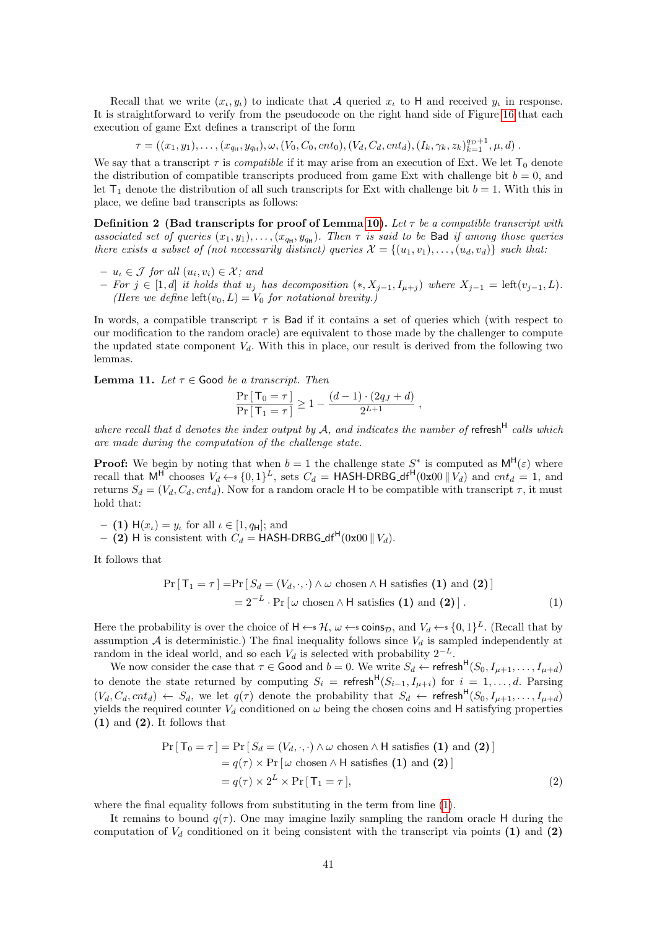Recall that we write  $(x_i, y_i)$  to indicate that A queried  $x_i$  to H and received  $y_i$  in response. It is straightforward to verify from the pseudocode on the right hand side of Figure [16](#page-39-0) that each execution of game Ext defines a transcript of the form

 $\tau = ((x_1, y_1), \ldots, (x_{q_H}, y_{q_H}), \omega, (V_0, C_0, ent_0), (V_d, C_d, ent_d), (I_k, \gamma_k, z_k)_{k=1}^{q_D+1}, \mu, d)$ .

We say that a transcript  $\tau$  is *compatible* if it may arise from an execution of Ext. We let  $T_0$  denote the distribution of compatible transcripts produced from game Ext with challenge bit  $b = 0$ , and let  $T_1$  denote the distribution of all such transcripts for Ext with challenge bit  $b = 1$ . With this in place, we define bad transcripts as follows:

Definition 2 (Bad transcripts for proof of Lemma [10\)](#page-38-1). Let  $\tau$  be a compatible transcript with associated set of queries  $(x_1, y_1), \ldots, (x_{q_H}, y_{q_H})$ . Then  $\tau$  is said to be Bad if among those queries there exists a subset of (not necessarily distinct) queries  $\mathcal{X} = \{(u_1, v_1), \ldots, (u_d, v_d)\}\$  such that:

- $u_{\iota} \in \mathcal{J}$  for all  $(u_i, v_i) \in \mathcal{X}$ ; and
- For j ∈ [1, d] it holds that  $u_j$  has decomposition  $(*, X_{j-1}, I_{u+j})$  where  $X_{j-1} = \text{left}(v_{j-1}, L)$ . (Here we define left( $v_0, L$ ) =  $V_0$  for notational brevity.)

In words, a compatible transcript  $\tau$  is Bad if it contains a set of queries which (with respect to our modification to the random oracle) are equivalent to those made by the challenger to compute the updated state component  $V_d$ . With this in place, our result is derived from the following two lemmas.

**Lemma 11.** Let  $\tau \in$  Good be a transcript. Then

<span id="page-40-0"></span>
$$
\frac{\Pr[T_0 = \tau]}{\Pr[T_1 = \tau]} \ge 1 - \frac{(d-1) \cdot (2q_J + d)}{2^{L+1}},
$$

where recall that d denotes the index output by A, and indicates the number of refresh<sup>H</sup> calls which are made during the computation of the challenge state.

**Proof:** We begin by noting that when  $b = 1$  the challenge state  $S^*$  is computed as  $M^H(\varepsilon)$  where recall that  $M^H$  chooses  $V_d \leftarrow \{0,1\}^L$ , sets  $C_d = HASH-DRBG_d f^H(0x00 || V_d)$  and  $cnt_d = 1$ , and returns  $S_d = (V_d, C_d, ent_d)$ . Now for a random oracle H to be compatible with transcript  $\tau$ , it must hold that:

– (1)  $H(x_t) = y_t$  for all  $t \in [1, q_H]$ ; and

 $-$  (2) H is consistent with  $C_d =$  HASH-DRBG-df<sup>H</sup>(0x00 ||  $V_d$ ).

It follows that

$$
\Pr[\mathsf{T}_1 = \tau] = \Pr[S_d = (V_d, \cdot, \cdot) \land \omega \text{ chosen } \land \mathsf{H} \text{ satisfies (1) and (2)}]
$$

$$
= 2^{-L} \cdot \Pr[\omega \text{ chosen } \land \mathsf{H} \text{ satisfies (1) and (2)}]. \tag{1}
$$

Here the probability is over the choice of  $H \leftarrow *\mathcal{H}, \omega \leftarrow *\text{coins}_{\mathcal{D}},$  and  $V_d \leftarrow *\{0,1\}^L$ . (Recall that by assumption  $A$  is deterministic.) The final inequality follows since  $V_d$  is sampled independently at random in the ideal world, and so each  $V_d$  is selected with probability  $2^{-L}$ .

We now consider the case that  $\tau \in \mathsf{Good}$  and  $b = 0$ . We write  $S_d \leftarrow \mathsf{refresh}^{\mathsf{H}}(S_0, I_{\mu+1}, \ldots, I_{\mu+d})$ to denote the state returned by computing  $S_i = \text{refresh}^{\text{H}}(S_{i-1}, I_{\mu+i})$  for  $i = 1, \ldots, d$ . Parsing  $(V_d, C_d, ent_d) \leftarrow S_d$ , we let  $q(\tau)$  denote the probability that  $S_d \leftarrow \text{refresh}^{\text{H}}(S_0, I_{\mu+1}, \ldots, I_{\mu+d})$ yields the required counter  $V_d$  conditioned on  $\omega$  being the chosen coins and H satisfying properties (1) and (2). It follows that

$$
\Pr[\mathsf{T}_0 = \tau] = \Pr[S_d = (V_d, \cdot, \cdot) \land \omega \text{ chosen } \land \mathsf{H} \text{ satisfies (1) and (2)}]
$$

$$
= q(\tau) \times \Pr[\omega \text{ chosen } \land \mathsf{H} \text{ satisfies (1) and (2)}]
$$

$$
= q(\tau) \times 2^L \times \Pr[\mathsf{T}_1 = \tau], \tag{2}
$$

where the final equality follows from substituting in the term from line [\(1\)](#page-40-0).

It remains to bound  $q(\tau)$ . One may imagine lazily sampling the random oracle H during the computation of  $V_d$  conditioned on it being consistent with the transcript via points (1) and (2)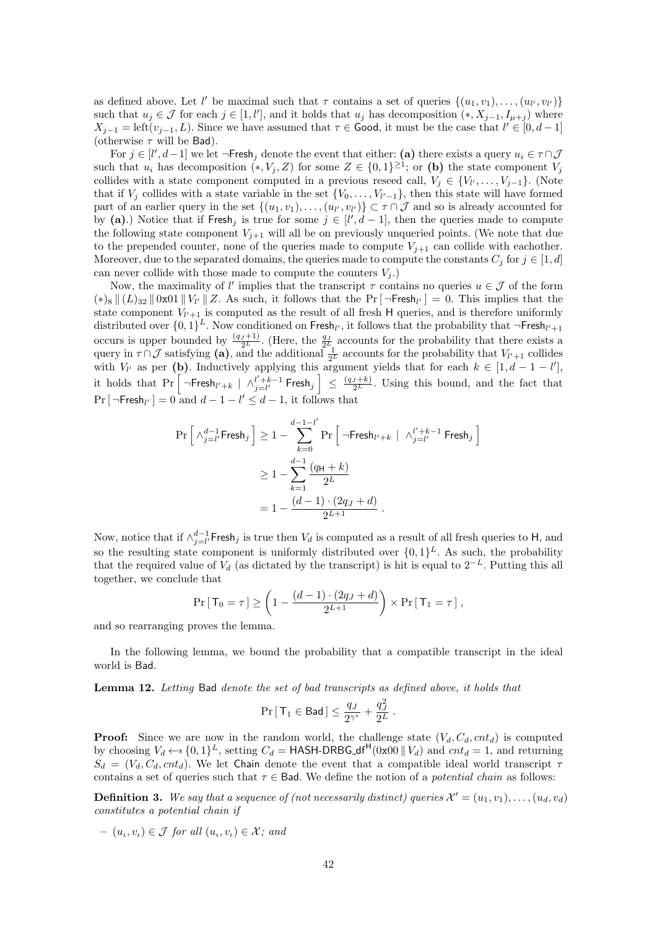as defined above. Let l' be maximal such that  $\tau$  contains a set of queries  $\{(u_1, v_1), \ldots, (u_{l'}, v_{l'})\}$ such that  $u_j \in \mathcal{J}$  for each  $j \in [1, l']$ , and it holds that  $u_j$  has decomposition  $(*, X_{j-1}, I_{\mu+j})$  where  $X_{j-1} = \text{left}(v_{j-1}, L)$ . Since we have assumed that  $\tau \in \text{Good}$ , it must be the case that  $l' \in [0, d-1]$ (otherwise  $\tau$  will be Bad).

For  $j \in [l', d-1]$  we let  $\neg$ Fresh<sub>j</sub> denote the event that either: (a) there exists a query  $u_i \in \tau \cap J$ such that  $u_i$  has decomposition  $(*, V_j, Z)$  for some  $Z \in \{0,1\}^{\geq 1}$ ; or (b) the state component  $V_j$ collides with a state component computed in a previous reseed call,  $V_j \in \{V_{l'}, \ldots, V_{j-1}\}.$  (Note that if  $V_j$  collides with a state variable in the set  $\{V_0, \ldots, V_{l'-1}\}$ , then this state will have formed part of an earlier query in the set  $\{(u_1, v_1), \ldots, (u_{l'}, v_{l'})\} \subset \tau \cap \mathcal{J}$  and so is already accounted for by (a).) Notice that if Fresh<sub>j</sub> is true for some  $j \in [l', d-1]$ , then the queries made to compute the following state component  $V_{j+1}$  will all be on previously unqueried points. (We note that due to the prepended counter, none of the queries made to compute  $V_{i+1}$  can collide with eachother. Moreover, due to the separated domains, the queries made to compute the constants  $C_i$  for  $j \in [1, d]$ can never collide with those made to compute the counters  $V_i$ .)

Now, the maximality of l' implies that the transcript  $\tau$  contains no queries  $u \in \mathcal{J}$  of the form  $(*)_8 \|(L)_{32} \| 0x01 \| V_{l'} \| Z$ . As such, it follows that the Pr [¬Fresh<sub>l'</sub> ] = 0. This implies that the state component  $V_{l'+1}$  is computed as the result of all fresh H queries, and is therefore uniformly distributed over  $\{0,1\}^L$ . Now conditioned on Fresh<sub>l'</sub>, it follows that the probability that  $\neg$ Fresh<sub>l'+1</sub> occurs is upper bounded by  $\frac{(q_J+1)}{2^L}$ . (Here, the  $\frac{q_J}{2^L}$  accounts for the probability that there exists a query in  $\tau \cap \mathcal{J}$  satisfying (a), and the additional  $\frac{1}{2^L}$  accounts for the probability that  $V_{l'+1}$  collides with  $V_{l'}$  as per (b). Inductively applying this argument yields that for each  $k \in [1, d-1-l']$ , it holds that  $Pr\left[\neg \mathsf{Fresh}_{l'+k} \mid \wedge_{j=l'}^{l'+k-1} \mathsf{Fresh}_j\right] \leq \frac{(q_J+k)}{2^L}$ . Using this bound, and the fact that Pr [ $\neg$ Fresh<sub>l'</sub>] = 0 and  $d - 1 - l' \leq d - 1$ , it follows that

$$
\Pr\left[\left.\bigwedge_{j=l'}^{d-1} \mathsf{Fresh}_j\right] \ge 1 - \sum_{k=0}^{d-1-l'} \Pr\left[\left.\neg \mathsf{Fresh}_{l'+k} \mid \left.\bigwedge_{j=l'}^{l'+k-1} \mathsf{Fresh}_j\right.\right]\right.\right.
$$
  

$$
\ge 1 - \sum_{k=1}^{d-1} \frac{(q_{\mathsf{H}} + k)}{2^L}
$$
  

$$
= 1 - \frac{(d-1) \cdot (2q_J + d)}{2^{L+1}}.
$$

Now, notice that if  $\wedge_{j=l'}^{d-1}$  Fresh<sub>j</sub> is true then  $V_d$  is computed as a result of all fresh queries to H, and so the resulting state component is uniformly distributed over  $\{0,1\}^L$ . As such, the probability that the required value of  $V_d$  (as dictated by the transcript) is hit is equal to  $2^{-L}$ . Putting this all together, we conclude that

$$
\Pr[\mathsf{T}_0 = \tau] \ge \left(1 - \frac{(d-1) \cdot (2q_J + d)}{2^{L+1}}\right) \times \Pr[\mathsf{T}_1 = \tau],
$$

and so rearranging proves the lemma.

In the following lemma, we bound the probability that a compatible transcript in the ideal world is Bad.

Lemma 12. Letting Bad denote the set of bad transcripts as defined above, it holds that

$$
\Pr\left[\, \mathsf{T}_1 \in \mathsf{Bad} \,\right] \leq \frac{q_J}{2^{\gamma^*}} + \frac{q_J^2}{2^L}
$$

.

**Proof:** Since we are now in the random world, the challenge state  $(V_d, C_d, ent_d)$  is computed by choosing  $V_d \leftarrow \{0,1\}^L$ , setting  $C_d =$  HASH-DRBG df<sup>H</sup>(0x00 ||V<sub>d</sub>) and cnt<sub>d</sub> = 1, and returning  $S_d = (V_d, C_d, ent_d)$ . We let Chain denote the event that a compatible ideal world transcript  $\tau$ contains a set of queries such that  $\tau \in$  Bad. We define the notion of a *potential chain* as follows:

**Definition 3.** We say that a sequence of (not necessarily distinct) queries  $\mathcal{X}' = (u_1, v_1), \ldots, (u_d, v_d)$ constitutes a potential chain if

 $- (u_{\iota}, v_{\iota}) \in \mathcal{J}$  for all  $(u_{\iota}, v_{\iota}) \in \mathcal{X}$ ; and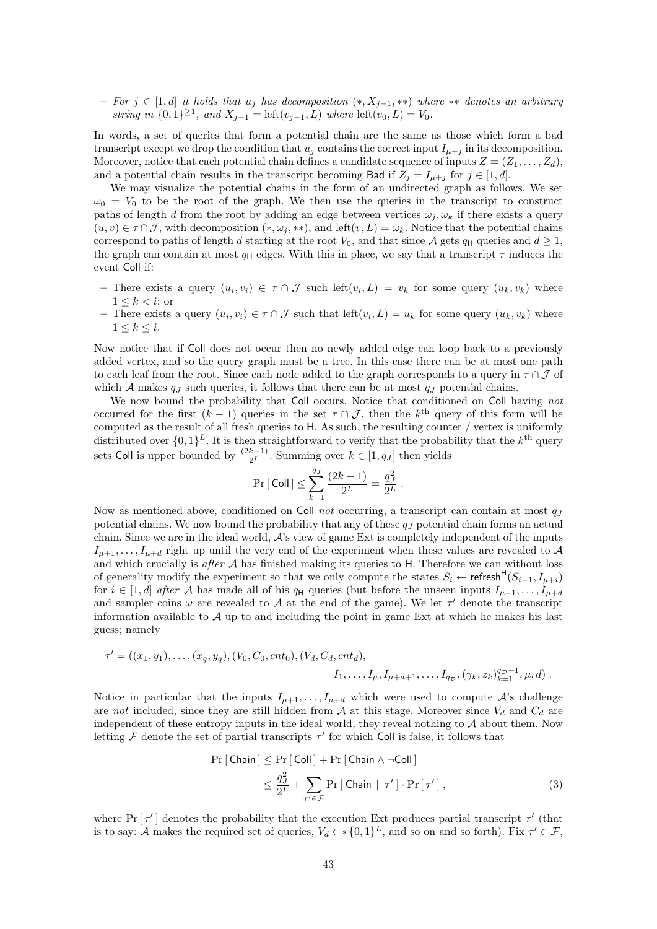– For  $j \in [1, d]$  it holds that  $u_j$  has decomposition  $(*, X_{j-1}, **)$  where \*\* denotes an arbitrary string in  ${0, 1}$ <sup>≥1</sup>, and  $X_{j-1} = left(v_{j-1}, L)$  where left $(v_0, L) = V_0$ .

In words, a set of queries that form a potential chain are the same as those which form a bad transcript except we drop the condition that  $u_j$  contains the correct input  $I_{\mu+j}$  in its decomposition. Moreover, notice that each potential chain defines a candidate sequence of inputs  $Z = (Z_1, \ldots, Z_d)$ , and a potential chain results in the transcript becoming Bad if  $Z_j = I_{\mu+j}$  for  $j \in [1, d]$ .

We may visualize the potential chains in the form of an undirected graph as follows. We set  $\omega_0 = V_0$  to be the root of the graph. We then use the queries in the transcript to construct paths of length d from the root by adding an edge between vertices  $\omega_j, \omega_k$  if there exists a query  $(u, v) \in \tau \cap \mathcal{J}$ , with decomposition  $(*, \omega_i, **),$  and left $(v, L) = \omega_k$ . Notice that the potential chains correspond to paths of length d starting at the root  $V_0$ , and that since A gets  $q_H$  queries and  $d \geq 1$ , the graph can contain at most  $q_H$  edges. With this in place, we say that a transcript  $\tau$  induces the event Coll if:

- There exists a query  $(u_i, v_i) \in \tau \cap \mathcal{J}$  such left $(v_i, L) = v_k$  for some query  $(u_k, v_k)$  where  $1 \leq k \leq i$ ; or
- There exists a query  $(u_i, v_i) \in \tau \cap \mathcal{J}$  such that  $\text{left}(v_i, L) = u_k$  for some query  $(u_k, v_k)$  where  $1 \leq k \leq i$ .

Now notice that if Coll does not occur then no newly added edge can loop back to a previously added vertex, and so the query graph must be a tree. In this case there can be at most one path to each leaf from the root. Since each node added to the graph corresponds to a query in  $\tau \cap \mathcal{J}$  of which A makes  $q_J$  such queries, it follows that there can be at most  $q_J$  potential chains.

We now bound the probability that Coll occurs. Notice that conditioned on Coll having not occurred for the first  $(k-1)$  queries in the set  $\tau \cap \mathcal{J}$ , then the  $k^{\text{th}}$  query of this form will be computed as the result of all fresh queries to H. As such, the resulting counter / vertex is uniformly distributed over  $\{0,1\}^L$ . It is then straightforward to verify that the probability that the  $k^{\text{th}}$  query sets Coll is upper bounded by  $\frac{(2k-1)}{2^L}$ . Summing over  $k \in [1, q_J]$  then yields

$$
\Pr\left[\,\text{Coll}\,\right] \leq \sum_{k=1}^{q_J} \frac{(2k-1)}{2^L} = \frac{q_J^2}{2^L} \; .
$$

Now as mentioned above, conditioned on Coll not occurring, a transcript can contain at most  $q<sub>J</sub>$ potential chains. We now bound the probability that any of these  $q<sub>J</sub>$  potential chain forms an actual chain. Since we are in the ideal world,  $A$ 's view of game Ext is completely independent of the inputs  $I_{\mu+1}, \ldots, I_{\mu+d}$  right up until the very end of the experiment when these values are revealed to A and which crucially is after  $A$  has finished making its queries to H. Therefore we can without loss of generality modify the experiment so that we only compute the states  $S_i \leftarrow \text{refresh}^{\text{H}}(S_{i-1}, I_{\mu+i})$ for  $i \in [1, d]$  after A has made all of his  $q_H$  queries (but before the unseen inputs  $I_{\mu+1}, \ldots, I_{\mu+d}$ and sampler coins  $\omega$  are revealed to A at the end of the game). We let  $\tau'$  denote the transcript information available to  $A$  up to and including the point in game Ext at which he makes his last guess; namely

$$
\tau' = ((x_1, y_1), \dots, (x_q, y_q), (V_0, C_0, \text{cnt}_0), (V_d, C_d, \text{cnt}_d),
$$
  

$$
I_1, \dots, I_\mu, I_{\mu+d+1}, \dots, I_{q_{\mathcal{D}}}, (\gamma_k, z_k)_{k=1}^{q_{\mathcal{D}}+1}, \mu, d).
$$

Notice in particular that the inputs  $I_{\mu+1}, \ldots, I_{\mu+d}$  which were used to compute A's challenge are not included, since they are still hidden from  $A$  at this stage. Moreover since  $V_d$  and  $C_d$  are independent of these entropy inputs in the ideal world, they reveal nothing to  $A$  about them. Now letting  $\mathcal F$  denote the set of partial transcripts  $\tau'$  for which Coll is false, it follows that

<span id="page-42-0"></span>
$$
\Pr\left[\text{Chain}\right] \le \Pr\left[\text{Coll}\right] + \Pr\left[\text{Chain} \land \neg\text{Coll}\right] \\
\le \frac{q_J^2}{2^L} + \sum_{\tau' \in \mathcal{F}} \Pr\left[\text{Chain} \mid \tau'\right] \cdot \Pr\left[\tau'\right],\n\tag{3}
$$

where  $Pr[\tau']$  denotes the probability that the execution Ext produces partial transcript  $\tau'$  (that is to say: A makes the required set of queries,  $V_d \leftarrow \{0,1\}^L$ , and so on and so forth). Fix  $\tau' \in \mathcal{F}$ ,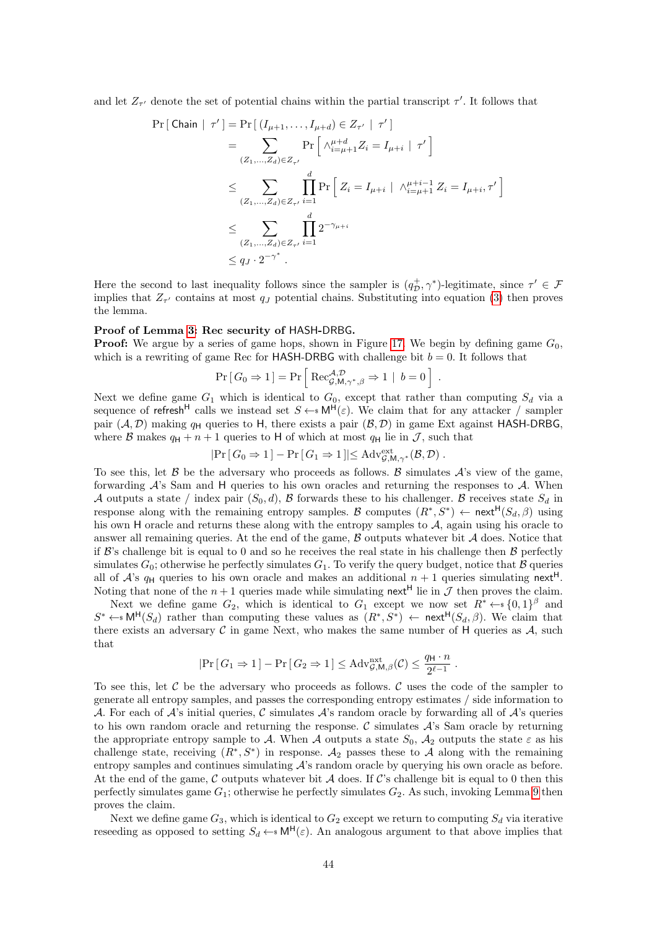and let  $Z_{\tau'}$  denote the set of potential chains within the partial transcript  $\tau'$ . It follows that

$$
\Pr\left[\text{Chain} \mid \tau'\right] = \Pr\left[\left(I_{\mu+1}, \dots, I_{\mu+d}\right) \in Z_{\tau'} \mid \tau'\right] \\
= \sum_{\substack{(Z_1, \dots, Z_d) \in Z_{\tau'}}} \Pr\left[\left.\bigwedge_{i=\mu+1}^{\mu+d} Z_i = I_{\mu+i} \mid \tau'\right]\right] \\
\leq \sum_{\substack{(Z_1, \dots, Z_d) \in Z_{\tau'} \\ (Z_1, \dots, Z_d) \in Z_{\tau'}}} \prod_{i=1}^d \Pr\left[Z_i = I_{\mu+i} \mid \bigwedge_{i=\mu+1}^{\mu+i-1} Z_i = I_{\mu+i}, \tau'\right] \\
\leq \sum_{\substack{(Z_1, \dots, Z_d) \in Z_{\tau'} \\ (Z_1, \dots, Z_d) \in Z_{\tau'}}} \prod_{i=1}^d 2^{-\gamma_{\mu+i}} \\
\leq q_J \cdot 2^{-\gamma^*}.
$$

Here the second to last inequality follows since the sampler is  $(q_D^+,\gamma^*)$ -legitimate, since  $\tau' \in \mathcal{F}$ implies that  $Z_{\tau'}$  contains at most  $q_J$  potential chains. Substituting into equation [\(3\)](#page-42-0) then proves the lemma.

#### Proof of Lemma [3:](#page-12-0) Rec security of HASH-DRBG.

**Proof:** We argue by a series of game hops, shown in Figure [17.](#page-44-1) We begin by defining game  $G_0$ , which is a rewriting of game Rec for HASH-DRBG with challenge bit  $b = 0$ . It follows that

$$
\Pr\left[G_0 \Rightarrow 1\right] = \Pr\left[\text{Rec}_{\mathcal{G},\mathsf{M},\gamma^*,\beta}^{\mathcal{A},\mathcal{D}} \Rightarrow 1 \mid b = 0\right].
$$

Next we define game  $G_1$  which is identical to  $G_0$ , except that rather than computing  $S_d$  via a sequence of refresh<sup>H</sup> calls we instead set  $S \leftarrow s \mathsf{M}^{\mathsf{H}}(\varepsilon)$ . We claim that for any attacker / sampler pair  $(A, \mathcal{D})$  making  $q_H$  queries to H, there exists a pair  $(\mathcal{B}, \mathcal{D})$  in game Ext against HASH-DRBG, where B makes  $q_H + n + 1$  queries to H of which at most  $q_H$  lie in J, such that

$$
|\Pr[G_0 \Rightarrow 1] - \Pr[G_1 \Rightarrow 1]| \leq \mathrm{Adv}_{\mathcal{G},M,\gamma^*}^{\mathrm{ext}}(\mathcal{B},\mathcal{D})
$$
.

To see this, let  $\beta$  be the adversary who proceeds as follows.  $\beta$  simulates  $\lambda$ 's view of the game, forwarding  $\mathcal{A}$ 's Sam and H queries to his own oracles and returning the responses to  $\mathcal{A}$ . When A outputs a state / index pair  $(S_0, d)$ , B forwards these to his challenger. B receives state  $S_d$  in response along with the remaining entropy samples. B computes  $(R^*, S^*) \leftarrow \text{next}^{\text{H}}(S_d, \beta)$  using his own H oracle and returns these along with the entropy samples to A, again using his oracle to answer all remaining queries. At the end of the game,  $\beta$  outputs whatever bit  $\mathcal A$  does. Notice that if  $\mathcal{B}$ 's challenge bit is equal to 0 and so he receives the real state in his challenge then  $\mathcal{B}$  perfectly simulates  $G_0$ ; otherwise he perfectly simulates  $G_1$ . To verify the query budget, notice that  $\beta$  queries all of  $\mathcal{A}$ 's  $q_H$  queries to his own oracle and makes an additional  $n + 1$  queries simulating next<sup>H</sup>. Noting that none of the  $n+1$  queries made while simulating next<sup>H</sup> lie in  $\mathcal J$  then proves the claim.

Next we define game  $G_2$ , which is identical to  $G_1$  except we now set  $R^* \leftarrow \{0,1\}^{\beta}$  and  $S^* \leftarrow s \mathsf{M}^{\mathsf{H}}(S_d)$  rather than computing these values as  $(R^*, S^*) \leftarrow \mathsf{next}^{\mathsf{H}}(S_d, \beta)$ . We claim that there exists an adversary  $C$  in game Next, who makes the same number of H queries as  $A$ , such that

$$
|\mathrm{Pr}\left[G_1 \Rightarrow 1\right] - \mathrm{Pr}\left[G_2 \Rightarrow 1\right] \le \mathrm{Adv}_{\mathcal{G}, \mathsf{M}, \beta}^{\mathrm{nxt}}(\mathcal{C}) \le \frac{q_{\mathsf{H}} \cdot n}{2^{\ell-1}}
$$

.

To see this, let  $\mathcal C$  be the adversary who proceeds as follows.  $\mathcal C$  uses the code of the sampler to generate all entropy samples, and passes the corresponding entropy estimates / side information to A. For each of  $A$ 's initial queries, C simulates  $A$ 's random oracle by forwarding all of  $A$ 's queries to his own random oracle and returning the response.  $\mathcal C$  simulates  $\mathcal A$ 's Sam oracle by returning the appropriate entropy sample to A. When A outputs a state  $S_0$ ,  $A_2$  outputs the state  $\varepsilon$  as his challenge state, receiving  $(R^*, S^*)$  in response.  $\mathcal{A}_2$  passes these to  $\mathcal A$  along with the remaining entropy samples and continues simulating  $A$ 's random oracle by querying his own oracle as before. At the end of the game,  $\mathcal C$  outputs whatever bit  $\mathcal A$  does. If  $\mathcal C$ 's challenge bit is equal to 0 then this perfectly simulates game  $G_1$ ; otherwise he perfectly simulates  $G_2$ . As such, invoking Lemma [9](#page-31-1) then proves the claim.

Next we define game  $G_3$ , which is identical to  $G_2$  except we return to computing  $S_d$  via iterative reseeding as opposed to setting  $S_d \leftarrow^* M^H(\varepsilon)$ . An analogous argument to that above implies that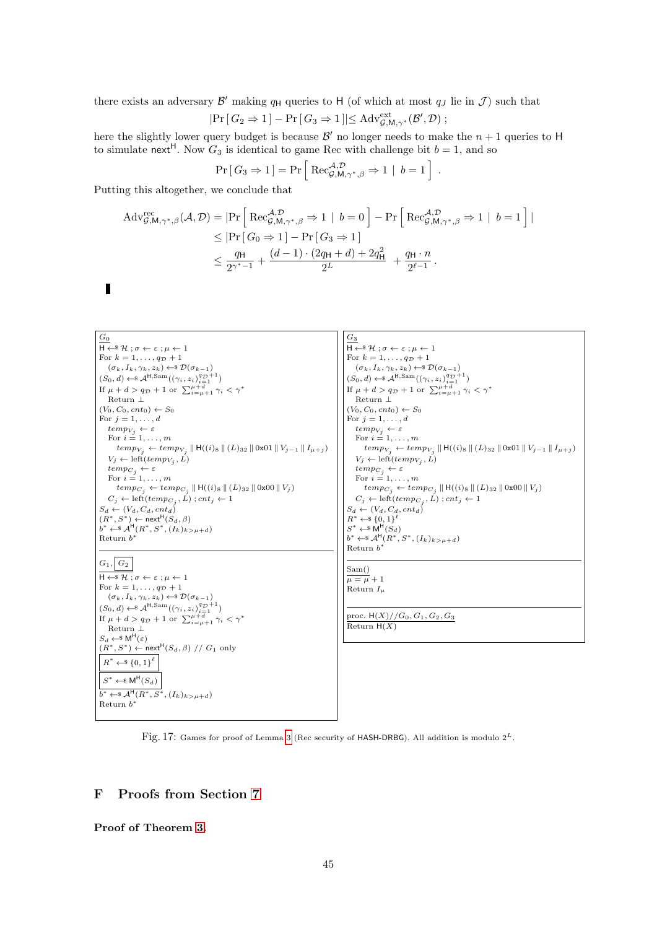there exists an adversary  $\mathcal{B}'$  making  $q_H$  queries to H (of which at most  $q_J$  lie in  $\mathcal{J}$ ) such that

$$
|\Pr[G_2 \Rightarrow 1] - \Pr[G_3 \Rightarrow 1]| \leq \mathrm{Adv}_{\mathcal{G},M,\gamma^*}^{\mathrm{ext}}(\mathcal{B}',\mathcal{D})
$$
;

here the slightly lower query budget is because  $\mathcal{B}'$  no longer needs to make the  $n+1$  queries to H to simulate next<sup>H</sup>. Now  $G_3$  is identical to game Rec with challenge bit  $b = 1$ , and so

$$
\Pr\left[G_3 \Rightarrow 1\right] = \Pr\left[\text{Rec}_{\mathcal{G},\mathsf{M},\gamma^*,\beta}^{\mathcal{A},\mathcal{D}} \Rightarrow 1 \mid b = 1\right].
$$

Putting this altogether, we conclude that

$$
\begin{split} \mathrm{Adv}_{\mathcal{G}, \mathsf{M}, \gamma^*, \beta}^{\mathrm{rec}}(\mathcal{A}, \mathcal{D}) &= |\mathrm{Pr}\left[\ \mathrm{Rec}_{\mathcal{G}, \mathsf{M}, \gamma^*, \beta}^{\mathcal{A}, \mathcal{D}} \Rightarrow 1 \mid b = 0 \ \right] - \mathrm{Pr}\left[\ \mathrm{Rec}_{\mathcal{G}, \mathsf{M}, \gamma^*, \beta}^{\mathcal{A}, \mathcal{D}} \Rightarrow 1 \mid b = 1 \ \right] | \\ &\leq |\mathrm{Pr}\left[\, G_0 \Rightarrow 1 \,\right] - \mathrm{Pr}\left[\, G_3 \Rightarrow 1 \right] \\ &\leq \frac{q_{\mathsf{H}}}{2^{\gamma^*-1}} + \frac{(d-1) \cdot (2q_{\mathsf{H}} + d) + 2q_{\mathsf{H}}^2}{2^L} + \frac{q_{\mathsf{H}} \cdot n}{2^{\ell-1}} \,. \end{split}
$$

<span id="page-44-1"></span>

| $G_0$                                                                                                      | $G_3$                                                                                                       |
|------------------------------------------------------------------------------------------------------------|-------------------------------------------------------------------------------------------------------------|
| $H \leftarrow \$ \mathcal{H}$ ; $\sigma \leftarrow \varepsilon$ ; $\mu \leftarrow 1$                       | $H \leftarrow \$ \mathcal{H} : \sigma \leftarrow \varepsilon : \mu \leftarrow 1$                            |
| For $k = 1, , q_{\mathcal{D}} + 1$                                                                         | For $k = 1, \ldots, q_{\mathcal{D}} + 1$                                                                    |
| $(\sigma_k, I_k, \gamma_k, z_k) \leftarrow \mathcal{D}(\sigma_{k-1})$                                      | $(\sigma_k, I_k, \gamma_k, z_k) \leftarrow \mathcal{D}(\sigma_{k-1})$                                       |
| $(S_0, d) \leftarrow \mathcal{A}^{H, Sam}((\gamma_i, z_i)_{i=1}^{q_{\mathcal{D}}+1})$                      | $(S_0,d) \leftarrow \$ $\mathcal{A}^{\textsf{H},\textsf{Sam}}((\gamma_i,z_i)_{i=1}^{q_\mathcal{D}+1})$      |
| If $\mu + d > q_{\mathcal{D}} + 1$ or $\sum_{i=\mu+1}^{\mu+d} \gamma_i < \gamma^*$                         | If $\mu + d > q_{\mathcal{D}} + 1$ or $\sum_{i=\mu+1}^{\mu+d} \gamma_i < \gamma^*$                          |
| Return $\perp$                                                                                             | Return $\perp$                                                                                              |
| $(V_0, C_0, ent_0) \leftarrow S_0$                                                                         | $(V_0, C_0, cnt_0) \leftarrow S_0$                                                                          |
| For $j = 1, \ldots, d$                                                                                     | For $j = 1, \ldots, d$                                                                                      |
| $temp_{V_i} \leftarrow \varepsilon$                                                                        | $temp_{V_i} \leftarrow \varepsilon$                                                                         |
| For $i=1,\ldots,m$                                                                                         | For $i=1,\ldots,m$                                                                                          |
| $temp_{V_i} \leftarrow temp_{V_i} \ \text{H}((i)_{8} \  (L)_{32} \  0 \text{x01} \  V_{j-1} \  I_{\mu+j})$ | $temp_{V_i} \leftarrow temp_{V_i} \ \mathsf{H}((i)_{8} \  (L)_{32} \  0 \times 01 \  V_{j-1} \  I_{\mu+j})$ |
| $V_j \leftarrow \text{left}(temp_{V_j}, L)$                                                                | $V_j \leftarrow \text{left}(temp_{V_j}, L)$                                                                 |
| $temp_{C_i} \leftarrow \varepsilon$                                                                        | $temp_{C_i} \leftarrow \varepsilon$                                                                         |
| For $i=1,\ldots,m$                                                                                         | For $i=1,\ldots,m$                                                                                          |
| $temp_{C_j} \leftarrow temp_{C_j} \ \mathsf{H}((i)_{8} \  (L)_{32} \  0 \times 00 \  V_j)$                 | $temp_{C_j} \leftarrow temp_{C_j} \ \ \mathsf{H}((i)_{8} \  (L)_{32} \  0 \times 00 \  V_j)$                |
| $C_j \leftarrow \text{left}(\text{temp}_{C_j}, L)$ ; $\text{cnt}_j \leftarrow 1$                           | $C_j \leftarrow \text{left}(\text{temp}_{C_j}, L)$ ; $\text{cnt}_j \leftarrow 1$                            |
| $S_d \leftarrow (V_d, C_d, ent_d)$                                                                         | $S_d \leftarrow (V_d, C_d, ent_d)$                                                                          |
| $(R^*, S^*) \leftarrow \text{next}^{\text{H}}(S_d, \beta)$                                                 | $R^* \leftarrow \{0,1\}^{\ell}$                                                                             |
| $b^* \leftarrow \mathcal{A}^{\mathsf{H}}(R^*, S^*, (I_k)_{k > \mu + d})$                                   | $S^* \leftarrow$ M <sup>H</sup> $(S_d)$                                                                     |
| Return $b^*$                                                                                               | $b^* \leftarrow \mathcal{A}^{\mathsf{H}}(R^*, S^*, (I_k)_{k > \mu + d})$                                    |
|                                                                                                            | Return $b^*$                                                                                                |
| $G_1,  G_2 $                                                                                               |                                                                                                             |
|                                                                                                            | Sam()                                                                                                       |
| $H \leftarrow \$ \mathcal{H} : \sigma \leftarrow \varepsilon : \mu \leftarrow 1$                           | $\overline{\mu} = \mu + 1$                                                                                  |
| For $k = 1, \ldots, q_{\mathcal{D}} + 1$                                                                   | Return $I_{\mu}$                                                                                            |
| $(\sigma_k, I_k, \gamma_k, z_k) \leftarrow \mathcal{D}(\sigma_{k-1})$                                      |                                                                                                             |
| $(S_0, d) \leftarrow \mathcal{A}^{H, Sam}((\gamma_i, z_i)_{i=1}^{q} \mathcal{D}^{+1})$                     |                                                                                                             |
| If $\mu + d > q_{\mathcal{D}} + 1$ or $\sum_{i=\mu+1}^{\mu+d} \gamma_i < \gamma^*$                         | proc. $H(X)/\!/G_0$ , $G_1$ , $G_2$ , $G_3$                                                                 |
| Return $\perp$                                                                                             | Return $H(X)$                                                                                               |
| $S_d \leftarrow$ M <sup>H</sup> ( $\varepsilon$ )                                                          |                                                                                                             |
| $(R^*, S^*) \leftarrow \text{next}^{\text{H}}(S_d, \beta)$ // $G_1$ only                                   |                                                                                                             |
| $R^* \leftarrow \{0,1\}^{\ell}$                                                                            |                                                                                                             |
| $S^* \leftarrow \!\! \ast \mathsf{M}^{\mathsf{H}}(S_d)$                                                    |                                                                                                             |
| $\overline{b^* \leftarrow^* A^{\mathsf{H}}(R^*, S^*, (I_k)_{k > \mu + d})}$                                |                                                                                                             |
| Return $b^*$                                                                                               |                                                                                                             |
|                                                                                                            |                                                                                                             |

Fig. 17: Games for proof of Lemma [3](#page-12-0) (Rec security of HASH-DRBG). All addition is modulo  $2^L$ .

# <span id="page-44-0"></span>F Proofs from Section [7](#page-12-1)

Proof of Theorem [3.](#page-13-0)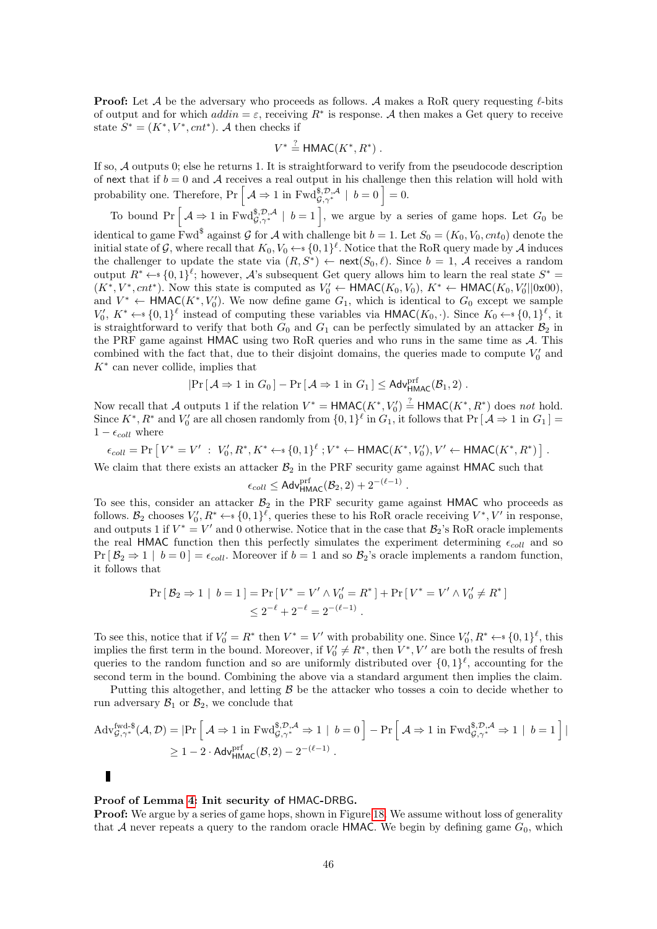**Proof:** Let A be the adversary who proceeds as follows. A makes a RoR query requesting  $\ell$ -bits of output and for which  $addin = \varepsilon$ , receiving  $R^*$  is response. A then makes a Get query to receive state  $S^* = (K^*, V^*, cnt^*)$ . A then checks if

$$
V^* \stackrel{?}{=} \mathsf{HMAC}(K^*, R^*) .
$$

If so, A outputs 0; else he returns 1. It is straightforward to verify from the pseudocode description of next that if  $b = 0$  and A receives a real output in his challenge then this relation will hold with probability one. Therefore,  $Pr\left[\mathcal{A} \Rightarrow 1 \text{ in } Fwd_{\mathcal{G},\gamma^*}^{\$,\mathcal{D},\mathcal{A}} \mid b=0\right] = 0.$ 

To bound  $Pr\left[\mathcal{A} \Rightarrow 1 \text{ in } Fwd_{\mathcal{G},\gamma^*}^{\$,\mathcal{D},\mathcal{A}} \mid b=1\right]$ , we argue by a series of game hops. Let  $G_0$  be identical to game Fwd<sup>\$</sup> against G for A with challenge bit  $b = 1$ . Let  $S_0 = (K_0, V_0, ent_0)$  denote the initial state of G, where recall that  $K_0, V_0 \leftarrow \{0,1\}^{\ell}$ . Notice that the RoR query made by A induces the challenger to update the state via  $(R, S^*) \leftarrow \text{next}(S_0, \ell)$ . Since  $b = 1$ , A receives a random output  $R^* \leftarrow \{0,1\}^{\ell}$ ; however, A's subsequent Get query allows him to learn the real state  $S^*$  $(K^*, V^*, cnt^*)$ . Now this state is computed as  $V'_0 \leftarrow \textsf{HMAC}(K_0, V_0), K^* \leftarrow \textsf{HMAC}(K_0, V'_0 || 0 \times 00),$ and  $V^* \leftarrow \text{HMAC}(K^*, V_0')$ . We now define game  $G_1$ , which is identical to  $G_0$  except we sample  $V'_0, K^* \leftarrow \{0,1\}^{\ell}$  instead of computing these variables via  $\textsf{HMAC}(K_0, \cdot)$ . Since  $K_0 \leftarrow \{0,1\}^{\ell}$ , it is straightforward to verify that both  $G_0$  and  $G_1$  can be perfectly simulated by an attacker  $\mathcal{B}_2$  in the PRF game against HMAC using two RoR queries and who runs in the same time as A. This combined with the fact that, due to their disjoint domains, the queries made to compute  $V'_0$  and  $K^*$  can never collide, implies that

$$
|\Pr[\mathcal{A} \Rightarrow 1 \text{ in } G_0] - \Pr[\mathcal{A} \Rightarrow 1 \text{ in } G_1] \leq \mathsf{Adv}_{\mathsf{HMAC}}^{\text{prf}}(\mathcal{B}_1, 2).
$$

Now recall that A outputs 1 if the relation  $V^* = \text{HMAC}(K^*, V_0') \stackrel{?}{=} \text{HMAC}(K^*, R^*)$  does not hold. Since  $K^*, R^*$  and  $V'_0$  are all chosen randomly from  $\{0,1\}^{\ell}$  in  $G_1$ , it follows that  $Pr[\mathcal{A} \Rightarrow 1 \text{ in } G_1] =$  $1 - \epsilon_{coll}$  where

$$
\epsilon_{coll} = \Pr\left[V^* = V' \; : \; V_0', R^*, K^* \leftarrow \{0, 1\}^{\ell}; V^* \leftarrow \text{HMAC}(K^*, V_0'), V' \leftarrow \text{HMAC}(K^*, R^*)\right].
$$

We claim that there exists an attacker  $B_2$  in the PRF security game against HMAC such that

$$
\epsilon_{coll} \leq \mathsf{Adv}_{\mathsf{HMAC}}^{\text{prf}}(\mathcal{B}_2, 2) + 2^{-(\ell-1)}.
$$

To see this, consider an attacker  $B_2$  in the PRF security game against HMAC who proceeds as follows.  $\mathcal{B}_2$  chooses  $V'_0, R^* \leftarrow \{0,1\}^{\ell}$ , queries these to his RoR oracle receiving  $V^*, V'$  in response, and outputs 1 if  $V^* = V'$  and 0 otherwise. Notice that in the case that  $\mathcal{B}_2$ 's RoR oracle implements the real HMAC function then this perfectly simulates the experiment determining  $\epsilon_{coll}$  and so  $Pr[\mathcal{B}_2 \Rightarrow 1 | b = 0] = \epsilon_{coll}$ . Moreover if  $b = 1$  and so  $\mathcal{B}_2$ 's oracle implements a random function, it follows that

$$
\Pr [B_2 \Rightarrow 1 | b = 1] = \Pr [V^* = V' \land V'_0 = R^*] + \Pr [V^* = V' \land V'_0 \neq R^*]
$$
  

$$
\leq 2^{-\ell} + 2^{-\ell} = 2^{-(\ell-1)}.
$$

To see this, notice that if  $V_0' = R^*$  then  $V^* = V'$  with probability one. Since  $V_0', R^* \leftarrow \{0,1\}^{\ell}$ , this implies the first term in the bound. Moreover, if  $V'_0 \neq R^*$ , then  $V^*$ ,  $V'$  are both the results of fresh queries to the random function and so are uniformly distributed over  $\{0,1\}^{\ell}$ , accounting for the second term in the bound. Combining the above via a standard argument then implies the claim.

Putting this altogether, and letting  $\beta$  be the attacker who tosses a coin to decide whether to run adversary  $\mathcal{B}_1$  or  $\mathcal{B}_2$ , we conclude that

$$
Adv_{\mathcal{G},\gamma^*}^{\text{fwd-$}}(\mathcal{A},\mathcal{D}) = |\Pr\left[\mathcal{A} \Rightarrow 1 \text{ in } \text{Fwd}_{\mathcal{G},\gamma^*}^{\$,\mathcal{D},\mathcal{A}} \Rightarrow 1 \mid b = 0\right] - \Pr\left[\mathcal{A} \Rightarrow 1 \text{ in } \text{Fwd}_{\mathcal{G},\gamma^*}^{\$,\mathcal{D},\mathcal{A}} \Rightarrow 1 \mid b = 1\right] |
$$
  
 
$$
\geq 1 - 2 \cdot \text{Adv}_{\text{HMAC}}^{\text{prf}}(\mathcal{B}, 2) - 2^{-(\ell-1)}.
$$

П

#### Proof of Lemma [4:](#page-14-1) Init security of HMAC-DRBG.

**Proof:** We argue by a series of game hops, shown in Figure [18.](#page-46-0) We assume without loss of generality that A never repeats a query to the random oracle HMAC. We begin by defining game  $G_0$ , which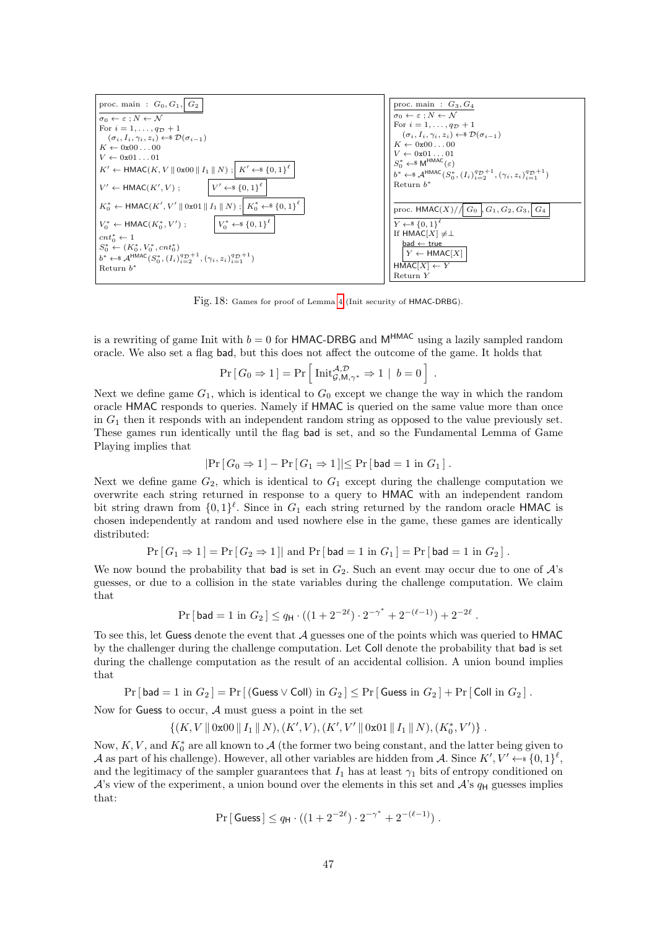<span id="page-46-0"></span>

Fig. 18: Games for proof of Lemma [4](#page-14-1) (Init security of HMAC-DRBG).

is a rewriting of game Init with  $b = 0$  for HMAC-DRBG and M<sup>HMAC</sup> using a lazily sampled random oracle. We also set a flag bad, but this does not affect the outcome of the game. It holds that

$$
\Pr\left[G_0 \Rightarrow 1\right] = \Pr\left[\text{Init}^{\mathcal{A}, \mathcal{D}}_{\mathcal{G}, \mathsf{M}, \gamma^*} \Rightarrow 1 \mid b = 0\right].
$$

Next we define game  $G_1$ , which is identical to  $G_0$  except we change the way in which the random oracle HMAC responds to queries. Namely if HMAC is queried on the same value more than once in  $G_1$  then it responds with an independent random string as opposed to the value previously set. These games run identically until the flag bad is set, and so the Fundamental Lemma of Game Playing implies that

$$
|\Pr[G_0 \Rightarrow 1] - \Pr[G_1 \Rightarrow 1]| \leq \Pr[\text{bad} = 1 \text{ in } G_1].
$$

Next we define game  $G_2$ , which is identical to  $G_1$  except during the challenge computation we overwrite each string returned in response to a query to HMAC with an independent random bit string drawn from  $\{0,1\}^{\ell}$ . Since in  $G_1$  each string returned by the random oracle HMAC is chosen independently at random and used nowhere else in the game, these games are identically distributed:

$$
Pr[G_1 \Rightarrow 1] = Pr[G_2 \Rightarrow 1] \text{ and } Pr[\text{bad} = 1 \text{ in } G_1] = Pr[\text{bad} = 1 \text{ in } G_2].
$$

We now bound the probability that bad is set in  $G_2$ . Such an event may occur due to one of  $\mathcal{A}$ 's guesses, or due to a collision in the state variables during the challenge computation. We claim that

$$
\Pr\left[\,\text{bad} = 1 \text{ in } G_2\,\right] \leq q_{\mathsf{H}} \cdot \left( (1 + 2^{-2\ell}) \cdot 2^{-\gamma^*} + 2^{-(\ell-1)} \right) + 2^{-2\ell}
$$

.

To see this, let Guess denote the event that A guesses one of the points which was queried to HMAC by the challenger during the challenge computation. Let Coll denote the probability that bad is set during the challenge computation as the result of an accidental collision. A union bound implies that

 $Pr[\text{bad} = 1 \text{ in } G_2] = Pr[(\text{Geess} \vee \text{Coll}) \text{ in } G_2] \leq Pr[\text{Geess in } G_2] + Pr[\text{Coll in } G_2]$ .

Now for Guess to occur,  $A$  must guess a point in the set

$$
\{(K,V\parallel 0\times00\parallel I_1\parallel N),(K',V),(K',V'\parallel 0\times01\parallel I_1\parallel N),(K_0^*,V')\}.
$$

Now,  $K, V$ , and  $K_0^*$  are all known to  $\mathcal A$  (the former two being constant, and the latter being given to A as part of his challenge). However, all other variables are hidden from A. Since  $K', V' \leftarrow \{0, 1\}^{\ell}$ , and the legitimacy of the sampler guarantees that  $I_1$  has at least  $\gamma_1$  bits of entropy conditioned on  $\mathcal{A}$ 's view of the experiment, a union bound over the elements in this set and  $\mathcal{A}$ 's  $q_H$  guesses implies that:

$$
\Pr [\text{ Guess}] \le q_{\mathsf{H}} \cdot ((1 + 2^{-2\ell}) \cdot 2^{-\gamma^*} + 2^{-(\ell-1)}) \ .
$$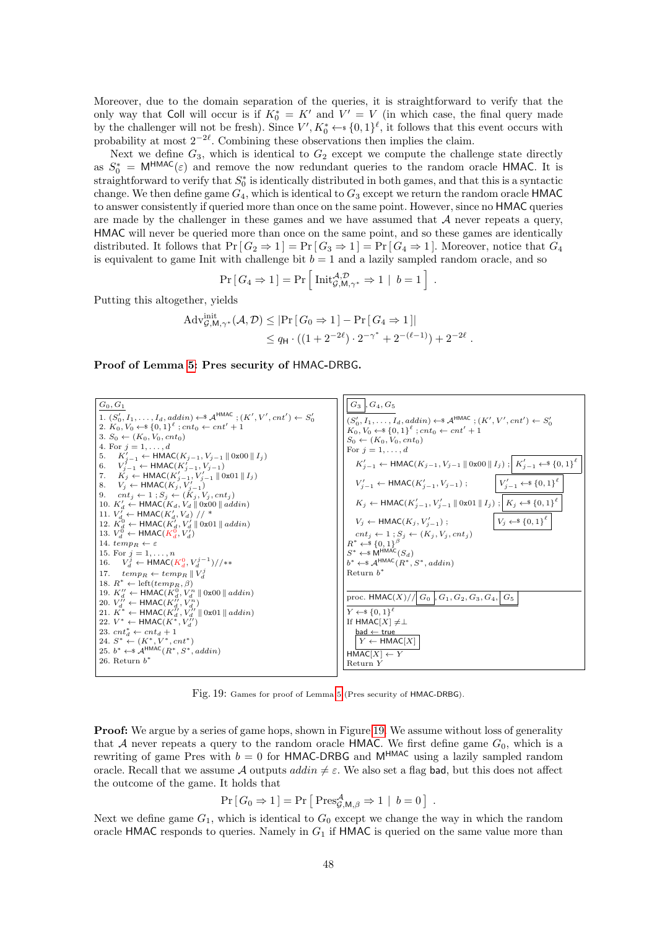Moreover, due to the domain separation of the queries, it is straightforward to verify that the only way that Coll will occur is if  $K_0^* = K'$  and  $V' = V$  (in which case, the final query made by the challenger will not be fresh). Since  $V', K_0^* \leftarrow \{0,1\}^{\ell}$ , it follows that this event occurs with probability at most  $2^{-2\ell}$ . Combining these observations then implies the claim.

Next we define  $G_3$ , which is identical to  $G_2$  except we compute the challenge state directly as  $S_0^* = M^{HMAC}(\epsilon)$  and remove the now redundant queries to the random oracle HMAC. It is straightforward to verify that  $S_0^*$  is identically distributed in both games, and that this is a syntactic change. We then define game  $G_4$ , which is identical to  $G_3$  except we return the random oracle HMAC to answer consistently if queried more than once on the same point. However, since no HMAC queries are made by the challenger in these games and we have assumed that  $A$  never repeats a query, HMAC will never be queried more than once on the same point, and so these games are identically distributed. It follows that  $Pr[G_2 \Rightarrow 1] = Pr[G_3 \Rightarrow 1] = Pr[G_4 \Rightarrow 1]$ . Moreover, notice that  $G_4$ is equivalent to game Init with challenge bit  $b = 1$  and a lazily sampled random oracle, and so

$$
\Pr\left[G_4 \Rightarrow 1\right] = \Pr\left[\text{Init}_{\mathcal{G}, \mathsf{M}, \gamma^*}^{\mathcal{A}, \mathcal{D}} \Rightarrow 1 \mid b = 1\right].
$$

Putting this altogether, yields

$$
\mathrm{Adv}_{\mathcal{G}, \mathsf{M}, \gamma^*}^{\text{init}}(\mathcal{A}, \mathcal{D}) \le |\mathrm{Pr}\left[G_0 \Rightarrow 1\right] - \mathrm{Pr}\left[G_4 \Rightarrow 1\right]|
$$
  
\$\leq q\_{\mathsf{H}} \cdot ((1 + 2^{-2\ell}) \cdot 2^{-\gamma^\*} + 2^{-(\ell - 1)}) + 2^{-2\ell}\$.

Proof of Lemma [5:](#page-14-2) Pres security of HMAC-DRBG.

<span id="page-47-0"></span>

Fig. 19: Games for proof of Lemma [5](#page-14-2) (Pres security of HMAC-DRBG).

**Proof:** We argue by a series of game hops, shown in Figure [19.](#page-47-0) We assume without loss of generality that A never repeats a query to the random oracle  $HMAC$ . We first define game  $G_0$ , which is a rewriting of game Pres with  $b = 0$  for HMAC-DRBG and M<sup>HMAC</sup> using a lazily sampled random oracle. Recall that we assume A outputs  $addin \neq \varepsilon$ . We also set a flag bad, but this does not affect the outcome of the game. It holds that

$$
Pr[G_0 \Rightarrow 1] = Pr[Pres^{\mathcal{A}}_{\mathcal{G},M,\beta} \Rightarrow 1 | b = 0].
$$

Next we define game  $G_1$ , which is identical to  $G_0$  except we change the way in which the random oracle HMAC responds to queries. Namely in  $G_1$  if HMAC is queried on the same value more than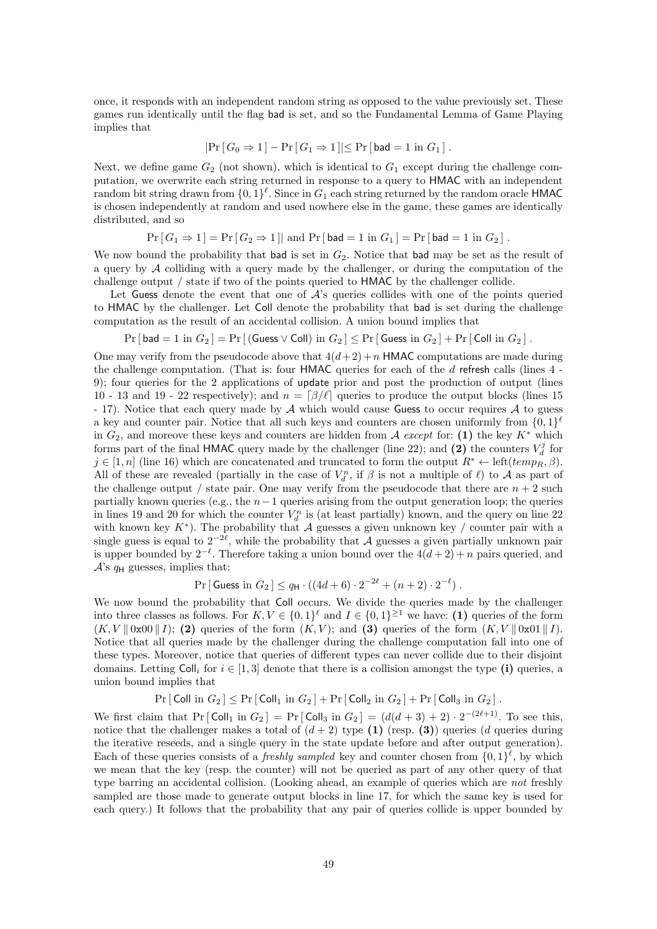once, it responds with an independent random string as opposed to the value previously set. These games run identically until the flag bad is set, and so the Fundamental Lemma of Game Playing implies that

$$
|\Pr\left[G_0 \Rightarrow 1\right] - \Pr\left[G_1 \Rightarrow 1\right]| \leq \Pr\left[\text{bad} = 1 \text{ in } G_1\right].
$$

Next, we define game  $G_2$  (not shown), which is identical to  $G_1$  except during the challenge computation, we overwrite each string returned in response to a query to HMAC with an independent random bit string drawn from  $\{0,1\}^{\ell}$ . Since in  $G_1$  each string returned by the random oracle HMAC is chosen independently at random and used nowhere else in the game, these games are identically distributed, and so

$$
Pr[G_1 \Rightarrow 1] = Pr[G_2 \Rightarrow 1]|
$$
 and 
$$
Pr[\text{bad} = 1 \text{ in } G_1] = Pr[\text{bad} = 1 \text{ in } G_2].
$$

We now bound the probability that bad is set in  $G_2$ . Notice that bad may be set as the result of a query by  $A$  colliding with a query made by the challenger, or during the computation of the challenge output / state if two of the points queried to HMAC by the challenger collide.

Let Guess denote the event that one of  $A$ 's queries collides with one of the points queried to HMAC by the challenger. Let Coll denote the probability that bad is set during the challenge computation as the result of an accidental collision. A union bound implies that

$$
\Pr[\mathsf{bad} = 1 \text{ in } G_2] = \Pr[(\mathsf{Geess} \vee \mathsf{Coll}) \text{ in } G_2] \le \Pr[\mathsf{Geess} \text{ in } G_2] + \Pr[\mathsf{Coll} \text{ in } G_2].
$$

One may verify from the pseudocode above that  $4(d+2)+n$  HMAC computations are made during the challenge computation. (That is: four HMAC queries for each of the  $d$  refresh calls (lines  $4$ ) 9); four queries for the 2 applications of update prior and post the production of output (lines 10 - 13 and 19 - 22 respectively); and  $n = \lceil \beta/\ell \rceil$  queries to produce the output blocks (lines 15 - 17). Notice that each query made by  $A$  which would cause Guess to occur requires  $A$  to guess a key and counter pair. Notice that all such keys and counters are chosen uniformly from  $\{0,1\}^{\ell}$ in  $G_2$ , and moreove these keys and counters are hidden from A except for: (1) the key K<sup>∗</sup> which forms part of the final HMAC query made by the challenger (line 22); and (2) the counters  $V_d^j$  for  $j \in [1, n]$  (line 16) which are concatenated and truncated to form the output  $R^* \leftarrow \text{left}(temp_R, \beta)$ . All of these are revealed (partially in the case of  $V_d^n$ , if  $\beta$  is not a multiple of  $\ell$ ) to A as part of the challenge output / state pair. One may verify from the pseudocode that there are  $n + 2$  such partially known queries (e.g., the  $n-1$  queries arising from the output generation loop; the queries in lines 19 and 20 for which the counter  $V_d^n$  is (at least partially) known, and the query on line 22 with known key  $K^*$ ). The probability that A guesses a given unknown key / counter pair with a single guess is equal to  $2^{-2\ell}$ , while the probability that A guesses a given partially unknown pair is upper bounded by  $2^{-\ell}$ . Therefore taking a union bound over the  $4(d+2) + n$  pairs queried, and  $A$ 's  $q_H$  guesses, implies that:

$$
Pr [ \text{ Guess in } G_2 ] \le q_{\mathsf{H}} \cdot ((4d + 6) \cdot 2^{-2\ell} + (n+2) \cdot 2^{-\ell}).
$$

We now bound the probability that Coll occurs. We divide the queries made by the challenger into three classes as follows. For  $K, V \in \{0,1\}^{\ell}$  and  $I \in \{0,1\}^{\geq 1}$  we have: (1) queries of the form  $(K, V \parallel 0 \times 00 \parallel I);$  (2) queries of the form  $(K, V);$  and (3) queries of the form  $(K, V \parallel 0 \times 01 \parallel I).$ Notice that all queries made by the challenger during the challenge computation fall into one of these types. Moreover, notice that queries of different types can never collide due to their disjoint domains. Letting Coll<sub>i</sub> for  $i \in [1,3]$  denote that there is a collision amongst the type (i) queries, a union bound implies that

$$
\Pr[\text{Coll in } G_2] \le \Pr[\text{Coll}_1 \text{ in } G_2] + \Pr[\text{Coll}_2 \text{ in } G_2] + \Pr[\text{Coll}_3 \text{ in } G_2].
$$

We first claim that  $Pr[\text{Coll}_1 \text{ in } G_2] = Pr[\text{Coll}_3 \text{ in } G_2] = (d(d+3) + 2) \cdot 2^{-(2\ell+1)}$ . To see this, notice that the challenger makes a total of  $(d+2)$  type  $(1)$  (resp.  $(3)$ ) queries (d queries during the iterative reseeds, and a single query in the state update before and after output generation). Each of these queries consists of a *freshly sampled* key and counter chosen from  $\{0,1\}^{\ell}$ , by which we mean that the key (resp. the counter) will not be queried as part of any other query of that type barring an accidental collision. (Looking ahead, an example of queries which are not freshly sampled are those made to generate output blocks in line 17, for which the same key is used for each query.) It follows that the probability that any pair of queries collide is upper bounded by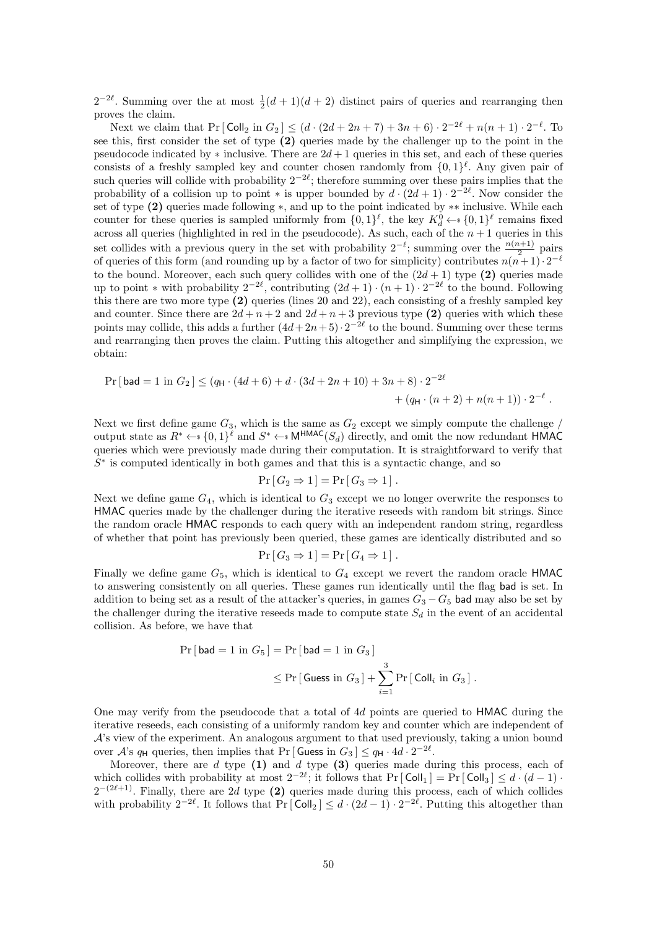$2^{-2\ell}$ . Summing over the at most  $\frac{1}{2}(d+1)(d+2)$  distinct pairs of queries and rearranging then proves the claim.

Next we claim that  $Pr[\text{Coll}_2 \text{ in } G_2] \leq (d \cdot (2d + 2n + 7) + 3n + 6) \cdot 2^{-2\ell} + n(n + 1) \cdot 2^{-\ell}$ . To see this, first consider the set of type (2) queries made by the challenger up to the point in the pseudocode indicated by  $\ast$  inclusive. There are  $2d+1$  queries in this set, and each of these queries consists of a freshly sampled key and counter chosen randomly from  $\{0,1\}^{\ell}$ . Any given pair of such queries will collide with probability  $2^{-2\ell}$ ; therefore summing over these pairs implies that the probability of a collision up to point \* is upper bounded by  $d \cdot (2d+1) \cdot 2^{-2\ell}$ . Now consider the set of type (2) queries made following \*, and up to the point indicated by \*\* inclusive. While each counter for these queries is sampled uniformly from  $\{0,1\}^{\ell}$ , the key  $K_d^0 \leftarrow \{0,1\}^{\ell}$  remains fixed across all queries (highlighted in red in the pseudocode). As such, each of the  $n+1$  queries in this set collides with a previous query in the set with probability  $2^{-\ell}$ ; summing over the  $\frac{n(n+1)}{2}$  pairs of queries of this form (and rounding up by a factor of two for simplicity) contributes  $n(n+1) \cdot 2^{-\ell}$ to the bound. Moreover, each such query collides with one of the  $(2d + 1)$  type (2) queries made up to point  $*$  with probability  $2^{-2\ell}$ , contributing  $(2d+1) \cdot (n+1) \cdot 2^{-2\ell}$  to the bound. Following this there are two more type (2) queries (lines 20 and 22), each consisting of a freshly sampled key and counter. Since there are  $2d + n + 2$  and  $2d + n + 3$  previous type (2) queries with which these points may collide, this adds a further  $(4d + 2n + 5) \cdot 2^{-2\ell}$  to the bound. Summing over these terms and rearranging then proves the claim. Putting this altogether and simplifying the expression, we obtain:

$$
\Pr\left[\text{bad} = 1 \text{ in } G_2\right] \le (q_H \cdot (4d + 6) + d \cdot (3d + 2n + 10) + 3n + 8) \cdot 2^{-2\ell} + (q_H \cdot (n+2) + n(n+1)) \cdot 2^{-\ell}.
$$

Next we first define game  $G_3$ , which is the same as  $G_2$  except we simply compute the challenge / output state as  $R^* \leftarrow s \{0,1\}^{\ell}$  and  $S^* \leftarrow s \text{M}^{\text{HMAC}}(S_d)$  directly, and omit the now redundant HMAC queries which were previously made during their computation. It is straightforward to verify that  $S^*$  is computed identically in both games and that this is a syntactic change, and so

$$
Pr[G_2 \Rightarrow 1] = Pr[G_3 \Rightarrow 1].
$$

Next we define game  $G_4$ , which is identical to  $G_3$  except we no longer overwrite the responses to HMAC queries made by the challenger during the iterative reseeds with random bit strings. Since the random oracle HMAC responds to each query with an independent random string, regardless of whether that point has previously been queried, these games are identically distributed and so

$$
Pr[G_3 \Rightarrow 1] = Pr[G_4 \Rightarrow 1].
$$

Finally we define game  $G_5$ , which is identical to  $G_4$  except we revert the random oracle HMAC to answering consistently on all queries. These games run identically until the flag bad is set. In addition to being set as a result of the attacker's queries, in games  $G_3 - G_5$  bad may also be set by the challenger during the iterative reseeds made to compute state  $S_d$  in the event of an accidental collision. As before, we have that

$$
\Pr[\text{bad} = 1 \text{ in } G_5] = \Pr[\text{bad} = 1 \text{ in } G_3]
$$

$$
\leq \Pr[\text{Guess in } G_3] + \sum_{i=1}^{3} \Pr[\text{Coll}_i \text{ in } G_3].
$$

One may verify from the pseudocode that a total of 4d points are queried to HMAC during the iterative reseeds, each consisting of a uniformly random key and counter which are independent of A's view of the experiment. An analogous argument to that used previously, taking a union bound over  $\mathcal{A}$ 's  $q_H$  queries, then implies that Pr [Guess in  $G_3$ ]  $\leq q_H \cdot 4d \cdot 2^{-2\ell}$ .

Moreover, there are  $d$  type  $(1)$  and  $d$  type  $(3)$  queries made during this process, each of which collides with probability at most  $2^{-2\ell}$ ; it follows that Pr  $[Col_1] = Pr [Col_3] \le d \cdot (d-1)$ .  $2^{-(2\ell+1)}$ . Finally, there are 2d type (2) queries made during this process, each of which collides with probability  $2^{-2\ell}$ . It follows that Pr  $\lceil \text{Coll}_2 \rceil \leq d \cdot (2d-1) \cdot 2^{-2\ell}$ . Putting this altogether than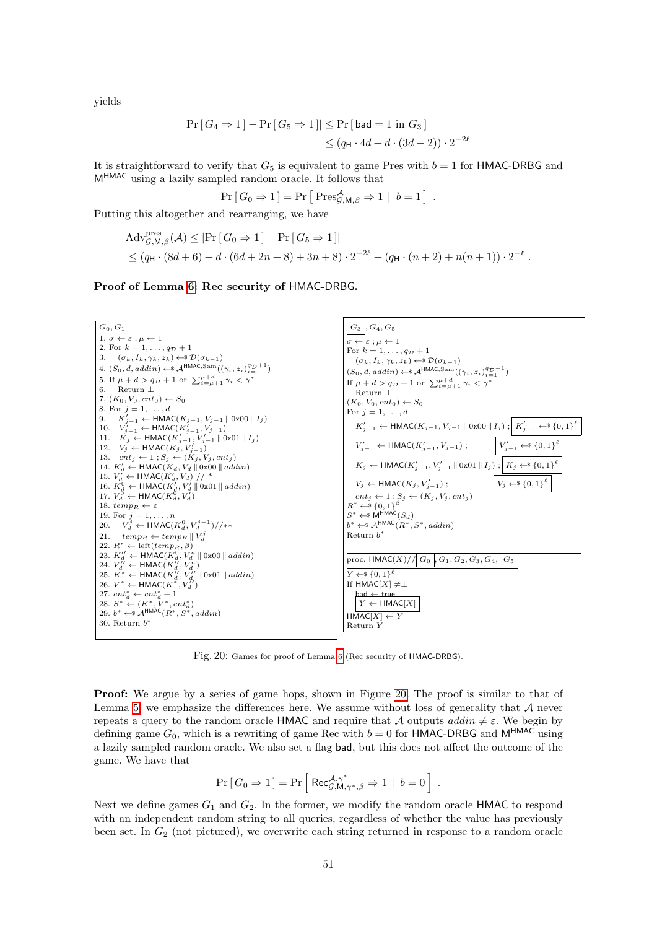yields

$$
|\Pr\left[G_4 \Rightarrow 1\right] - \Pr\left[G_5 \Rightarrow 1\right]| \leq \Pr\left[\text{bad} = 1 \text{ in } G_3\right]
$$

$$
\leq (q_H \cdot 4d + d \cdot (3d - 2)) \cdot 2^{-2\ell}
$$

It is straightforward to verify that  $G_5$  is equivalent to game Pres with  $b = 1$  for HMAC-DRBG and MHMAC using a lazily sampled random oracle. It follows that

$$
Pr[G_0 \Rightarrow 1] = Pr[Pres^{\mathcal{A}}_{\mathcal{G},M,\beta} \Rightarrow 1 | b = 1].
$$

Putting this altogether and rearranging, we have

$$
Adv_{\mathcal{G},M,\beta}^{\text{pres}}(\mathcal{A}) \leq |\Pr[G_0 \Rightarrow 1] - \Pr[G_5 \Rightarrow 1]|
$$
  
\$\leq (q\_{\mathsf{H}} \cdot (8d + 6) + d \cdot (6d + 2n + 8) + 3n + 8) \cdot 2^{-2\ell} + (q\_{\mathsf{H}} \cdot (n + 2) + n(n + 1)) \cdot 2^{-\ell}\$.



<span id="page-50-0"></span>

Fig. 20: Games for proof of Lemma [6](#page-15-2) (Rec security of HMAC-DRBG).

Proof: We argue by a series of game hops, shown in Figure [20.](#page-50-0) The proof is similar to that of Lemma [5;](#page-14-2) we emphasize the differences here. We assume without loss of generality that  $A$  never repeats a query to the random oracle HMAC and require that A outputs  $\alpha d\dot{\alpha}$   $\neq \varepsilon$ . We begin by defining game  $G_0$ , which is a rewriting of game Rec with  $b = 0$  for **HMAC-DRBG** and M<sup>HMAC</sup> using a lazily sampled random oracle. We also set a flag bad, but this does not affect the outcome of the game. We have that

$$
\Pr\left[G_0 \Rightarrow 1\right] = \Pr\left[\text{Rec}_{\mathcal{G},\mathsf{M},\gamma^*,\beta}^{\mathcal{A},\gamma^*} \Rightarrow 1 \mid b = 0\right].
$$

Next we define games  $G_1$  and  $G_2$ . In the former, we modify the random oracle HMAC to respond with an independent random string to all queries, regardless of whether the value has previously been set. In  $G_2$  (not pictured), we overwrite each string returned in response to a random oracle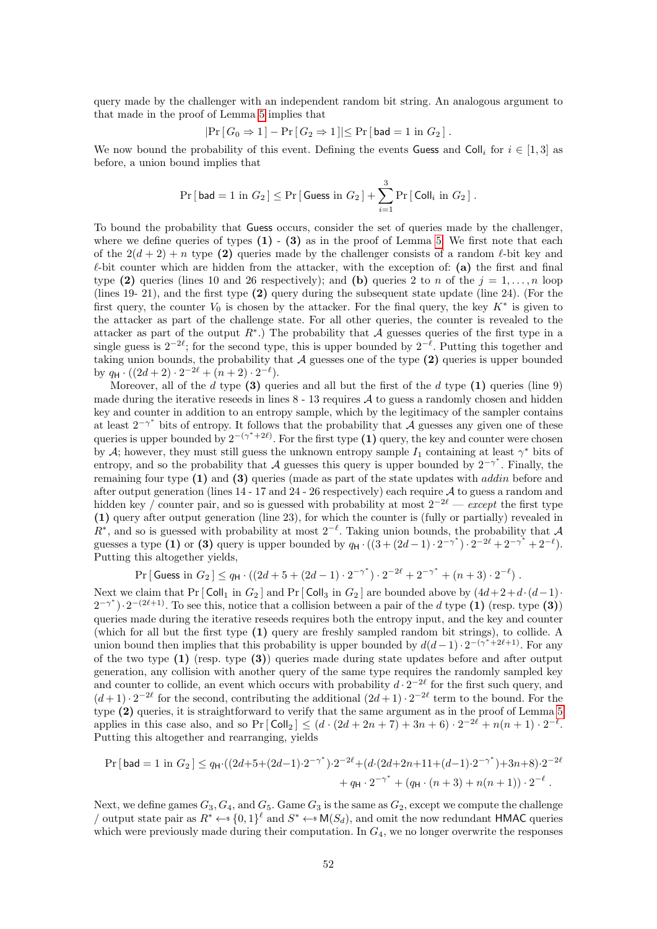query made by the challenger with an independent random bit string. An analogous argument to that made in the proof of Lemma [5](#page-14-2) implies that

$$
|\Pr[G_0 \Rightarrow 1] - \Pr[G_2 \Rightarrow 1]| \le \Pr[\text{bad} = 1 \text{ in } G_2].
$$

We now bound the probability of this event. Defining the events Guess and Coll<sub>i</sub> for  $i \in [1,3]$  as before, a union bound implies that

$$
\Pr\left[\text{bad} = 1 \text{ in } G_2\right] \le \Pr\left[\text{Guess in } G_2\right] + \sum_{i=1}^3 \Pr\left[\text{Coll}_i \text{ in } G_2\right].
$$

To bound the probability that Guess occurs, consider the set of queries made by the challenger, where we define queries of types  $(1)$  -  $(3)$  as in the proof of Lemma [5.](#page-14-2) We first note that each of the  $2(d+2) + n$  type (2) queries made by the challenger consists of a random  $\ell$ -bit key and  $\ell$ -bit counter which are hidden from the attacker, with the exception of: (a) the first and final type (2) queries (lines 10 and 26 respectively); and (b) queries 2 to n of the  $j = 1, \ldots, n$  loop (lines 19- 21), and the first type (2) query during the subsequent state update (line 24). (For the first query, the counter  $V_0$  is chosen by the attacker. For the final query, the key  $K^*$  is given to the attacker as part of the challenge state. For all other queries, the counter is revealed to the attacker as part of the output  $R^*$ .) The probability that A guesses queries of the first type in a single guess is  $2^{-2\ell}$ ; for the second type, this is upper bounded by  $2^{-\ell}$ . Putting this together and taking union bounds, the probability that  $\mathcal A$  guesses one of the type  $(2)$  queries is upper bounded by  $q_H \cdot ((2d+2) \cdot 2^{-2\ell} + (n+2) \cdot 2^{-\ell}).$ 

Moreover, all of the d type  $(3)$  queries and all but the first of the d type  $(1)$  queries (line 9) made during the iterative reseeds in lines  $8 - 13$  requires  $\mathcal A$  to guess a randomly chosen and hidden key and counter in addition to an entropy sample, which by the legitimacy of the sampler contains at least  $2^{-\gamma^*}$  bits of entropy. It follows that the probability that  $\tilde{\mathcal{A}}$  guesses any given one of these queries is upper bounded by  $2^{-(\gamma^*+2\ell)}$ . For the first type (1) query, the key and counter were chosen by A; however, they must still guess the unknown entropy sample  $I_1$  containing at least  $\gamma^*$  bits of entropy, and so the probability that A guesses this query is upper bounded by  $2^{-\gamma^*}$ . Finally, the remaining four type (1) and (3) queries (made as part of the state updates with *addin* before and after output generation (lines  $14 - 17$  and  $24 - 26$  respectively) each require A to guess a random and hidden key / counter pair, and so is guessed with probability at most  $2^{-2\ell}$  — except the first type (1) query after output generation (line 23), for which the counter is (fully or partially) revealed in  $R^*$ , and so is guessed with probability at most  $2^{-\ell}$ . Taking union bounds, the probability that A guesses a type (1) or (3) query is upper bounded by  $q_H \cdot ((3 + (2d - 1) \cdot 2^{-\gamma^*}) \cdot 2^{-2\ell} + 2^{-\gamma^*} + 2^{-\ell})$ . Putting this altogether yields,

$$
\Pr\left[\text{ Guess in } G_2\right] \le q_{\mathsf{H}} \cdot \left( \left(2d + 5 + \left(2d - 1\right) \cdot 2^{-\gamma^*}\right) \cdot 2^{-2\ell} + 2^{-\gamma^*} + (n+3) \cdot 2^{-\ell} \right).
$$

Next we claim that Pr [Coll<sub>1</sub> in  $G_2$ ] and Pr [Coll<sub>3</sub> in  $G_2$ ] are bounded above by  $(4d+2+d\cdot(d-1)\cdot$  $(2^{-\gamma^*}) \cdot 2^{-(2\ell+1)}$ . To see this, notice that a collision between a pair of the d type  $(1)$  (resp. type  $(3)$ ) queries made during the iterative reseeds requires both the entropy input, and the key and counter (which for all but the first type (1) query are freshly sampled random bit strings), to collide. A union bound then implies that this probability is upper bounded by  $d(d-1) \cdot 2^{-(\gamma^* + 2\ell + 1)}$ . For any of the two type  $(1)$  (resp. type  $(3)$ ) queries made during state updates before and after output generation, any collision with another query of the same type requires the randomly sampled key and counter to collide, an event which occurs with probability  $d \cdot 2^{-2\ell}$  for the first such query, and  $(d+1) \cdot 2^{-2\ell}$  for the second, contributing the additional  $(2d+1) \cdot 2^{-2\ell}$  term to the bound. For the type (2) queries, it is straightforward to verify that the same argument as in the proof of Lemma [5](#page-14-2) applies in this case also, and so  $Pr[\text{Coll}_2] \leq (d \cdot (2d + 2n + 7) + 3n + 6) \cdot 2^{-2\ell} + n(n + 1) \cdot 2^{-\ell}$ . Putting this altogether and rearranging, yields

$$
\Pr\left[\text{bad} = 1 \text{ in } G_2\right] \le q_{\mathsf{H}} \cdot \left( \left(2d + 5 + (2d - 1) \cdot 2^{-\gamma^*}\right) \cdot 2^{-2\ell} + \left(d \cdot \left(2d + 2n + 11 + (d - 1) \cdot 2^{-\gamma^*}\right) + 3n + 8\right) \cdot 2^{-2\ell} + q_{\mathsf{H}} \cdot 2^{-\gamma^*} + \left(q_{\mathsf{H}} \cdot \left(n + 3\right) + n(n + 1)\right) \cdot 2^{-\ell}.
$$

Next, we define games  $G_3, G_4$ , and  $G_5$ . Game  $G_3$  is the same as  $G_2$ , except we compute the challenge / output state pair as  $R^* \leftarrow \{0,1\}^{\ell}$  and  $S^* \leftarrow \{0,1\}^{\ell}$  and  $S^* \leftarrow \{0,1\}^{\ell}$  and omit the now redundant HMAC queries which were previously made during their computation. In  $G_4$ , we no longer overwrite the responses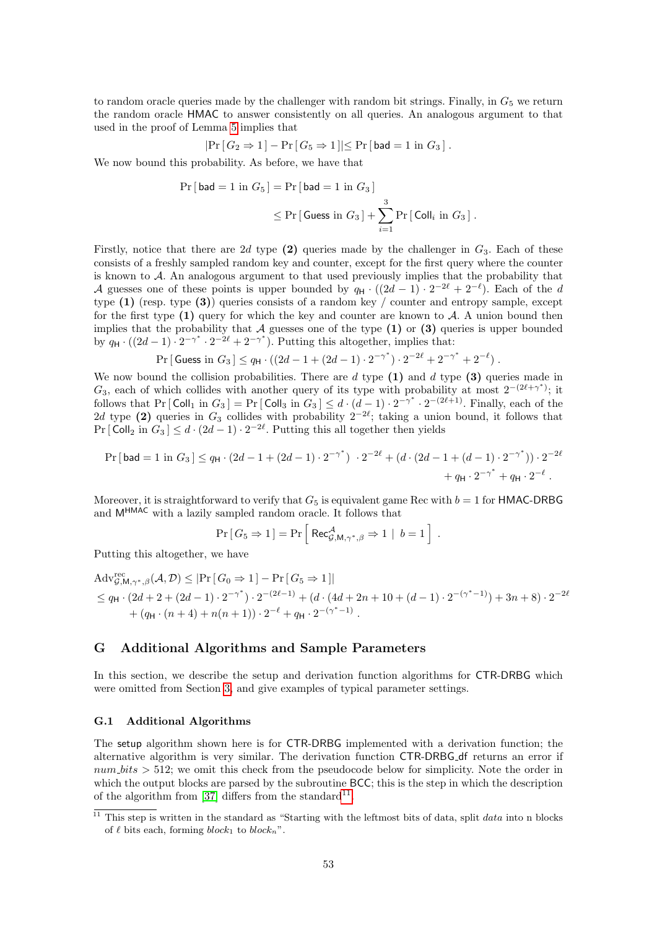to random oracle queries made by the challenger with random bit strings. Finally, in  $G<sub>5</sub>$  we return the random oracle HMAC to answer consistently on all queries. An analogous argument to that used in the proof of Lemma [5](#page-14-2) implies that

$$
|\Pr[G_2 \Rightarrow 1] - \Pr[G_5 \Rightarrow 1]| \leq \Pr[\text{bad} = 1 \text{ in } G_3].
$$

We now bound this probability. As before, we have that

$$
\Pr[\text{bad} = 1 \text{ in } G_5] = \Pr[\text{bad} = 1 \text{ in } G_3]
$$

$$
\leq \Pr[\text{Guess in } G_3] + \sum_{i=1}^{3} \Pr[\text{Coll}_i \text{ in } G_3].
$$

Firstly, notice that there are 2d type (2) queries made by the challenger in  $G_3$ . Each of these consists of a freshly sampled random key and counter, except for the first query where the counter is known to  $A$ . An analogous argument to that used previously implies that the probability that A guesses one of these points is upper bounded by  $q_H \cdot ((2d - 1) \cdot 2^{-2\ell} + 2^{-\ell})$ . Each of the d type  $(1)$  (resp. type  $(3)$ ) queries consists of a random key / counter and entropy sample, except for the first type  $(1)$  query for which the key and counter are known to  $A$ . A union bound then implies that the probability that  $A$  guesses one of the type  $(1)$  or  $(3)$  queries is upper bounded by  $q_H \cdot ((2d-1) \cdot 2^{-\gamma^*} \cdot 2^{-2\ell} + 2^{-\gamma^*})$ . Putting this altogether, implies that:

$$
\Pr\left[\text{ Guess in }G_3\right]\leq q_\mathsf{H}\cdot\left((2d-1+(2d-1)\cdot2^{-\gamma^*})\cdot2^{-2\ell}+2^{-\gamma^*}+2^{-\ell}\right).
$$

We now bound the collision probabilities. There are  $d$  type  $(1)$  and  $d$  type  $(3)$  queries made in  $G_3$ , each of which collides with another query of its type with probability at most  $2^{-(2\ell+\gamma^*)}$ ; it follows that  $Pr[\text{Coll}_1 \text{ in } G_3] = Pr[\text{Coll}_3 \text{ in } G_3] \leq d \cdot (d-1) \cdot 2^{-\gamma^*} \cdot 2^{-(2\ell+1)}$ . Finally, each of the 2d type (2) queries in  $G_3$  collides with probability  $2^{-2\ell}$ ; taking a union bound, it follows that Pr [Coll<sub>2</sub> in  $G_3$ ]  $\leq d \cdot (2d-1) \cdot 2^{-2\ell}$ . Putting this all together then yields

$$
\Pr\left[\text{bad} = 1 \text{ in } G_3\right] \le q_{\mathsf{H}} \cdot (2d - 1 + (2d - 1) \cdot 2^{-\gamma^*}) \cdot 2^{-2\ell} + (d \cdot (2d - 1 + (d - 1) \cdot 2^{-\gamma^*})) \cdot 2^{-2\ell} + q_{\mathsf{H}} \cdot 2^{-\gamma^*} + q_{\mathsf{H}} \cdot 2^{-\ell}.
$$

Moreover, it is straightforward to verify that  $G_5$  is equivalent game Rec with  $b = 1$  for HMAC-DRBG and MHMAC with a lazily sampled random oracle. It follows that

$$
\Pr\left[G_5 \Rightarrow 1\right] = \Pr\left[\text{Rec}_{\mathcal{G},\mathsf{M},\gamma^*,\beta}^{\mathcal{A}} \Rightarrow 1 \mid b = 1\right].
$$

Putting this altogether, we have

$$
Adv_{\mathcal{G},\mathsf{M},\gamma^*,\beta}^{\text{rec}}(\mathcal{A},\mathcal{D}) \leq |\Pr\left[G_0 \Rightarrow 1\right] - \Pr\left[G_5 \Rightarrow 1\right]|
$$
  
\n
$$
\leq q_{\mathsf{H}} \cdot (2d + 2 + (2d - 1) \cdot 2^{-\gamma^*}) \cdot 2^{-(2\ell - 1)} + (d \cdot (4d + 2n + 10 + (d - 1) \cdot 2^{-(\gamma^* - 1)}) + 3n + 8) \cdot 2^{-2\ell}
$$
  
\n
$$
+ (q_{\mathsf{H}} \cdot (n + 4) + n(n + 1)) \cdot 2^{-\ell} + q_{\mathsf{H}} \cdot 2^{-(\gamma^* - 1)}.
$$

## <span id="page-52-0"></span>G Additional Algorithms and Sample Parameters

In this section, we describe the setup and derivation function algorithms for CTR-DRBG which were omitted from Section [3,](#page-3-0) and give examples of typical parameter settings.

#### G.1 Additional Algorithms

The setup algorithm shown here is for CTR-DRBG implemented with a derivation function; the alternative algorithm is very similar. The derivation function CTR-DRBG df returns an error if  $num\_bits > 512$ ; we omit this check from the pseudocode below for simplicity. Note the order in which the output blocks are parsed by the subroutine BCC; this is the step in which the description of the algorithm from [\[37\]](#page-24-6) differs from the standard<sup>[11](#page-0-0)</sup>.

<sup>&</sup>lt;sup>11</sup> This step is written in the standard as "Starting with the leftmost bits of data, split *data* into n blocks of  $\ell$  bits each, forming  $block_1$  to  $block_n$ ".